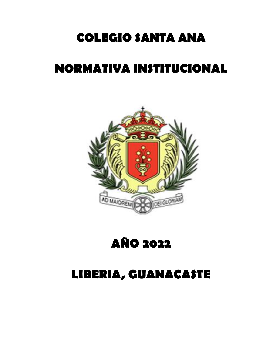# **COLEGIO SANTA ANA**

# **NORMATIVA INSTITUCIONAL**



# **AÑO 2022**

# **LIBERIA, GUANACASTE**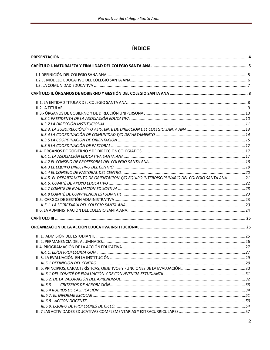# ÍNDICE

| II.4.5. EL DEPARTAMENTO DE ORIENTACIÓN Y/O EQUIPO INTERDISCIPLINARIO DEL COLEGIO SANTA ANA. 21 |  |
|------------------------------------------------------------------------------------------------|--|
|                                                                                                |  |
|                                                                                                |  |
|                                                                                                |  |
|                                                                                                |  |
|                                                                                                |  |
|                                                                                                |  |
|                                                                                                |  |
|                                                                                                |  |
|                                                                                                |  |
|                                                                                                |  |
|                                                                                                |  |
| II.4.1. EL/LA PROFESOR/A GUÍA                                                                  |  |
|                                                                                                |  |
|                                                                                                |  |
|                                                                                                |  |
|                                                                                                |  |
|                                                                                                |  |
| III.6.3                                                                                        |  |
|                                                                                                |  |
|                                                                                                |  |
|                                                                                                |  |
|                                                                                                |  |
|                                                                                                |  |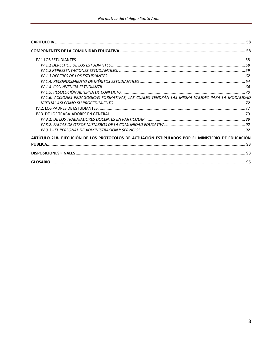| IV.1.6. ACCIONES PEDAGOGICAS FORMATIVAS, LAS CUALES TENDRÁN LAS MISMA VALIDEZ PARA LA MODALIDAD   |  |
|---------------------------------------------------------------------------------------------------|--|
|                                                                                                   |  |
|                                                                                                   |  |
|                                                                                                   |  |
|                                                                                                   |  |
|                                                                                                   |  |
|                                                                                                   |  |
| ARTÍCULO 218- EJECUCIÓN DE LOS PROTOCOLOS DE ACTUACIÓN ESTIPULADOS POR EL MINISTERIO DE EDUCACIÓN |  |
|                                                                                                   |  |
|                                                                                                   |  |
|                                                                                                   |  |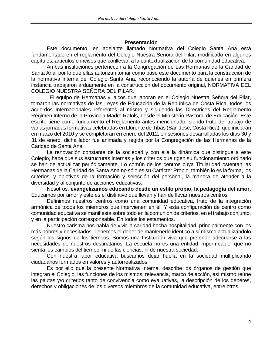#### **Presentación**

<span id="page-3-0"></span>Este documento, en adelante llamado Normativa del Colegio Santa Ana está fundamentado en el reglamento del Colegio Nuestra Señora del Pilar, modificado en algunos capítulos, artículos e incisos que conllevan a la contextualización de la comunidad educativa.

Ambas instituciones pertenecen a la Congregación de Las Hermanas de la Caridad de Santa Ana, por lo que ellas autorizan tomar como base este documento para la construcción de la normativa interna del Colegio Santa Ana, reconociendo la autoría de quienes en primera instancia trabajaron arduamente en la construcción del documento original, NORMATIVA DEL COLEGIO NUESTRA SEÑORA DEL PILAR.

El equipo de Hermanas y laicos que laboran en el Colegio Nuestra Señora del Pilar, tomaron las normativas de las Leyes de Educación de la República de Costa Rica, todos los acuerdos Internacionales referentes al mismo y siguiendo las Directrices del Reglamento Régimen Interno de la Provincia Madre Rafols, desde el Ministerio Pastoral de Educación. Este escrito tiene como fundamento el Reglamento antes mencionado, siendo fruto del trabajo de varias jornadas formativas celebradas en Llorente de Tibás (San José, Costa Rica), que iniciaran en marzo del 2010 y se completaran en enero del 2012, en sesiones desarrolladas los días 30 y 31 de enero, dicha labor fue animada y regida por la Congregación de las Hermanas de la Caridad de Santa Ana.

La renovación constante de la sociedad y con ella la dinámica que distingue a este Colegio, hace que sus estructuras internas y los criterios que rigen su funcionamiento ordinario se han de actualizar periódicamente. Lo común de los centros cuya Titularidad ostentan las Hermanas de la Caridad de Santa Ana no sólo es su Carácter Propio, también lo es la forma, los criterios, y objetivos de la formación y selección del personal, la manera de atender a la diversidad y al conjunto de acciones educativas.

Nosotros, **evangelizamos educando desde un estilo propio, la pedagogía del amor**. Educamos por amor y este es el distintivo que llevan y han de llevar nuestros centros.

Definimos nuestros centros como una comunidad educativa, fruto de la integración armónica de todos los miembros que intervienen en él. Y esta configuración de centro como comunidad educativa se manifiesta sobre todo en la comunión de criterios, en el trabajo conjunto, y en la participación corresponsable. En todos los estamentos.

Nuestro carisma nos habla de vivir la caridad hecha hospitalidad, principalmente con los más pobres y necesitados. Tenemos el deber de mantenerlo idéntico a sí mismo actualizándolo según los signos de los tiempos. Somos una Institución viva que pretende adecuarse a las necesidades de nuestros destinatarios. La escuela no es una entidad impermeable, que no sienta los cambios del tiempo, ni de las ciencias, ni de nuestra sociedad.

Con nuestra labor educativa buscamos dejar huella en la sociedad multiplicando ciudadanos formados en valores y autorrealizados.

Es por ello que la presente Normativa Interna, describe los órganos de gestión que integran el Colegio, las funciones de los mismos, relevancia, marco de acción, así mismo reúne las pautas y/o criterios tanto de convivencia como evaluativas, la descripción de los deberes, derechos y obligaciones de los diversos miembros de la comunidad educativa, entre otros.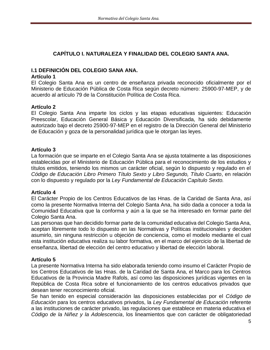# **CAPÍTULO I. NATURALEZA Y FINALIDAD DEL COLEGIO SANTA ANA.**

## <span id="page-4-1"></span><span id="page-4-0"></span>**I.1 DEFINICIÓN DEL COLEGIO SANA ANA.**

#### **Artículo 1**

El Colegio Santa Ana es un centro de enseñanza privada reconocido oficialmente por el Ministerio de Educación Pública de Costa Rica según decreto número: 25900-97-MEP, y de acuerdo al artículo 79 de la Constitución Política de Costa Rica.

## **Artículo 2**

El Colegio Santa Ana imparte los ciclos y las etapas educativas siguientes: Educación Preescolar, Educación General Básica y Educación Diversificada, ha sido debidamente autorizado bajo el decreto 25900-97-MEP en el registro de la Dirección General del Ministerio de Educación y goza de la personalidad jurídica que le otorgan las leyes.

## **Artículo 3**

La formación que se imparte en el Colegio Santa Ana se ajusta totalmente a las disposiciones establecidas por el Ministerio de Educación Pública para el reconocimiento de los estudios y títulos emitidos, teniendo los mismos un carácter oficial, según lo dispuesto y regulado en el *Código de Educación Libro Primero Título Sexto y Libro Segundo, Título Cuarto*, en relación con lo dispuesto y regulado por la *Ley Fundamental de Educación Capítulo Sexto.*

## **Artículo 4**

El Carácter Propio de los Centros Educativos de las Hnas. de la Caridad de Santa Ana, así como la presente Normativa Interna del Colegio Santa Ana, ha sido dada a conocer a toda la Comunidad Educativa que la conforma y aún a la que se ha interesado en formar parte del Colegio Santa Ana.

Las personas que han decidido formar parte de la comunidad educativa del Colegio Santa Ana, aceptan libremente todo lo dispuesto en las Normativas y Políticas institucionales y deciden asumirlo, sin ninguna restricción u objeción de conciencia, como el modelo mediante el cual esta institución educativa realiza su labor formativa, en el marco del ejercicio de la libertad de enseñanza, libertad de elección del centro educativo y libertad de elección laboral.

# **Artículo 5**

La presente Normativa Interna ha sido elaborada teniendo como insumo el Carácter Propio de los Centros Educativos de las Hnas. de la Caridad de Santa Ana, el Marco para los Centros Educativos de la Provincia Madre Rafols, así como las disposiciones jurídicas vigentes en la República de Costa Rica sobre el funcionamiento de los centros educativos privados que desean tener reconocimiento oficial.

Se han tenido en especial consideración las disposiciones establecidas por el *Código de Educación* para los centros educativos privados, la *Ley Fundamental de Educación* referente a las instituciones de carácter privado, las regulaciones que establece en materia educativa el *Código de la Niñez y la Adolescencia*, los lineamientos que con carácter de obligatoriedad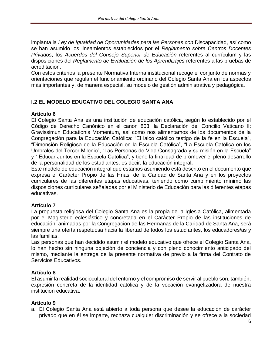implanta la *Ley de Igualdad de Oportunidades para las Personas con* Discapacidad, así como se han asumido los lineamientos establecidos por el *Reglamento sobre Centros Docentes Privados*, los *Acuerdos del Consejo Superior de Educación* referentes al currículum y las disposiciones del *Reglamento de Evaluación de los Aprendizajes* referentes a las pruebas de acreditación.

Con estos criterios la presente Normativa Interna institucional recoge el conjunto de normas y orientaciones que regulan el funcionamiento ordinario del Colegio Santa Ana en los aspectos más importantes y, de manera especial, su modelo de gestión administrativa y pedagógica.

## <span id="page-5-0"></span>**I.2 EL MODELO EDUCATIVO DEL COLEGIO SANTA ANA**

#### **Artículo 6**

El Colegio Santa Ana es una institución de educación católica, según lo establecido por el Código de Derecho Canónico en el canon 803, la Declaración del Concilio Vaticano II: Gravissimun Educationis Momentum, así como nos alimentamos de los documentos de la Congregación para la Educación Católica: "El laico católico testigo de la fe en la Escuela", "Dimensión Religiosa de la Educación en la Escuela Católica", "La Escuela Católica en los Umbrales del Tercer Milenio", "Las Personas de Vida Consagrada y su misión en la Escuela" y " Educar Juntos en la Escuela Católica", y tiene la finalidad de promover el pleno desarrollo de la personalidad de los estudiantes, es decir, la educación integral**.**

Este modelo de educación integral que estamos asumiendo está descrito en el documento que expresa el Carácter Propio de las Hnas. de la Caridad de Santa Ana y en los proyectos curriculares de las diferentes etapas educativas, teniendo como cumplimiento mínimo las disposiciones curriculares señaladas por el Ministerio de Educación para las diferentes etapas educativas.

## **Artículo 7**

La propuesta religiosa del Colegio Santa Ana es la propia de la Iglesia Católica, alimentada por el Magisterio eclesiástico y concretada en el Carácter Propio de las instituciones de educación, animadas por la Congregación de las Hermanas de la Caridad de Santa Ana, será siempre una oferta respetuosa hacia la libertad de todos los estudiantes, los educadores/as y las familias.

Las personas que han decidido asumir el modelo educativo que ofrece el Colegio Santa Ana, lo han hecho sin ninguna objeción de conciencia y con pleno conocimiento anticipado del mismo, mediante la entrega de la presente normativa de previo a la firma del Contrato de Servicios Educativos.

## **Artículo 8**

El asumir la realidad sociocultural del entorno y el compromiso de servir al pueblo son, también, expresión concreta de la identidad católica y de la vocación evangelizadora de nuestra institución educativa.

#### **Artículo 9**

a. El Colegio Santa Ana está abierto a toda persona que desee la educación de carácter privado que en él se imparte, rechaza cualquier discriminación y se ofrece a la sociedad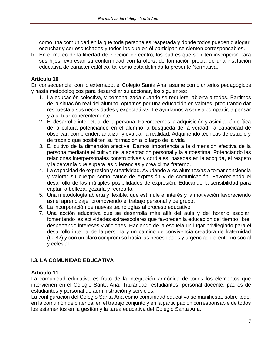como una comunidad en la que toda persona es respetada y donde todos pueden dialogar, escuchar y ser escuchados y todos los que en él participan se sienten corresponsables.

b. En el marco de la libertad de elección de centro, los padres que soliciten inscripción para sus hijos, expresan su conformidad con la oferta de formación propia de una institución educativa de carácter católico, tal como está definida la presente Normativa.

## **Artículo 10**

En consecuencia, con lo externado, el Colegio Santa Ana, asume como criterios pedagógicos y hasta metodológicos para desarrollar su accionar, los siguientes:

- 1. La educación colectiva, y personalizada cuando se requiere, abierta a todos. Partimos de la situación real del alumno, optamos por una educación en valores, procurando dar respuesta a sus necesidades y expectativas. Le ayudamos a ser y a compartir, a pensar y a actuar coherentemente.
- 2. El desarrollo intelectual de la persona. Favorecemos la adquisición y asimilación crítica de la cultura potenciando en el alumno la búsqueda de la verdad, la capacidad de observar, comprender, analizar y evaluar la realidad. Adquiriendo técnicas de estudio y de trabajo que posibiliten su formación a lo largo de la vida
- 3. El cultivo de la dimensión afectiva. Damos importancia a la dimensión afectiva de la persona mediante el cultivo de la aceptación personal y la autoestima. Potenciando las relaciones interpersonales constructivas y cordiales, basadas en la acogida, el respeto y la cercanía que supera las diferencias y crea clima fraterno.
- 4. La capacidad de expresión y creatividad. Ayudando a los alumnos/as a tomar conciencia y valorar su cuerpo como cauce de expresión y de comunicación, Favoreciendo el desarrollo de las múltiples posibilidades de expresión. Educando la sensibilidad para captar la belleza, gozarla y recrearla.
- 5. Una metodología abierta y flexible, que estimule el interés y la motivación favoreciendo así el aprendizaje, promoviendo el trabajo personal y de grupo.
- 6. La incorporación de nuevas tecnologías al proceso educativo.
- 7. Una acción educativa que se desarrolla más allá del aula y del horario escolar, fomentando las actividades extraescolares que favorecen la educación del tiempo libre, despertando intereses y aficiones. Haciendo de la escuela un lugar privilegiado para el desarrollo integral de la persona y un camino de convivencia creadora de fraternidad (C. 82) y con un claro compromiso hacia las necesidades y urgencias del entorno social y eclesial.

# <span id="page-6-0"></span>**I.3. LA COMUNIDAD EDUCATIVA**

## **Artículo 11**

La comunidad educativa es fruto de la integración armónica de todos los elementos que intervienen en el Colegio Santa Ana: Titularidad, estudiantes, personal docente, padres de estudiantes y personal de administración y servicios.

La configuración del Colegio Santa Ana como comunidad educativa se manifiesta, sobre todo, en la comunión de criterios, en el trabajo conjunto y en la participación corresponsable de todos los estamentos en la gestión y la tarea educativa del Colegio Santa Ana.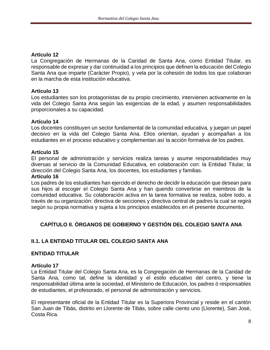La Congregación de Hermanas de la Caridad de Santa Ana, como Entidad Titular, es responsable de expresar y dar continuidad a los principios que definen la educación del Colegio Santa Ana que imparte (Carácter Propio), y vela por la cohesión de todos los que colaboran en la marcha de esta institución educativa.

#### **Artículo 13**

Los estudiantes son los protagonistas de su propio crecimiento, intervienen activamente en la vida del Colegio Santa Ana según las exigencias de la edad, y asumen responsabilidades proporcionales a su capacidad.

#### **Artículo 14**

Los docentes constituyen un sector fundamental de la comunidad educativa, y juegan un papel decisivo en la vida del Colegio Santa Ana. Ellos orientan, ayudan y acompañan a los estudiantes en el proceso educativo y complementan así la acción formativa de los padres.

#### **Artículo 15**

El personal de administración y servicios realiza tareas y asume responsabilidades muy diversas al servicio de la Comunidad Educativa, en colaboración con: la Entidad Titular, la dirección del Colegio Santa Ana, los docentes, los estudiantes y familias.

#### **Artículo 16**

Los padres de los estudiantes han ejercido el derecho de decidir la educación que desean para sus hijos al escoger el Colegio Santa Ana y han querido convertirse en miembros de la comunidad educativa. Su colaboración activa en la tarea formativa se realiza, sobre todo, a través de su organización: directiva de secciones y directiva central de padres la cual se regirá según su propia normativa y sujeta a los principios establecidos en el presente documento.

# <span id="page-7-0"></span>**CAPÍTULO II. ÓRGANOS DE GOBIERNO Y GESTIÓN DEL COLEGIO SANTA ANA**

## <span id="page-7-1"></span>**II.1. LA ENTIDAD TITULAR DEL COLEGIO SANTA ANA**

#### **ENTIDAD TITULAR**

#### **Artículo 17**

La Entidad Titular del Colegio Santa Ana, es la Congregación de Hermanas de la Caridad de Santa Ana, como tal, define la identidad y el estilo educativo del centro, y tiene la responsabilidad última ante la sociedad, el Ministerio de Educación, los padres ó responsables de estudiantes, el profesorado, el personal de administración y servicios.

El representante oficial de la Entidad Titular es la Superiora Provincial y reside en el cantón San Juan de Tibás, distrito en Llorente de Tibás, sobre calle ciento uno (Llorente), San José, Costa Rica.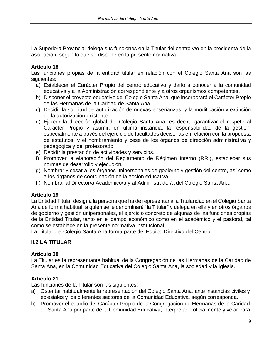La Superiora Provincial delega sus funciones en la Titular del centro y/o en la presidenta de la asociación, según lo que se dispone en la presente normativa.

#### **Artículo 18**

Las funciones propias de la entidad titular en relación con el Colegio Santa Ana son las siguientes:

- a) Establecer el Carácter Propio del centro educativo y darlo a conocer a la comunidad educativa y a la Administración correspondiente y a otros organismos competentes.
- b) Disponer el proyecto educativo del Colegio Santa Ana, que incorporará el Carácter Propio de las Hermanas de la Caridad de Santa Ana.
- c) Decidir la solicitud de autorización de nuevas enseñanzas, y la modificación y extinción de la autorización existente.
- d) Ejercer la dirección global del Colegio Santa Ana, es decir, "garantizar el respeto al Carácter Propio y asumir, en última instancia, la responsabilidad de la gestión, especialmente a través del ejercicio de facultades decisorias en relación con la propuesta de estatutos, y el nombramiento y cese de los órganos de dirección administrativa y pedagógica y del profesorado".
- e) Decidir la prestación de actividades y servicios.
- f) Promover la elaboración del Reglamento de Régimen Interno (RRI), establecer sus normas de desarrollo y ejecución.
- g) Nombrar y cesar a los órganos unipersonales de gobierno y gestión del centro, así como a los órganos de coordinación de la acción educativa.
- h) Nombrar al Director/a Académico/a y al Administrador/a del Colegio Santa Ana.

## **Artículo 19**

La Entidad Titular designa la persona que ha de representar a la Titularidad en el Colegio Santa Ana de forma habitual, a quien se le denominará "la Titular" y delega en ella y en otros órganos de gobierno y gestión unipersonales, el ejercicio concreto de algunas de las funciones propias de la Entidad Titular, tanto en el campo económico como en el académico y el pastoral, tal como se establece en la presente normativa institucional.

La Titular del Colegio Santa Ana forma parte del Equipo Directivo del Centro.

## <span id="page-8-0"></span>**II.2 LA TITULAR**

## **Artículo 20**

La Titular es la representante habitual de la Congregación de las Hermanas de la Caridad de Santa Ana, en la Comunidad Educativa del Colegio Santa Ana, la sociedad y la Iglesia.

## **Artículo 21**

Las funciones de la Titular son las siguientes:

- a) Ostentar habitualmente la representación del Colegio Santa Ana, ante instancias civiles y eclesiales y los diferentes sectores de la Comunidad Educativa, según corresponda.
- b) Promover el estudio del Carácter Propio de la Congregación de Hermanas de la Caridad de Santa Ana por parte de la Comunidad Educativa, interpretarlo oficialmente y velar para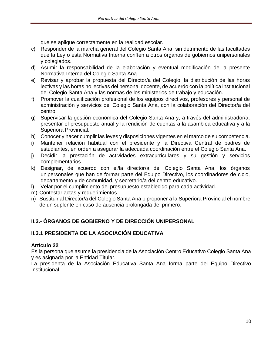que se aplique correctamente en la realidad escolar.

- c) Responder de la marcha general del Colegio Santa Ana, sin detrimento de las facultades que la Ley o esta Normativa Interna confíen a otros órganos de gobiernos unipersonales y colegiados.
- d) Asumir la responsabilidad de la elaboración y eventual modificación de la presente Normativa Interna del Colegio Santa Ana.
- e) Revisar y aprobar la propuesta del Director/a del Colegio, la distribución de las horas lectivas y las horas no lectivas del personal docente, de acuerdo con la política institucional del Colegio Santa Ana y las normas de los ministerios de trabajo y educación.
- f) Promover la cualificación profesional de los equipos directivos, profesores y personal de administración y servicios del Colegio Santa Ana, con la colaboración del Director/a del centro.
- g) Supervisar la gestión económica del Colegio Santa Ana y, a través del administrador/a, presentar el presupuesto anual y la rendición de cuentas a la asamblea educativa y a la Superiora Provincial.
- h) Conocer y hacer cumplir las leyes y disposiciones vigentes en el marco de su competencia.
- i) Mantener relación habitual con el presidente y la Directiva Central de padres de estudiantes, en orden a asegurar la adecuada coordinación entre el Colegio Santa Ana.
- j) Decidir la prestación de actividades extracurriculares y su gestión y servicios complementarios.
- k) Designar, de acuerdo con el/la director/a del Colegio Santa Ana, los órganos unipersonales que han de formar parte del Equipo Directivo, los coordinadores de ciclo, departamento y de comunidad, y secretario/a del centro educativo.
- l) Velar por el cumplimiento del presupuesto establecido para cada actividad.
- m) Contestar actas y requerimientos.
- n) Sustituir al Director/a del Colegio Santa Ana o proponer a la Superiora Provincial el nombre de un suplente en caso de ausencia prolongada del primero.

# <span id="page-9-0"></span>**II.3.- ÓRGANOS DE GOBIERNO Y DE DIRECCIÓN UNIPERSONAL**

# <span id="page-9-1"></span>**II.3.1 PRESIDENTA DE LA ASOCIACIÓN EDUCATIVA**

## **Artículo 22**

Es la persona que asume la presidencia de la Asociación Centro Educativo Colegio Santa Ana y es asignada por la Entidad Titular.

La presidenta de la Asociación Educativa Santa Ana forma parte del Equipo Directivo Institucional.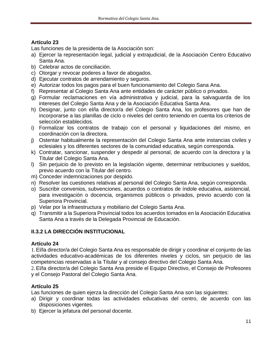Las funciones de la presidenta de la Asociación son:

- a) Ejercer la representación legal, judicial y extrajudicial, de la Asociación Centro Educativo Santa Ana.
- b) Celebrar actos de conciliación.
- c) Otorgar y revocar poderes a favor de abogados.
- d) Ejecutar contratos de arrendamiento y seguros.
- e) Autorizar todos los pagos para el buen funcionamiento del Colegio Sana Ana.
- f) Representar al Colegio Santa Ana ante entidades de carácter público o privados.
- g) Formular reclamaciones en vía administrativa y judicial, para la salvaguarda de los intereses del Colegio Santa Ana y de la Asociación Educativa Santa Ana.
- h) Designar, junto con el/la director/a del Colegio Santa Ana, los profesores que han de incorporarse a las planillas de ciclo o niveles del centro teniendo en cuenta los criterios de selección establecidos.
- i) Formalizar los contratos de trabajo con el personal y liquidaciones del mismo, en coordinación con la directora.
- j) Ostentar habitualmente la representación del Colegio Santa Ana ante instancias civiles y eclesiales y los diferentes sectores de la comunidad educativa, según corresponda.
- k) Contratar, sancionar, suspender y despedir al personal, de acuerdo con la directora y la Titular del Colegio Santa Ana.
- l) Sin perjuicio de lo previsto en la legislación vigente, determinar retribuciones y sueldos, previo acuerdo con la Titular del centro.
- m) Conceder indemnizaciones por despido.
- n) Resolver las cuestiones relativas al personal del Colegio Santa Ana, según corresponda.
- o) Suscribir convenios, subvenciones, acuerdos o contratos de índole educativa, asistencial, para investigación o docencia, organismos públicos o privados, previo acuerdo con la Superiora Provincial.
- p) Velar por la infraestructura y mobiliario del Colegio Santa Ana.
- q) Transmitir a la Superiora Provincial todos los acuerdos tomados en la Asociación Educativa Santa Ana a través de la Delegada Provincial de Educación.

# <span id="page-10-0"></span>**II.3.2 LA DIRECCIÓN INSTITUCIONAL**

# **Artículo 24**

1.El/la director/a del Colegio Santa Ana es responsable de dirigir y coordinar el conjunto de las actividades educativo-académicas de los diferentes niveles y ciclos, sin perjuicio de las competencias reservadas a la Titular y al consejo directivo del Colegio Santa Ana.

2.El/la director/a del Colegio Santa Ana preside el Equipo Directivo, el Consejo de Profesores y el Consejo Pastoral del Colegio Santa Ana.

# **Artículo 25**

Las funciones de quien ejerza la dirección del Colegio Santa Ana son las siguientes:

- a) Dirigir y coordinar todas las actividades educativas del centro, de acuerdo con las disposiciones vigentes.
- b) Ejercer la jefatura del personal docente.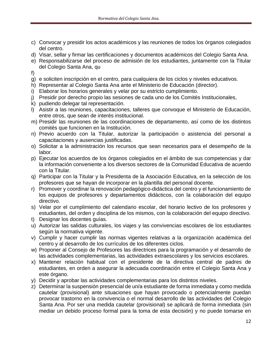- c) Convocar y presidir los actos académicos y las reuniones de todos los órganos colegiados del centro.
- d) Visar, sellar y firmar las certificaciones y documentos académicos del Colegio Santa Ana.
- e) Responsabilizarse del proceso de admisión de los estudiantes, juntamente con la Titular del Colegio Santa Ana, qu
- f)
- g) e soliciten inscripción en el centro, para cualquiera de los ciclos y niveles educativos.
- h) Representar al Colegio Santa Ana ante el Ministerio de Educación (director).
- i) Elaborar los horarios generales y velar por su estricto cumplimiento.
- j) Presidir por derecho propio las sesiones de cada uno de los Comités Institucionales,
- k) pudiendo delegar tal representación.
- l) Asistir a las reuniones, capacitaciones, talleres que convoque el Ministerio de Educación, entre otros, que sean de interés institucional.
- m) Presidir las reuniones de las coordinaciones de departamento, así como de los distintos comités que funcionen en la Institución.
- n) Previo acuerdo con la Titular, autorizar la participación o asistencia del personal a capacitaciones y ausencias justificadas.
- o) Solicitar a la administración los recursos que sean necesarios para el desempeño de la labor.
- p) Ejecutar los acuerdos de los órganos colegiados en el ámbito de sus competencias y dar la información conveniente a los diversos sectores de la Comunidad Educativa de acuerdo con la Titular.
- q) Participar con la Titular y la Presidenta de la Asociación Educativa, en la selección de los profesores que se hayan de incorporar en la plantilla del personal docente.
- r) Promover y coordinar la renovación pedagógico-didáctica del centro y el funcionamiento de los equipos de profesores y departamentos didácticos, con la colaboración del equipo directivo.
- s) Velar por el cumplimiento del calendario escolar, del horario lectivo de los profesores y estudiantes, del orden y disciplina de los mismos, con la colaboración del equipo directivo.
- t) Designar los docentes guías.
- u) Autorizar las salidas culturales, los viajes y las convivencias escolares de los estudiantes según la normativa vigente.
- v) Cumplir y hacer cumplir las normas vigentes relativas a la organización académica del centro y al desarrollo de los currículos de los diferentes ciclos.
- w) Proponer al Consejo de Profesores las directrices para la programación y el desarrollo de las actividades complementarias, las actividades extraescolares y los servicios escolares.
- x) Mantener relación habitual con el presidente de la directiva central de padres de estudiantes, en orden a asegurar la adecuada coordinación entre el Colegio Santa Ana y este órgano.
- y) Decidir y aprobar las actividades complementarias para los distintos niveles.
- z) Determinar la suspensión presencial de un/a estudiante de forma inmediata y como medida cautelar (provisional) ante situaciones que hayan provocado o potencialmente puedan provocar trastorno en la convivencia o el normal desarrollo de las actividades del Colegio Santa Ana. Por ser una medida cautelar (provisional) se aplicará de forma inmediata (sin mediar un debido proceso formal para la toma de esta decisión) y no puede tomarse en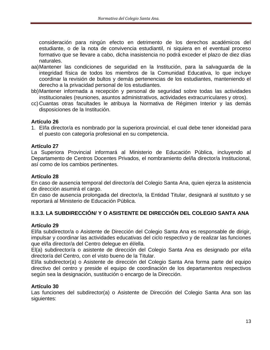consideración para ningún efecto en detrimento de los derechos académicos del estudiante, o de la nota de convivencia estudiantil, ni siquiera en el eventual proceso formativo que se llevare a cabo, dicha inasistencia no podrá exceder el plazo de diez días naturales.

- aa)Mantener las condiciones de seguridad en la Institución, para la salvaguarda de la integridad física de todos los miembros de la Comunidad Educativa, lo que incluye coordinar la revisión de bultos y demás pertenencias de los estudiantes, manteniendo el derecho a la privacidad personal de los estudiantes.
- bb)Mantener informada a recepción y personal de seguridad sobre todas las actividades institucionales (reuniones, asuntos administrativos, actividades extracurriculares y otros).
- cc) Cuantas otras facultades le atribuya la Normativa de Régimen Interior y las demás disposiciones de la Institución.

#### **Artículo 26**

1. El/la director/a es nombrado por la superiora provincial, el cual debe tener idoneidad para el puesto con categoría profesional en su competencia.

#### **Artículo 27**

La Superiora Provincial informará al Ministerio de Educación Pública, incluyendo al Departamento de Centros Docentes Privados, el nombramiento del/la director/a Institucional, así como de los cambios pertinentes.

#### **Artículo 28**

En caso de ausencia temporal del director/a del Colegio Santa Ana, quien ejerza la asistencia de dirección asumirá el cargo.

En caso de ausencia prolongada del director/a, la Entidad Titular, designará al sustituto y se reportará al Ministerio de Educación Pública.

## <span id="page-12-0"></span>**II.3.3. LA SUBDIRECCIÓN/ Y O ASISTENTE DE DIRECCIÓN DEL COLEGIO SANTA ANA**

#### **Artículo 29**

El/la subdirector/a o Asistente de Dirección del Colegio Santa Ana es responsable de dirigir, impulsar y coordinar las actividades educativas del ciclo respectivo y de realizar las funciones que el/la director/a del Centro delegue en él/ella.

El(a) subdirector/a o asistente de dirección del Colegio Santa Ana es designado por el/la director/a del Centro, con el visto bueno de la Titular.

El/la subdirector(a) o Asistente de dirección del Colegio Santa Ana forma parte del equipo directivo del centro y preside el equipo de coordinación de los departamentos respectivos según sea la designación, sustitución o encargo de la Dirección.

#### **Artículo 30**

Las funciones del subdirector(a) o Asistente de Dirección del Colegio Santa Ana son las siguientes: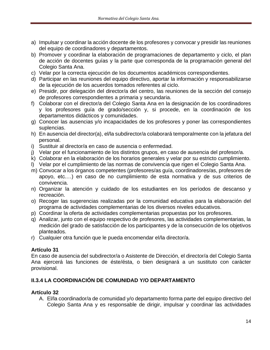- a) Impulsar y coordinar la acción docente de los profesores y convocar y presidir las reuniones del equipo de coordinadores y departamentos.
- b) Promover y coordinar la elaboración de programaciones de departamento y ciclo, el plan de acción de docentes guías y la parte que corresponda de la programación general del Colegio Santa Ana.
- c) Velar por la correcta ejecución de los documentos académicos correspondientes.
- d) Participar en las reuniones del equipo directivo, aportar la información y responsabilizarse de la ejecución de los acuerdos tomados referentes al ciclo.
- e) Presidir, por delegación del director/a del centro, las reuniones de la sección del consejo de profesores correspondientes a primaria y secundaria.
- f) Colaborar con el director/a del Colegio Santa Ana en la designación de los coordinadores y los profesores guía de grado/sección y, si procede, en la coordinación de los departamentos didácticos y comunidades.
- g) Conocer las ausencias y/o incapacidades de los profesores y poner las correspondientes suplencias.
- h) En ausencia del director(a), el/la subdirector/a colaborará temporalmente con la jefatura del personal.
- i) Sustituir al director/a en caso de ausencia o enfermedad.
- j) Velar por el funcionamiento de los distintos grupos, en caso de ausencia del profesor/a.
- k) Colaborar en la elaboración de los horarios generales y velar por su estricto cumplimiento.
- l) Velar por el cumplimiento de las normas de convivencia que rigen el Colegio Santa Ana.
- m) Convocar a los órganos competentes (profesores/as guía, coordinadores/as, profesores de apoyo, etc.…) en caso de no cumplimiento de esta normativa y de sus criterios de convivencia.
- n) Organizar la atención y cuidado de los estudiantes en los períodos de descanso y recreación.
- o) Recoger las sugerencias realizadas por la comunidad educativa para la elaboración del programa de actividades complementarias de los diversos niveles educativos.
- p) Coordinar la oferta de actividades complementarias propuestas por los profesores.
- q) Analizar, junto con el equipo respectivo de profesores, las actividades complementarias, la medición del grado de satisfacción de los participantes y de la consecución de los objetivos planteados.
- r) Cualquier otra función que le pueda encomendar el/la director/a.

En caso de ausencia del subdirector/a o Asistente de Dirección, el director/a del Colegio Santa Ana ejercerá las funciones de éste/ésta, o bien designará a un sustituto con carácter provisional.

# <span id="page-13-0"></span>**II.3.4 LA COORDINACIÓN DE COMUNIDAD Y/O DEPARTAMENTO**

## **Artículo 32**

A. El/la coordinador/a de comunidad y/o departamento forma parte del equipo directivo del Colegio Santa Ana y es responsable de dirigir, impulsar y coordinar las actividades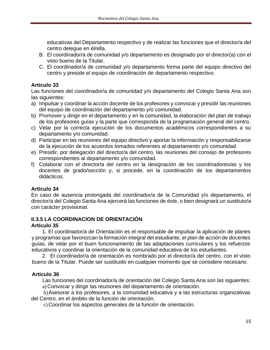educativas del Departamento respectivo y de realizar las funciones que el director/a del centro delegue en él/ella.

- B. El coordinador/a de comunidad y/o departamento es designado por el director(a) con el visto bueno de la Titular.
- C. El coordinador/a de comunidad y/o departamento forma parte del equipo directivo del centro y preside el equipo de coordinación de departamento respectivo.

## **Artículo 33**

Las funciones del coordinador/a de comunidad y/o departamento del Colegio Santa Ana son las siguientes:

- a) Impulsar y coordinar la acción docente de los profesores y convocar y presidir las reuniones del equipo de coordinación del departamento y/o comunidad.
- b) Promover y dirigir en el departamento y en la comunidad, la elaboración del plan de trabajo de los profesores guías y la parte que corresponda de la programación general del centro.
- c) Velar por la correcta ejecución de los documentos académicos correspondientes a su departamento y/o comunidad.
- d) Participar en las reuniones del equipo directivo y aportar la información y responsabilizarse de la ejecución de los acuerdos tomados referentes al departamento y/o comunidad.
- e) Presidir, por delegación del director/a del centro, las reuniones del consejo de profesores correspondientes al departamento y/o comunidad.
- f) Colaborar con el director/a del centro en la designación de los coordinadores/as y los docentes de grado/sección y, si procede, en la coordinación de los departamentos didácticos.

# **Artículo 34**

En caso de ausencia prolongada del coordinador/a de la Comunidad y/o departamento, el director/a del Colegio Santa Ana ejercerá las funciones de éste, o bien designará un sustituto/a con carácter provisional.

# <span id="page-14-0"></span>**II.3.5 LA COORDINACION DE ORIENTACIÓN**

## **Artículo 35**

1. El coordinador/a de Orientación es el responsable de impulsar la aplicación de planes y programas que favorezcan la formación integral del estudiante, el plan de acción de docentes guías, de velar por el buen funcionamiento de las adaptaciones curriculares y los refuerzos educativos y coordinar la orientación de la comunidad educativa de los estudiantes.

2. El coordinador/a de orientación es nombrado por el director/a del centro, con el visto bueno de la Titular. Puede ser sustituido en cualquier momento que se considere necesario.

# **Articulo 36**

Las funciones del coordinador/a de orientación del Colegio Santa Ana son las siguientes:

a) Convocar y dirigir las reuniones del departamento de orientación.

b)Asesorar a los profesores, a la comunidad educativa y a las estructuras organizativas del Centro, en el ámbito de la función de orientación.

c) Coordinar los aspectos generales de la función de orientación.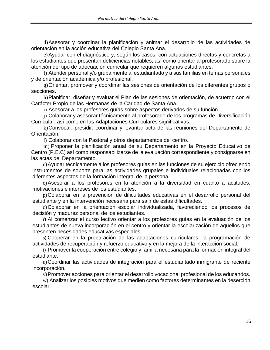d)Asesorar y coordinar la planificación y animar el desarrollo de las actividades de orientación en la acción educativa del Colegio Santa Ana.

e)Ayudar con el diagnóstico y, según los casos, con actuaciones directas y concretas a los estudiantes que presentan deficiencias notables; así como orientar al profesorado sobre la atención del tipo de adecuación curricular que requieren algunos estudiantes.

f) Atender personal y/o grupalmente al estudiantado y a sus familias en temas personales y de orientación académica y/o profesional.

g)Orientar, promover y coordinar las sesiones de orientación de los diferentes grupos o secciones.

h)Planificar, diseñar y evaluar el Plan de las sesiones de orientación, de acuerdo con el Carácter Propio de las Hermanas de la Caridad de Santa Ana.

i) Asesorar a los profesores guías sobre aspectos derivados de su función.

j) Colaborar y asesorar técnicamente al profesorado de los programas de Diversificación Curricular, así como en las Adaptaciones Curriculares significativas.

k)Convocar, presidir, coordinar y levantar acta de las reuniones del Departamento de Orientación.

l) Colaborar con la Pastoral y otros departamentos del centro.

m) Proponer la planificación anual de su Departamento en la Proyecto Educativo de Centro (P.E.C) así como responsabilizarse de la evaluación correspondiente y consignarse en las actas del Departamento.

n)Ayudar técnicamente a los profesores guías en las funciones de su ejercicio ofreciendo instrumentos de soporte para las actividades grupales e individuales relacionadas con los diferentes aspectos de la formación integral de la persona.

o)Asesorar a los profesores en la atención a la diversidad en cuanto a actitudes, motivaciones e intereses de los estudiantes.

p)Colaborar en la prevención de dificultades educativas en el desarrollo personal del estudiante y en la intervención necesaria para salir de estas dificultades.

q)Colaborar en la orientación escolar individualizada, favoreciendo los procesos de decisión y madurez personal de los estudiantes.

r) Al comenzar el curso lectivo orientar a los profesores guías en la evaluación de los estudiantes de nueva incorporación en el centro y orientar la escolarización de aquellos que presenten necesidades educativas especiales.

s) Cooperar en la preparación de las adaptaciones curriculares, la programación de actividades de recuperación y refuerzo educativo y en la mejora de la interacción social.

t) Promover la cooperación entre colegio y familia necesaria para la formación integral del estudiante.

u)Coordinar las actividades de integración para el estudiantado inmigrante de reciente incorporación.

v)Promover acciones para orientar el desarrollo vocacional profesional de los educandos.

w) Analizar los posibles motivos que medien como factores determinantes en la deserción escolar.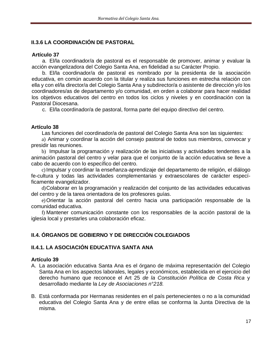# <span id="page-16-0"></span>**II.3.6 LA COORDINACIÓN DE PASTORAL**

## **Artículo 37**

a. El/la coordinador/a de pastoral es el responsable de promover, animar y evaluar la acción evangelizadora del Colegio Santa Ana, en fidelidad a su Carácter Propio.

b. El/la coordinador/a de pastoral es nombrado por la presidenta de la asociación educativa, en común acuerdo con la titular y realiza sus funciones en estrecha relación con ella y con el/la director/a del Colegio Santa Ana y subdirector/a o asistente de dirección y/o los coordinadores/as de departamento y/o comunidad, en orden a colaborar para hacer realidad los objetivos educativos del centro en todos los ciclos y niveles y en coordinación con la Pastoral Diocesana.

c. El/la coordinador/a de pastoral, forma parte del equipo directivo del centro.

#### **Artículo 38**

Las funciones del coordinador/a de pastoral del Colegio Santa Ana son las siguientes:

a) Animar y coordinar la acción del consejo pastoral de todos sus miembros, convocar y presidir las reuniones.

b) Impulsar la programación y realización de las iniciativas y actividades tendentes a la animación pastoral del centro y velar para que el conjunto de la acción educativa se lleve a cabo de acuerdo con lo específico del centro.

c)Impulsar y coordinar la enseñanza-aprendizaje del departamento de religión, el diálogo fe-cultura y todas las actividades complementarias y extraescolares de carácter específicamente evangelizador.

d)Colaborar en la programación y realización del conjunto de las actividades educativas del centro y de la tarea orientadora de los profesores guías.

e)Orientar la acción pastoral del centro hacia una participación responsable de la comunidad educativa.

f) Mantener comunicación constante con los responsables de la acción pastoral de la iglesia local y prestarles una colaboración eficaz.

# <span id="page-16-1"></span>**II.4. ÓRGANOS DE GOBIERNO Y DE DIRECCIÓN COLEGIADOS**

# <span id="page-16-2"></span>**II.4.1. LA ASOCIACIÓN EDUCATIVA SANTA ANA**

- A. La asociación educativa Santa Ana es el órgano de máxima representación del Colegio Santa Ana en los aspectos laborales, legales y económicos, establecida en el ejercicio del derecho humano que reconoce el Art 25 *de la Constitución Política de Costa Rica* y desarrollado mediante la *Ley de Asociaciones n°218.*
- B. Está conformada por Hermanas residentes en el país pertenecientes o no a la comunidad educativa del Colegio Santa Ana y de entre ellas se conforma la Junta Directiva de la misma.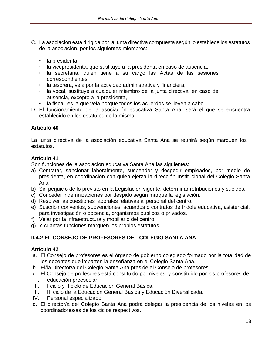- C. La asociación está dirigida por la junta directiva compuesta según lo establece los estatutos de la asociación, por los siguientes miembros:
	- la presidenta,
	- la vicepresidenta, que sustituye a la presidenta en caso de ausencia,
	- la secretaria, quien tiene a su cargo las Actas de las sesiones correspondientes,
	- la tesorera, vela por la actividad administrativa y financiera,
	- la vocal, sustituye a cualquier miembro de la junta directiva, en caso de ausencia, excepto a la presidenta,
	- la fiscal, es la que vela porque todos los acuerdos se lleven a cabo.
- D. El funcionamiento de la asociación educativa Santa Ana, será el que se encuentra establecido en los estatutos de la misma.

La junta directiva de la asociación educativa Santa Ana se reunirá según marquen los estatutos.

## **Artículo 41**

Son funciones de la asociación educativa Santa Ana las siguientes:

- a) Contratar, sancionar laboralmente, suspender y despedir empleados, por medio de presidenta, en coordinación con quien ejerza la dirección Institucional del Colegio Santa Ana.
- b) Sin perjuicio de lo previsto en la Legislación vigente, determinar retribuciones y sueldos.
- c) Conceder indemnizaciones por despido según marque la legislación.
- d) Resolver las cuestiones laborales relativas al personal del centro.
- e) Suscribir convenios, subvenciones, acuerdos o contratos de índole educativa, asistencial, para investigación o docencia, organismos públicos o privados.
- f) Velar por la infraestructura y mobiliario del centro.
- g) Y cuantas funciones marquen los propios estatutos.

# <span id="page-17-0"></span>**II.4.2 EL CONSEJO DE PROFESORES DEL COLEGIO SANTA ANA**

- a. El Consejo de profesores es el órgano de gobierno colegiado formado por la totalidad de los docentes que imparten la enseñanza en el Colegio Santa Ana.
- b. El/la Director/a del Colegio Santa Ana preside el Consejo de profesores.
- c. El Consejo de profesores está constituido por niveles, y constituido por los profesores de:
- I. educación preescolar,
- II. I ciclo y II ciclo de Educación General Básica,
- III. III ciclo de la Educación General Básica y Educación Diversificada.
- IV. Personal especializado.
- d. El director/a del Colegio Santa Ana podrá delegar la presidencia de los niveles en los coordinadores/as de los ciclos respectivos.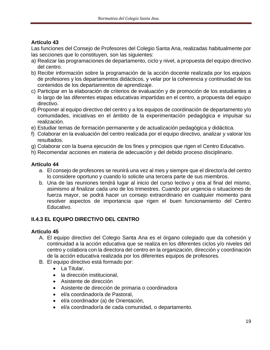Las funciones del Consejo de Profesores del Colegio Santa Ana, realizadas habitualmente por las secciones que lo constituyen, son las siguientes:

- a) Realizar las programaciones de departamento, ciclo y nivel, a propuesta del equipo directivo del centro.
- b) Recibir información sobre la programación de la acción docente realizada por los equipos de profesores y los departamentos didácticos, y velar por la coherencia y continuidad de los contenidos de los departamentos de aprendizaje.
- c) Participar en la elaboración de criterios de evaluación y de promoción de los estudiantes a lo largo de las diferentes etapas educativas impartidas en el centro, a propuesta del equipo directivo.
- d) Proponer al equipo directivo del centro y a los equipos de coordinación de departamento y/o comunidades, iniciativas en el ámbito de la experimentación pedagógica e impulsar su realización.
- e) Estudiar temas de formación permanente y de actualización pedagógica y didáctica.
- f) Colaborar en la evaluación del centro realizada por el equipo directivo, analizar y valorar los resultados.
- g) Colaborar con la buena ejecución de los fines y principios que rigen el Centro Educativo.
- h) Recomendar acciones en materia de adecuación y del debido proceso disciplinario.

## **Artículo 44**

- a. El consejo de profesores se reunirá una vez al mes y siempre que el director/a del centro lo considere oportuno y cuando lo solicite una tercera parte de sus miembros.
- b. Una de las reuniones tendrá lugar al inicio del curso lectivo y otra al final del mismo, asimismo al finalizar cada uno de los trimestres. Cuando por urgencia o situaciones de fuerza mayor, se podrá hacer un consejo extraordinario en cualquier momento para resolver aspectos de importancia que rigen el buen funcionamiento del Centro Educativo.

# <span id="page-18-0"></span>**II.4.3 EL EQUIPO DIRECTIVO DEL CENTRO**

- A. El equipo directivo del Colegio Santa Ana es el órgano colegiado que da cohesión y continuidad a la acción educativa que se realiza en los diferentes ciclos y/o niveles del centro y colabora con la directora del centro en la organización, dirección y coordinación de la acción educativa realizada por los diferentes equipos de profesores.
- B. El equipo directivo está formado por:
	- La Titular,
	- la dirección institucional,
	- Asistente de dirección
	- Asistente de dirección de primaria o coordinadora
	- el/a coordinador/a de Pastoral,
	- el/a coordinador (a) de Orientación,
	- el/a coordinador/a de cada comunidad, o departamento.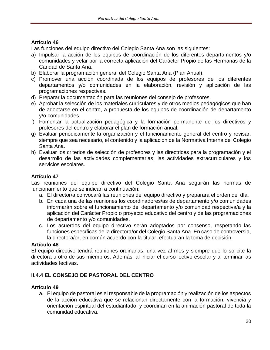Las funciones del equipo directivo del Colegio Santa Ana son las siguientes:

- a) Impulsar la acción de los equipos de coordinación de los diferentes departamentos y/o comunidades y velar por la correcta aplicación del Carácter Propio de las Hermanas de la Caridad de Santa Ana.
- b) Elaborar la programación general del Colegio Santa Ana (Plan Anual).
- c) Promover una acción coordinada de los equipos de profesores de los diferentes departamentos y/o comunidades en la elaboración, revisión y aplicación de las programaciones respectivas.
- d) Preparar la documentación para las reuniones del consejo de profesores.
- e) Aprobar la selección de los materiales curriculares y de otros medios pedagógicos que han de adoptarse en el centro, a propuesta de los equipos de coordinación de departamento y/o comunidades.
- f) Fomentar la actualización pedagógica y la formación permanente de los directivos y profesores del centro y elaborar el plan de formación anual.
- g) Evaluar periódicamente la organización y el funcionamiento general del centro y revisar, siempre que sea necesario, el contenido y la aplicación de la Normativa Interna del Colegio Santa Ana.
- h) Evaluar los criterios de selección de profesores y las directrices para la programación y el desarrollo de las actividades complementarias, las actividades extracurriculares y los servicios escolares.

## **Artículo 47**

Las reuniones del equipo directivo del Colegio Santa Ana seguirán las normas de funcionamiento que se indican a continuación:

- a. El director/a convocará las reuniones del equipo directivo y preparará el orden del día.
- b. En cada una de las reuniones los coordinadores/as de departamento y/o comunidades informarán sobre el funcionamiento del departamento y/o comunidad respectiva/a y la aplicación del Carácter Propio o proyecto educativo del centro y de las programaciones de departamento y/o comunidades.
- c. Los acuerdos del equipo directivo serán adoptados por consenso, respetando las funciones específicas de la directora/or del Colegio Santa Ana. En caso de controversia, la directora/or, en común acuerdo con la titular, efectuarán la toma de decisión.

## **Artículo 48**

El equipo directivo tendrá reuniones ordinarias, una vez al mes y siempre que lo solicite la directora u otro de sus miembros. Además, al iniciar el curso lectivo escolar y al terminar las actividades lectivas.

# <span id="page-19-0"></span>**II.4.4 EL CONSEJO DE PASTORAL DEL CENTRO**

## **Artículo 49**

a. El equipo de pastoral es el responsable de la programación y realización de los aspectos de la acción educativa que se relacionan directamente con la formación, vivencia y orientación espiritual del estudiantado, y coordinan en la animación pastoral de toda la comunidad educativa.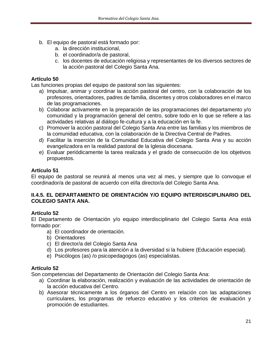- b. El equipo de pastoral está formado por:
	- a. la dirección institucional,
	- b. el coordinador/a de pastoral,
	- c. los docentes de educación religiosa y representantes de los diversos sectores de la acción pastoral del Colegio Santa Ana.

Las funciones propias del equipo de pastoral son las siguientes:

- a) Impulsar, animar y coordinar la acción pastoral del centro, con la colaboración de los profesores, orientadores, padres de familia, discentes y otros colaboradores en el marco de las programaciones.
- b) Colaborar activamente en la preparación de las programaciones del departamento y/o comunidad y la programación general del centro, sobre todo en lo que se refiere a las actividades relativas al diálogo fe-cultura y a la educación en la fe.
- c) Promover la acción pastoral del Colegio Santa Ana entre las familias y los miembros de la comunidad educativa, con la colaboración de la Directiva Central de Padres.
- d) Facilitar la inserción de la Comunidad Educativa del Colegio Santa Ana y su acción evangelizadora en la realidad pastoral de la Iglesia diocesana.
- e) Evaluar periódicamente la tarea realizada y el grado de consecución de los objetivos propuestos.

## **Artículo 51**

El equipo de pastoral se reunirá al menos una vez al mes, y siempre que lo convoque el coordinador/a de pastoral de acuerdo con el/la director/a del Colegio Santa Ana.

## <span id="page-20-0"></span>**II.4.5. EL DEPARTAMENTO DE ORIENTACIÓN Y/O EQUIPO INTERDISCIPLINARIO DEL COLEGIO SANTA ANA.**

# **Artículo 52**

El Departamento de Orientación y/o equipo interdisciplinario del Colegio Santa Ana está formado por:

- a) El coordinador de orientación.
- b) Orientadores
- c) El director/a del Colegio Santa Ana
- d) Los profesores para la atención a la diversidad si la hubiere (Educación especial).
- e) Psicólogos (as) /o psicopedagogos (as) especialistas.

## **Artículo 52**

Son competencias del Departamento de Orientación del Colegio Santa Ana:

- a) Coordinar la elaboración, realización y evaluación de las actividades de orientación de la acción educativa del Centro.
- b) Asesorar técnicamente a los órganos del Centro en relación con las adaptaciones curriculares, los programas de refuerzo educativo y los criterios de evaluación y promoción de estudiantes.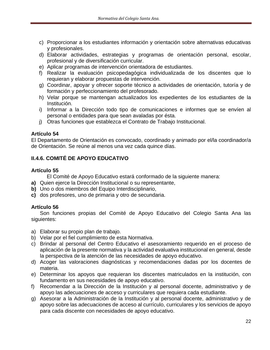- c) Proporcionar a los estudiantes información y orientación sobre alternativas educativas y profesionales.
- d) Elaborar actividades, estrategias y programas de orientación personal, escolar, profesional y de diversificación curricular.
- e) Aplicar programas de intervención orientadora de estudiantes.
- f) Realizar la evaluación psicopedagógica individualizada de los discentes que lo requieran y elaborar propuestas de intervención.
- g) Coordinar, apoyar y ofrecer soporte técnico a actividades de orientación, tutoría y de formación y perfeccionamiento del profesorado.
- h) Velar porque se mantengan actualizados los expedientes de los estudiantes de la Institución.
- i) Informar a la Dirección todo tipo de comunicaciones e informes que se envíen al personal o entidades para que sean avaladas por ésta.
- j) Otras funciones que establezca el Contrato de Trabajo Institucional.

El Departamento de Orientación es convocado, coordinado y animado por el/la coordinador/a de Orientación. Se reúne al menos una vez cada quince días.

## <span id="page-21-0"></span>**II.4.6. COMITÉ DE APOYO EDUCATIVO**

## **Artículo 55**

El Comité de Apoyo Educativo estará conformado de la siguiente manera:

- **a)** Quien ejerce la Dirección Institucional o su representante,
- **b)** Uno o dos miembros del Equipo Interdisciplinario,
- **c)** dos profesores, uno de primaria y otro de secundaria.

## **Artículo 56**

Son funciones propias del Comité de Apoyo Educativo del Colegio Santa Ana las siguientes:

- a) Elaborar su propio plan de trabajo.
- b) Velar por el fiel cumplimiento de esta Normativa.
- c) Brindar al personal del Centro Educativo el asesoramiento requerido en el proceso de aplicación de la presente normativa y la actividad evaluativa institucional en general, desde la perspectiva de la atención de las necesidades de apoyo educativo.
- d) Acoger las valoraciones diagnósticas y recomendaciones dadas por los docentes de materia.
- e) Determinar los apoyos que requieran los discentes matriculados en la institución, con fundamento en sus necesidades de apoyo educativo.
- f) Recomendar a la Dirección de la Institución y al personal docente, administrativo y de apoyo las adecuaciones de acceso y curriculares que requiera cada estudiante.
- g) Asesorar a la Administración de la Institución y al personal docente, administrativo y de apoyo sobre las adecuaciones de acceso al currículo, curriculares y los servicios de apoyo para cada discente con necesidades de apoyo educativo.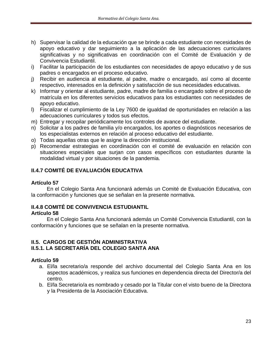- h) Supervisar la calidad de la educación que se brinde a cada estudiante con necesidades de apoyo educativo y dar seguimiento a la aplicación de las adecuaciones curriculares significativas y no significativas en coordinación con el Comité de Evaluación y de Convivencia Estudiantil.
- i) Facilitar la participación de los estudiantes con necesidades de apoyo educativo y de sus padres o encargados en el proceso educativo.
- j) Recibir en audiencia al estudiante, al padre, madre o encargado, así como al docente respectivo, interesados en la definición y satisfacción de sus necesidades educativas.
- k) Informar y orientar al estudiante, padre, madre de familia o encargado sobre el proceso de matrícula en los diferentes servicios educativos para los estudiantes con necesidades de apoyo educativo.
- l) Fiscalizar el cumplimiento de la Ley 7600 de igualdad de oportunidades en relación a las adecuaciones curriculares y todos sus efectos.
- m) Entregar y recopilar periódicamente los controles de avance del estudiante.
- n) Solicitar a los padres de familia y/o encargados, los aportes o diagnósticos necesarios de los especialistas externos en relación al proceso educativo del estudiante.
- o) Todas aquellas otras que le asigne la dirección institucional.
- p) Recomendar estrategias en coordinación con el comité de evaluación en relación con situaciones especiales que surjan con casos específicos con estudiantes durante la modalidad virtual y por situaciones de la pandemia.

# <span id="page-22-0"></span>**II.4.7 COMITÉ DE EVALUACIÓN EDUCATIVA**

#### **Artículo 57**

En el Colegio Santa Ana funcionará además un Comité de Evaluación Educativa, con la conformación y funciones que se señalan en la presente normativa.

# <span id="page-22-1"></span>**II.4.8 COMITÉ DE CONVIVENCIA ESTUDIANTIL**

#### **Artículo 58**

En el Colegio Santa Ana funcionará además un Comité Convivencia Estudiantil, con la conformación y funciones que se señalan en la presente normativa.

#### <span id="page-22-3"></span><span id="page-22-2"></span>**II.5. CARGOS DE GESTIÓN ADMINISTRATIVA II.5.1. LA SECRETARÍA DEL COLEGIO SANTA ANA**

- a. El/la secretario/a responde del archivo documental del Colegio Santa Ana en los aspectos académicos, y realiza sus funciones en dependencia directa del Director/a del centro.
- b. El/la Secretario/a es nombrado y cesado por la Titular con el visto bueno de la Directora y la Presidenta de la Asociación Educativa.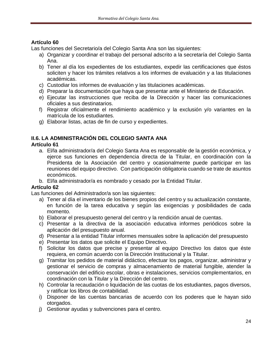Las funciones del Secretario/a del Colegio Santa Ana son las siguientes:

- a) Organizar y coordinar el trabajo del personal adscrito a la secretaría del Colegio Santa Ana.
- b) Tener al día los expedientes de los estudiantes, expedir las certificaciones que éstos soliciten y hacer los trámites relativos a los informes de evaluación y a las titulaciones académicas.
- c) Custodiar los informes de evaluación y las titulaciones académicas.
- d) Preparar la documentación que haya que presentar ante el Ministerio de Educación.
- e) Ejecutar las instrucciones que reciba de la Dirección y hacer las comunicaciones oficiales a sus destinatarios.
- f) Registrar oficialmente el rendimiento académico y la exclusión y/o variantes en la matrícula de los estudiantes.
- g) Elaborar listas, actas de fin de curso y expedientes.

# <span id="page-23-0"></span>**II.6. LA ADMINISTRACIÓN DEL COLEGIO SANTA ANA**

## **Artículo 61**

- a. El/la administrador/a del Colegio Santa Ana es responsable de la gestión económica, y ejerce sus funciones en dependencia directa de la Titular, en coordinación con la Presidenta de la Asociación del centro y ocasionalmente puede participar en las reuniones del equipo directivo. Con participación obligatoria cuando se trate de asuntos económicos.
- b. El/la administrador/a es nombrado y cesado por la Entidad Titular.

# **Artículo 62**

Las funciones del Administrador/a son las siguientes:

- a) Tener al día el inventario de los bienes propios del centro y su actualización constante, en función de la tarea educativa y según las exigencias y posibilidades de cada momento.
- b) Elaborar el presupuesto general del centro y la rendición anual de cuentas.
- c) Presentar a la directiva de la asociación educativa informes periódicos sobre la aplicación del presupuesto anual.
- d) Presentar a la entidad Titular informes mensuales sobre la aplicación del presupuesto
- e) Presentar los datos que solicite el Equipo Directivo.
- f) Solicitar los datos que precise y presentar al equipo Directivo los datos que éste requiera, en común acuerdo con la Dirección Institucional y la Titular.
- g) Tramitar los pedidos de material didáctico, efectuar los pagos, organizar, administrar y gestionar el servicio de compras y almacenamiento de material fungible, atender la conservación del edificio escolar, obras e instalaciones, servicios complementarios, en coordinación con la Titular y la Dirección del centro.
- h) Controlar la recaudación o liquidación de las cuotas de los estudiantes, pagos diversos, y ratificar los libros de contabilidad.
- i) Disponer de las cuentas bancarias de acuerdo con los poderes que le hayan sido otorgados.
- j) Gestionar ayudas y subvenciones para el centro.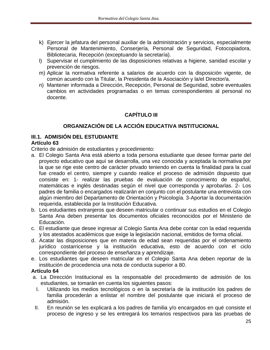- k) Ejercer la jefatura del personal auxiliar de la administración y servicios, especialmente Personal de Mantenimiento, Conserjería, Personal de Seguridad, Fotocopiadora, Bibliotecaria, Recepción (exceptuando la secretaría).
- l) Supervisar el cumplimiento de las disposiciones relativas a higiene, sanidad escolar y prevención de riesgos.
- m) Aplicar la normativa referente a salarios de acuerdo con la disposición vigente, de común acuerdo con la Titular, la Presidenta de la Asociación y la/el Director/a.
- <span id="page-24-0"></span>n) Mantener informada a Dirección, Recepción, Personal de Seguridad, sobre eventuales cambios en actividades programadas o en temas correspondientes al personal no docente.

# **CAPÍTULO III**

# **ORGANIZACIÓN DE LA ACCIÓN EDUCATIVA INSTITUCIONAL**

# <span id="page-24-2"></span><span id="page-24-1"></span>**III.1. ADMISIÓN DEL ESTUDIANTE**

#### **Artículo 63**

Criterio de admisión de estudiantes y procedimiento:

- a. El Colegio Santa Ana está abierto a toda persona estudiante que desee formar parte del proyecto educativo que aquí se desarrolla, una vez conocida y aceptada la normativa por la que se rige este centro de carácter privado teniendo en cuenta la finalidad para la cual fue creado el centro, siempre y cuando realice el proceso de admisión dispuesto que consiste en: 1- realizar las pruebas de evaluación de conocimiento de español, matemáticas e inglés destinadas según el nivel que corresponda y aprobarlas. 2- Los padres de familia o encargados realizarán en conjunto con el postulante una entrevista con algún miembro del Departamento de Orientación y Psicología. 3-Aportar la documentación requerida, establecida por la Institución Educativa.
- b. Los estudiantes extranjeros que deseen matricular o continuar sus estudios en el Colegio Santa Ana deben presentar los documentos oficiales reconocidos por el Ministerio de Educación.
- c. El estudiante que desee ingresar al Colegio Santa Ana debe contar con la edad requerida y los atestados académicos que exige la legislación nacional, emitidos de forma oficial.
- d. Acatar las disposiciones que en materia de edad sean requeridas por el ordenamiento jurídico costarricense y la institución educativa, esto de acuerdo con el ciclo correspondiente del proceso de enseñanza y aprendizaje.
- e. Los estudiantes que deseen matricular en el Colegio Santa Ana deben reportar de la institución de procedencia una nota de conducta superior a 80.

- a. La Dirección Institucional es la responsable del procedimiento de admisión de los estudiantes, se tomarán en cuenta los siguientes pasos:
	- I. Utilizando los medios tecnológicos o en la secretaría de la institución los padres de familia procederán a enlistar el nombre del postulante que iniciará el proceso de admisión.
- II. En reunión se les explicará a los padres de familia y/o encargados en qué consiste el proceso de ingreso y se les entregará los temarios respectivos para las pruebas de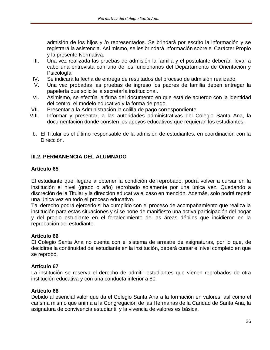admisión de los hijos y /o representados. Se brindará por escrito la información y se registrará la asistencia. Así mismo, se les brindará información sobre el Carácter Propio y la presente Normativa.

- III. Una vez realizada las pruebas de admisión la familia y el postulante deberán llevar a cabo una entrevista con uno de los funcionarios del Departamento de Orientación y Psicología.
- IV. Se indicará la fecha de entrega de resultados del proceso de admisión realizado.
- V. Una vez probadas las pruebas de ingreso los padres de familia deben entregar la papelería que solicite la secretaría institucional.
- VI. Asimismo, se efectúa la firma del documento en que está de acuerdo con la identidad del centro, el modelo educativo y la forma de pago.
- VII. Presentar a la Administración la colilla de pago correspondiente.
- VIII. Informar y presentar, a las autoridades administrativas del Colegio Santa Ana, la documentación donde consten los apoyos educativos que requieran los estudiantes.
- b. El Titular es el último responsable de la admisión de estudiantes, en coordinación con la Dirección.

#### <span id="page-25-0"></span>**III.2. PERMANENCIA DEL ALUMNADO**

#### **Artículo 65**

El estudiante que llegare a obtener la condición de reprobado, podrá volver a cursar en la institución el nivel (grado o año) reprobado solamente por una única vez. Quedando a discreción de la Titular y la dirección educativa el caso en mención. Además, solo podrá repetir una única vez en todo el proceso educativo.

Tal derecho podrá ejercerlo si ha cumplido con el proceso de acompañamiento que realiza la institución para estas situaciones y si se pone de manifiesto una activa participación del hogar y del propio estudiante en el fortalecimiento de las áreas débiles que incidieron en la reprobación del estudiante.

#### **Artículo 66**

El Colegio Santa Ana no cuenta con el sistema de arrastre de asignaturas, por lo que, de decidirse la continuidad del estudiante en la institución, deberá cursar el nivel completo en que se reprobó.

#### **Artículo 67**

La institución se reserva el derecho de admitir estudiantes que vienen reprobados de otra institución educativa y con una conducta inferior a 80.

#### **Artículo 68**

Debido al esencial valor que da el Colegio Santa Ana a la formación en valores, así como el carisma mismo que anima a la Congregación de las Hermanas de la Caridad de Santa Ana, la asignatura de convivencia estudiantil y la vivencia de valores es básica.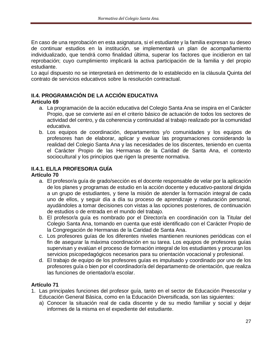En caso de una reprobación en esta asignatura, si el estudiante y la familia expresan su deseo de continuar estudios en la institución, se implementará un plan de acompañamiento individualizado, que tendrá como finalidad última, superar los factores que incidieron en tal reprobación; cuyo cumplimiento implicará la activa participación de la familia y del propio estudiante.

Lo aquí dispuesto no se interpretará en detrimento de lo establecido en la cláusula Quinta del contrato de servicios educativos sobre la resolución contractual.

## <span id="page-26-0"></span>**II.4. PROGRAMACIÓN DE LA ACCIÓN EDUCATIVA**

## **Articulo 69**

- a. La programación de la acción educativa del Colegio Santa Ana se inspira en el Carácter Propio, que se convierte así en el criterio básico de actuación de todos los sectores de actividad del centro, y da coherencia y continuidad al trabajo realizado por la comunidad educativa.
- b. Los equipos de coordinación, departamentos y/o comunidades y los equipos de profesores han de elaborar, aplicar y evaluar las programaciones considerando la realidad del Colegio Santa Ana y las necesidades de los discentes, teniendo en cuenta el Carácter Propio de las Hermanas de la Caridad de Santa Ana, el contexto sociocultural y los principios que rigen la presente normativa.

# <span id="page-26-1"></span>**II.4.1. EL/LA PROFESOR/A GUÍA**

## **Artículo 70**

- a. El profesor/a guía de grado/sección es el docente responsable de velar por la aplicación de los planes y programas de estudio en la acción docente y educativo-pastoral dirigida a un grupo de estudiantes, y tiene la misión de atender la formación integral de cada uno de ellos, y seguir día a día su proceso de aprendizaje y maduración personal, ayudándoles a tomar decisiones con vistas a las opciones posteriores, de continuación de estudios o de entrada en el mundo del trabajo.
- b. El profesor/a guía es nombrado por el Director/a en coordinación con la Titular del Colegio Santa Ana, tomando en cuenta que esté identificado con el Carácter Propio de la Congregación de Hermanas de la Caridad de Santa Ana.
- c. Los profesores guías de los diferentes niveles mantienen reuniones periódicas con el fin de asegurar la máxima coordinación en su tarea. Los equipos de profesores guías supervisan y evalúan el proceso de formación integral de los estudiantes y procuran los servicios psicopedagógicos necesarios para su orientación vocacional y profesional.
- d. El trabajo de equipo de los profesores guías es impulsado y coordinado por uno de los profesores guía o bien por el coordinador/a del departamento de orientación, que realiza las funciones de orientador/a escolar.

- 1. Las principales funciones del profesor guía, tanto en el sector de Educación Preescolar y Educación General Básica, como en la Educación Diversificada, son las siguientes:
	- a) Conocer la situación real de cada discente y de su medio familiar y social y dejar informes de la misma en el expediente del estudiante.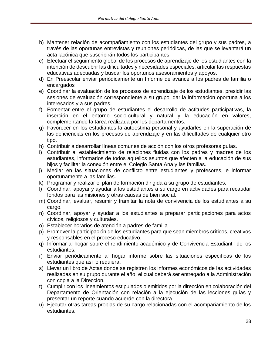- b) Mantener relación de acompañamiento con los estudiantes del grupo y sus padres, a través de las oportunas entrevistas y reuniones periódicas, de las que se levantará un acta lacónica que suscribirán todos los participantes.
- c) Efectuar el seguimiento global de los procesos de aprendizaje de los estudiantes con la intención de descubrir las dificultades y necesidades especiales, articular las respuestas educativas adecuadas y buscar los oportunos asesoramientos y apoyos.
- d) En Preescolar enviar periódicamente un Informe de avance a los padres de familia o encargados
- e) Coordinar la evaluación de los procesos de aprendizaje de los estudiantes, presidir las sesiones de evaluación correspondiente a su grupo, dar la información oportuna a los interesados y a sus padres.
- f) Fomentar entre el grupo de estudiantes el desarrollo de actitudes participativas, la inserción en el entorno socio-cultural y natural y la educación en valores, complementando la tarea realizada por los departamentos.
- g) Favorecer en los estudiantes la autoestima personal y ayudarles en la superación de las deficiencias en los procesos de aprendizaje y en las dificultades de cualquier otro tipo.
- h) Contribuir a desarrollar líneas comunes de acción con los otros profesores guías.
- i) Contribuir al establecimiento de relaciones fluidas con los padres y madres de los estudiantes, informarlos de todos aquellos asuntos que afecten a la educación de sus hijos y facilitar la conexión entre el Colegio Santa Ana y las familias.
- j) Mediar en las situaciones de conflicto entre estudiantes y profesores, e informar oportunamente a las familias.
- k) Programar y realizar el plan de formación dirigida a su grupo de estudiantes.
- l) Coordinar, apoyar y ayudar a los estudiantes a su cargo en actividades para recaudar fondos para las misiones y otras causas de bien social.
- m) Coordinar, evaluar, resumir y tramitar la nota de convivencia de los estudiantes a su cargo.
- n) Coordinar, apoyar y ayudar a los estudiantes a preparar participaciones para actos cívicos, religiosos y culturales.
- o) Establecer horarios de atención a padres de familia
- p) Promover la participación de los estudiantes para que sean miembros críticos, creativos y responsables en el proceso educativo.
- q) Informar al hogar sobre el rendimiento académico y de Convivencia Estudiantil de los estudiantes.
- r) Enviar periódicamente al hogar informe sobre las situaciones específicas de los estudiantes que así lo requiera.
- s) Llevar un libro de Actas donde se registren los informes económicos de las actividades realizadas en su grupo durante el año, el cual deberá ser entregado a la Administración con copia a la Dirección.
- t) Cumplir con los lineamientos estipulados o emitidos por la dirección en colaboración del Departamento de Orientación con relación a la ejecución de las lecciones guías y presentar un reporte cuando acuerde con la directora
- u) Ejecutar otras tareas propias de su cargo relacionadas con el acompañamiento de los estudiantes.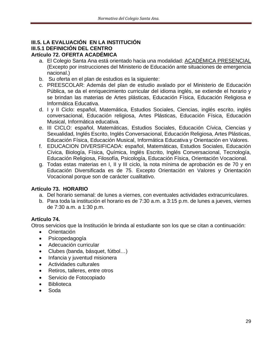## <span id="page-28-1"></span><span id="page-28-0"></span>**III.5. LA EVALUACIÓN EN LA INSTITUCIÓN III.5.1 DEFINICIÓN DEL CENTRO Artículo 72. OFERTA ACADÉMICA**

- a. El Colegio Santa Ana está orientado hacia una modalidad: ACADÉMICA PRESENCIAL (Excepto por instrucciones del Ministerio de Educación ante situaciones de emergencia nacional.)
- b. Su oferta en el plan de estudios es la siguiente:
- c. PREESCOLAR: Además del plan de estudio avalado por el Ministerio de Educación Pública, se da el enriquecimiento curricular del idioma inglés, se extiende el horario y se brindan las materias de Artes plásticas, Educación Física, Educación Religiosa e Informática Educativa.
- d. I y II Ciclo: español, Matemática, Estudios Sociales, Ciencias, inglés escrito, inglés conversacional, Educación religiosa, Artes Plásticas, Educación Física, Educación Musical, Informática educativa.
- e. III CICLO: español, Matemáticas, Estudios Sociales, Educación Cívica, Ciencias y Sexualidad, Inglés Escrito, Inglés Conversacional, Educación Religiosa, Artes Plásticas, Educación Física, Educación Musical, Informática Educativa y Orientación en Valores.
- f. EDUCACION DIVERSIFICADA: español, Matemáticas, Estudios Sociales, Educación Cívica, Biología, Física, Química, Inglés Escrito, Inglés Conversacional, Tecnología, Educación Religiosa, Filosofía, Psicología, Educación Física, Orientación Vocacional.
- g. Todas estas materias en I, II y III ciclo, la nota mínima de aprobación es de 70 y en Educación Diversificada es de 75. Excepto Orientación en Valores y Orientación Vocacional porque son de carácter cualitativo.

# **Artículo 73. HORARIO**

- a. Del horario semanal: de lunes a viernes, con eventuales actividades extracurriculares.
- b. Para toda la institución el horario es de 7:30 a.m. a 3:15 p.m. de lunes a jueves, viernes de 7:30 a.m. a 1:30 p.m.

# **Artículo 74.**

Otros servicios que la Institución le brinda al estudiante son los que se citan a continuación:

- Orientación
- Psicopedagogía
- Adecuación curricular
- Clubes (banda, básquet, fútbol…)
- Infancia y juventud misionera
- Actividades culturales
- Retiros, talleres, entre otros
- Servicio de Fotocopiado
- Biblioteca
- Soda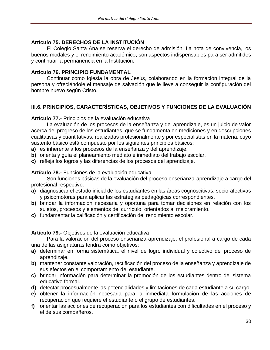## **Artículo 75. DERECHOS DE LA INSTITUCIÓN**

El Colegio Santa Ana se reserva el derecho de admisión. La nota de convivencia, los buenos modales y el rendimiento académico, son aspectos indispensables para ser admitidos y continuar la permanencia en la Institución.

## **Artículo 76. PRINCIPIO FUNDAMENTAL**

Continuar como Iglesia la obra de Jesús, colaborando en la formación integral de la persona y ofreciéndole el mensaje de salvación que le lleve a conseguir la configuración del hombre nuevo según Cristo.

# <span id="page-29-0"></span>**III.6. PRINCIPIOS, CARACTERÍSTICAS, OBJETIVOS Y FUNCIONES DE LA EVALUACIÓN**

**Artículo 77.-** Principios de la evaluación educativa

La evaluación de los procesos de la enseñanza y del aprendizaje, es un juicio de valor acerca del progreso de los estudiantes, que se fundamenta en mediciones y en descripciones cualitativas y cuantitativas, realizadas profesionalmente y por especialistas en la materia, cuyo sustento básico está compuesto por los siguientes principios básicos:

- **a)** es inherente a los procesos de la enseñanza y del aprendizaje.
- **b)** orienta y guía el planeamiento mediato e inmediato del trabajo escolar.
- **c)** refleja los logros y las diferencias de los procesos del aprendizaje.

#### **Artículo 78.-** Funciones de la evaluación educativa

Son funciones básicas de la evaluación del proceso enseñanza-aprendizaje a cargo del profesional respectivo:

- **a)** diagnosticar el estado inicial de los estudiantes en las áreas cognoscitivas, socio-afectivas y psicomotoras para aplicar las estrategias pedagógicas correspondientes.
- **b)** brindar la información necesaria y oportuna para tomar decisiones en relación con los sujetos, procesos y elementos del currículo, orientados al mejoramiento.
- **c)** fundamentar la calificación y certificación del rendimiento escolar.

## **Artículo 79.-** Objetivos de la evaluación educativa

Para la valoración del proceso enseñanza-aprendizaje, el profesional a cargo de cada una de las asignaturas tendrá como objetivos:

- **a)** determinar en forma sistemática, el nivel de logro individual y colectivo del proceso de aprendizaje.
- **b)** mantener constante valoración, rectificación del proceso de la enseñanza y aprendizaje de sus efectos en el comportamiento del estudiante.
- **c)** brindar información para determinar la promoción de los estudiantes dentro del sistema educativo formal.
- **d)** detectar procesualmente las potencialidades y limitaciones de cada estudiante a su cargo.
- **e)** obtener la información necesaria para la inmediata formulación de las acciones de recuperación que requiere el estudiante o el grupo de estudiantes.
- **f)** orientar las acciones de recuperación para los estudiantes con dificultades en el proceso y el de sus compañeros.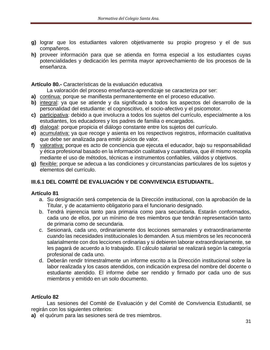- **g)** lograr que los estudiantes valoren objetivamente su propio progreso y el de sus compañeros.
- **h)** proveer información para que se atienda en forma especial a los estudiantes cuyas potencialidades y dedicación les permita mayor aprovechamiento de los procesos de la enseñanza.

**Artículo 80.-** Características de la evaluación educativa

La valoración del proceso enseñanza-aprendizaje se caracteriza por ser:

- **a)** continua: porque se manifiesta permanentemente en el proceso educativo.
- **b)** integral: ya que se atiende y da significado a todos los aspectos del desarrollo de la personalidad del estudiante: el cognoscitivo, el socio-afectivo y el psicomotor.
- **c)** participativa: debido a que involucra a todos los sujetos del currículo, especialmente a los estudiantes, los educadores y los padres de familia o encargados.
- **d)** dialogal: porque propicia el diálogo constante entre los sujetos del currículo.
- **e)** acumulativa: ya que recoge y asienta en los respectivos registros, información cualitativa que debe ser analizada para emitir juicios de valor.
- **f)** valorativa: porque es acto de conciencia que ejecuta el educador, bajo su responsabilidad y ética profesional basado en la información cualitativa y cuantitativa, que él mismo recopila mediante el uso de métodos, técnicas e instrumentos confiables, válidos y objetivos.
- **g)** flexible: porque se adecua a las condiciones y circunstancias particulares de los sujetos y elementos del currículo.

# <span id="page-30-0"></span>**III.6.1 DEL COMITÉ DE EVALUACIÓN Y DE CONVIVENCIA ESTUDIANTIL.**

## **Artículo 81**

- a. Su designación será competencia de la Dirección institucional, con la aprobación de la Titular, y de acatamiento obligatorio para el funcionario designado.
- b. Tendrá injerencia tanto para primaria como para secundaria. Estarán conformados, cada uno de ellos, por un mínimo de tres miembros que tendrán representación tanto de primaria como de secundaria.
- c. Sesionará, cada uno, ordinariamente dos lecciones semanales y extraordinariamente cuando las necesidades institucionales lo demanden. A sus miembros se les reconocerá salarialmente con dos lecciones ordinarias y si debieren laborar extraordinariamente, se les pagará de acuerdo a lo trabajado. El cálculo salarial se realizará según la categoría profesional de cada uno.
- d. Deberán rendir trimestralmente un informe escrito a la Dirección institucional sobre la labor realizada y los casos atendidos, con indicación expresa del nombre del docente o estudiante atendido. El informe debe ser rendido y firmado por cada uno de sus miembros y emitido en un solo documento.

## **Artículo 82**

Las sesiones del Comité de Evaluación y del Comité de Convivencia Estudiantil, se regirán con los siguientes criterios:

**a)** el quórum para las sesiones será de tres miembros.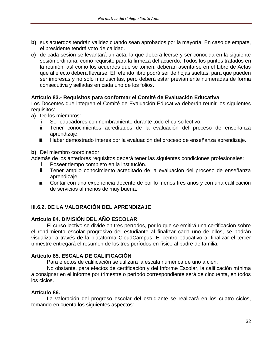- **b)** sus acuerdos tendrán validez cuando sean aprobados por la mayoría. En caso de empate, el presidente tendrá voto de calidad.
- **c)** de cada sesión se levantará un acta, la que deberá leerse y ser conocida en la siguiente sesión ordinaria, como requisito para la firmeza del acuerdo. Todos los puntos tratados en la reunión, así como los acuerdos que se tomen, deberán asentarse en el Libro de Actas que al efecto deberá llevarse. El referido libro podrá ser de hojas sueltas, para que pueden ser impresas y no solo manuscritas, pero deberá estar previamente numeradas de forma consecutiva y selladas en cada uno de los folios.

#### **Artículo 83.- Requisitos para conformar el Comité de Evaluación Educativa**

Los Docentes que integren el Comité de Evaluación Educativa deberán reunir los siguientes requisitos:

- **a)** De los miembros:
	- i. Ser educadores con nombramiento durante todo el curso lectivo.
	- ii. Tener conocimientos acreditados de la evaluación del proceso de enseñanza aprendizaje.
	- iii. Haber demostrado interés por la evaluación del proceso de enseñanza aprendizaje.

#### **b)** Del miembro coordinador

Además de los anteriores requisitos deberá tener las siguientes condiciones profesionales:

- i. Poseer tiempo completo en la institución.
- ii. Tener amplio conocimiento acreditado de la evaluación del proceso de enseñanza aprendizaje.
- iii. Contar con una experiencia docente de por lo menos tres años y con una calificación de servicios al menos de muy buena.

# <span id="page-31-0"></span>**III.6.2. DE LA VALORACIÓN DEL APRENDIZAJE**

## **Artículo 84. DIVISIÓN DEL AÑO ESCOLAR**

El curso lectivo se divide en tres períodos, por lo que se emitirá una certificación sobre el rendimiento escolar progresivo del estudiante al finalizar cada uno de ellos, se podrán visualizar a través de la plataforma CloudCampus. El centro educativo al finalizar el tercer trimestre entregará el resumen de los tres períodos en físico al padre de familia.

## **Artículo 85. ESCALA DE CALIFICACIÓN**

Para efectos de calificación se utilizará la escala numérica de uno a cien.

No obstante, para efectos de certificación y del Informe Escolar, la calificación mínima a consignar en el informe por trimestre o período correspondiente será de cincuenta, en todos los ciclos.

#### **Artículo 86.**

La valoración del progreso escolar del estudiante se realizará en los cuatro ciclos, tomando en cuenta los siguientes aspectos: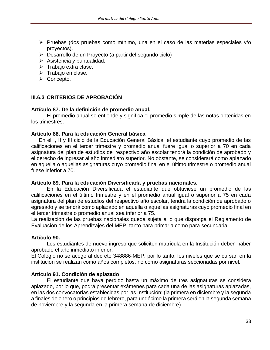- ➢ Pruebas (dos pruebas como mínimo, una en el caso de las materias especiales y/o proyectos).
- ➢ Desarrollo de un Proyecto (a partir del segundo ciclo)
- $\triangleright$  Asistencia y puntualidad.
- ➢ Trabajo extra clase.
- ➢ Trabajo en clase.
- ➢ Concepto.

## <span id="page-32-0"></span>**III.6.3 CRITERIOS DE APROBACIÓN**

#### **Artículo 87. De la definición de promedio anual.**

El promedio anual se entiende y significa el promedio simple de las notas obtenidas en los trimestres.

#### **Artículo 88. Para la educación General básica**

En el I, II y III ciclo de la Educación General Básica, el estudiante cuyo promedio de las calificaciones en el tercer trimestre y promedio anual fuere igual o superior a 70 en cada asignatura del plan de estudios del respectivo año escolar tendrá la condición de aprobado y el derecho de ingresar al año inmediato superior. No obstante, se considerará como aplazado en aquella o aquellas asignaturas cuyo promedio final en el último trimestre o promedio anual fuese inferior a 70.

#### **Artículo 89. Para la educación Diversificada y pruebas nacionales.**

En la Educación Diversificada el estudiante que obtuviese un promedio de las calificaciones en el último trimestre y en el promedio anual igual o superior a 75 en cada asignatura del plan de estudios del respectivo año escolar, tendrá la condición de aprobado o egresado y se tendrá como aplazado en aquella o aquellas asignaturas cuyo promedio final en el tercer trimestre o promedio anual sea inferior a 75.

La realización de las pruebas nacionales queda sujeta a lo que disponga el Reglamento de Evaluación de los Aprendizajes del MEP, tanto para primaria como para secundaria.

## **Artículo 90.**

Los estudiantes de nuevo ingreso que soliciten matrícula en la Institución deben haber aprobado el año inmediato inferior.

El Colegio no se acoge al decreto 348886-MEP, por lo tanto, los niveles que se cursan en la institución se realizan como años completos, no como asignaturas seccionadas por nivel.

## **Artículo 91. Condición de aplazado**

El estudiante que haya perdido hasta un máximo de tres asignaturas se considera aplazado, por lo que, podrá presentar exámenes para cada una de las asignaturas aplazadas, en las dos convocatorias establecidas por las Institución: (la primera en diciembre y la segunda a finales de enero o principios de febrero, para undécimo la primera será en la segunda semana de noviembre y la segunda en la primera semana de diciembre).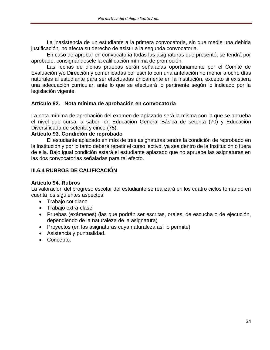La inasistencia de un estudiante a la primera convocatoria, sin que medie una debida justificación, no afecta su derecho de asistir a la segunda convocatoria.

En caso de aprobar en convocatoria todas las asignaturas que presentó, se tendrá por aprobado, consignándosele la calificación mínima de promoción.

Las fechas de dichas pruebas serán señaladas oportunamente por el Comité de Evaluación y/o Dirección y comunicadas por escrito con una antelación no menor a ocho días naturales al estudiante para ser efectuadas únicamente en la Institución, excepto si existiera una adecuación curricular, ante lo que se efectuará lo pertinente según lo indicado por la legislación vigente.

#### **Artículo 92. Nota mínima de aprobación en convocatoria**

La nota mínima de aprobación del examen de aplazado será la misma con la que se aprueba el nivel que cursa, a saber, en Educación General Básica de setenta (70) y Educación Diversificada de setenta y cinco (75).

#### **Artículo 93. Condición de reprobado**

El estudiante aplazado en más de tres asignaturas tendrá la condición de reprobado en la Institución y por lo tanto deberá repetir el curso lectivo, ya sea dentro de la Institución o fuera de ella. Bajo igual condición estará el estudiante aplazado que no apruebe las asignaturas en las dos convocatorias señaladas para tal efecto.

## <span id="page-33-0"></span>**III.6.4 RUBROS DE CALIFICACIÓN**

#### **Artículo 94. Rubros**

La valoración del progreso escolar del estudiante se realizará en los cuatro ciclos tomando en cuenta los siguientes aspectos:

- Trabajo cotidiano
- Trabajo extra-clase
- Pruebas (exámenes) (las que podrán ser escritas, orales, de escucha o de ejecución, dependiendo de la naturaleza de la asignatura)
- Proyectos (en las asignaturas cuya naturaleza así lo permite)
- Asistencia y puntualidad.
- Concepto.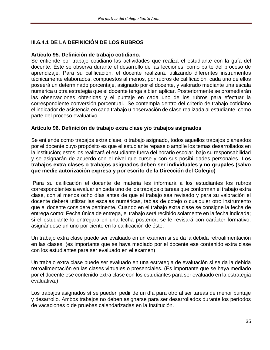# **III.6.4.1 DE LA DEFINICIÓN DE LOS RUBROS**

#### **Artículo 95. Definición de trabajo cotidiano.**

Se entiende por trabajo cotidiano las actividades que realiza el estudiante con la guía del docente. Éste se observa durante el desarrollo de las lecciones, como parte del proceso de aprendizaje. Para su calificación, el docente realizará, utilizando diferentes instrumentos técnicamente elaborados, compuestos al menos, por rubros de calificación, cada uno de ellos poseerá un determinado porcentaje, asignado por el docente, y valorado mediante una escala numérica u otra estrategia que el docente tenga a bien aplicar. Posteriormente se promediarán las observaciones obtenidas y el puntaje en cada uno de los rubros para efectuar la correspondiente conversión porcentual. Se contempla dentro del criterio de trabajo cotidiano el indicador de asistencia en cada trabajo u observación de clase realizada al estudiante, como parte del proceso evaluativo.

#### **Artículo 96. Definición de trabajo extra clase y/o trabajos asignados**

Se entiende como trabajos extra clase, o trabajo asignado, todos aquellos trabajos planeados por el docente cuyo propósito es que el estudiante repase o amplíe los temas desarrollados en la institución; estos los realizará el estudiante fuera del horario escolar, bajo su responsabilidad y se asignarán de acuerdo con el nivel que curse y con sus posibilidades personales. **Los trabajos extra clases o trabajos asignados deben ser individuales y no grupales (salvo que medie autorización expresa y por escrito de la Dirección del Colegio)**

Para su calificación el docente de materia les informará a los estudiantes los rubros correspondientes a evaluar en cada uno de los trabajos o tareas que conforman el trabajo extra clase, con al menos ocho días antes de que el trabajo sea revisado y para su valoración el docente deberá utilizar las escalas numéricas, tablas de cotejo o cualquier otro instrumento que el docente considere pertinente. Cuando en el trabajo extra clase se consigne la fecha de entrega como: Fecha única de entrega, el trabajo será recibido solamente en la fecha indicada; si el estudiante lo entregara en una fecha posterior, se le revisará con carácter formativo, asignándose un uno por ciento en la calificación de éste.

Un trabajo extra clase puede ser evaluado en un examen si se da la debida retroalimentación en las clases. (es importante que se haya mediado por el docente ese contenido extra clase con los estudiantes para ser evaluado en el examen)

Un trabajo extra clase puede ser evaluado en una estrategia de evaluación si se da la debida retroalimentación en las clases virtuales o presenciales. (Es importante que se haya mediado por el docente ese contenido extra clase con los estudiantes para ser evaluado en la estrategia evaluativa.)

Los trabajos asignados sí se pueden pedir de un día para otro al ser tareas de menor puntaje y desarrollo. Ambos trabajos no deben asignarse para ser desarrollados durante los períodos de vacaciones o de pruebas calendarizadas en la Institución.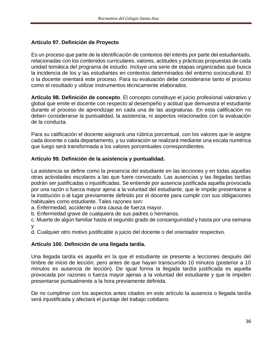## **Artículo 97. Definición de Proyecto**

Es un proceso que parte de la identificación de contextos del interés por parte del estudiantado, relacionadas con los contenidos curriculares, valores, actitudes y prácticas propuestas de cada unidad temática del programa de estudio. Incluye una serie de etapas organizadas que busca la incidencia de los y las estudiantes en contextos determinados del entorno sociocultural. El o la docente orientará este proceso. Para su evaluación debe considerarse tanto el proceso como el resultado y utilizar instrumentos técnicamente elaborados.

**Artículo 98. Definición de concepto**. El concepto constituye el juicio profesional valorativo y global que emite el docente con respecto al desempeño y actitud que demuestra el estudiante durante el proceso de aprendizaje en cada una de las asignaturas. En esta calificación no deben considerarse la puntualidad, la asistencia, ni aspectos relacionados con la evaluación de la conducta.

Para su calificación el docente asignará una rúbrica porcentual, con los valores que le asigne cada docente o cada departamento, y su valoración se realizará mediante una escala numérica que luego será transformada a los valores porcentuales correspondientes.

## **Artículo 99. Definición de la asistencia y puntualidad.**

La asistencia se define como la presencia del estudiante en las lecciones y en todas aquellas otras actividades escolares a las que fuere convocado. Las ausencias y las llegadas tardías podrán ser justificadas o injustificadas. Se entiende por ausencia justificada aquella provocada por una razón o fuerza mayor ajena a la voluntad del estudiante, que le impide presentarse a la institución o al lugar previamente definido por el docente para cumplir con sus obligaciones habituales como estudiante. Tales razones son:

a. Enfermedad, accidente u otra causa de fuerza mayor.

b. Enfermedad grave de cualquiera de sus padres o hermanos.

c. Muerte de algún familiar hasta el segundo grado de consanguinidad y hasta por una semana y

d. Cualquier otro motivo justificable a juicio del docente o del orientador respectivo.

## **Artículo 100. Definición de una llegada tardía.**

Una llegada tardía es aquella en la que el estudiante se presente a lecciones después del timbre de inicio de lección, pero antes de que hayan transcurrido 10 minutos (posterior a 10 minutos es ausencia de lección). De igual forma la llegada tardía justificada es aquella provocada por razones o fuerza mayor ajenas a la voluntad del estudiante y que le impiden presentarse puntualmente a la hora previamente definida.

De no cumplirse con los aspectos antes citados en este artículo la ausencia o llegada tardía será injustificada y afectará el puntaje del trabajo cotidiano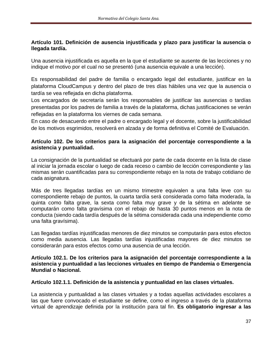# **Artículo 101. Definición de ausencia injustificada y plazo para justificar la ausencia o llegada tardía.**

Una ausencia injustificada es aquella en la que el estudiante se ausente de las lecciones y no indique el motivo por el cual no se presentó (una ausencia equivale a una lección).

Es responsabilidad del padre de familia o encargado legal del estudiante, justificar en la plataforma CloudCampus y dentro del plazo de tres días hábiles una vez que la ausencia o tardía se vea reflejada en dicha plataforma.

Los encargados de secretaría serán los responsables de justificar las ausencias o tardías presentadas por los padres de familia a través de la plataforma, dichas justificaciones se verán reflejadas en la plataforma los viernes de cada semana.

En caso de desacuerdo entre el padre o encargado legal y el docente, sobre la justificabilidad de los motivos esgrimidos, resolverá en alzada y de forma definitiva el Comité de Evaluación.

## **Artículo 102. De los criterios para la asignación del porcentaje correspondiente a la asistencia y puntualidad.**

La consignación de la puntualidad se efectuará por parte de cada docente en la lista de clase al iniciar la jornada escolar o luego de cada receso o cambio de lección correspondiente y las mismas serán cuantificadas para su correspondiente rebajo en la nota de trabajo cotidiano de cada asignatura.

Más de tres llegadas tardías en un mismo trimestre equivalen a una falta leve con su correspondiente rebajo de puntos, la cuarta tardía será considerada como falta moderada, la quinta como falta grave, la sexta como falta muy grave y de la sétima en adelante se computarán como falta gravísima con el rebajo de hasta 30 puntos menos en la nota de conducta (siendo cada tardía después de la sétima considerada cada una independiente como una falta gravísima).

Las llegadas tardías injustificadas menores de diez minutos se computarán para estos efectos como media ausencia. Las llegadas tardías injustificadas mayores de diez minutos se considerarán para estos efectos como una ausencia de una lección.

#### **Artículo 102.1. De los criterios para la asignación del porcentaje correspondiente a la asistencia y puntualidad a las lecciones virtuales en tiempo de Pandemia o Emergencia Mundial o Nacional.**

#### **Artículo 102.1.1. Definición de la asistencia y puntualidad en las clases virtuales.**

La asistencia y puntualidad a las clases virtuales y a todas aquellas actividades escolares a las que fuere convocado el estudiante se define, como el ingreso a través de la plataforma virtual de aprendizaje definida por la institución para tal fin. **Es obligatorio ingresar a las**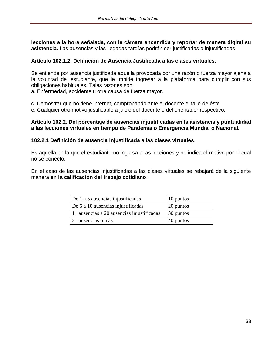**lecciones a la hora señalada, con la cámara encendida y reportar de manera digital su asistencia.** Las ausencias y las llegadas tardías podrán ser justificadas o injustificadas.

## **Artículo 102.1.2. Definición de Ausencia Justificada a las clases virtuales.**

Se entiende por ausencia justificada aquella provocada por una razón o fuerza mayor ajena a la voluntad del estudiante, que le impide ingresar a la plataforma para cumplir con sus obligaciones habituales. Tales razones son:

a. Enfermedad, accidente u otra causa de fuerza mayor.

c. Demostrar que no tiene internet, comprobando ante el docente el fallo de éste.

e. Cualquier otro motivo justificable a juicio del docente o del orientador respectivo.

#### **Artículo 102.2. Del porcentaje de ausencias injustificadas en la asistencia y puntualidad a las lecciones virtuales en tiempo de Pandemia o Emergencia Mundial o Nacional.**

#### **102.2.1 Definición de ausencia injustificada a las clases virtuales**.

Es aquella en la que el estudiante no ingresa a las lecciones y no indica el motivo por el cual no se conectó.

En el caso de las ausencias injustificadas a las clases virtuales se rebajará de la siguiente manera **en la calificación del trabajo cotidiano**:

| De 1 a 5 ausencias injustificadas          | 10 puntos |
|--------------------------------------------|-----------|
| De 6 a 10 ausencias injustificadas         | 20 puntos |
| 11 ausencias a 20 ausencias injustificadas | 30 puntos |
| 21 ausencias o más                         | 40 puntos |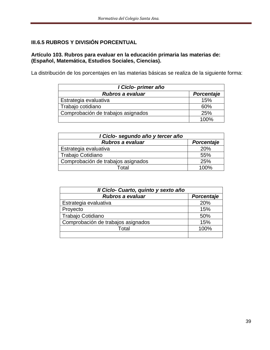# **III.6.5 RUBROS Y DIVISIÓN PORCENTUAL**

# **Artículo 103. Rubros para evaluar en la educación primaria las materias de: (Español, Matemática, Estudios Sociales, Ciencias).**

La distribución de los porcentajes en las materias básicas se realiza de la siguiente forma:

| I Ciclo- primer año                |            |
|------------------------------------|------------|
| <b>Rubros a evaluar</b>            | Porcentaje |
| Estrategia evaluativa              | 15%        |
| Trabajo cotidiano                  | 60%        |
| Comprobación de trabajos asignados | 25%        |
|                                    | 100%       |

| I Ciclo- segundo año y tercer año  |            |
|------------------------------------|------------|
| Rubros a evaluar                   | Porcentaje |
| Estrategia evaluativa              | 20%        |
| Trabajo Cotidiano                  | 55%        |
| Comprobación de trabajos asignados | 25%        |
| Total                              | 100%       |

| Il Ciclo- Cuarto, quinto y sexto año |            |
|--------------------------------------|------------|
| <b>Rubros a evaluar</b>              | Porcentaje |
| Estrategia evaluativa                | 20%        |
| Proyecto                             | 15%        |
| Trabajo Cotidiano                    | 50%        |
| Comprobación de trabajos asignados   | 15%        |
| Total                                | 100%       |
|                                      |            |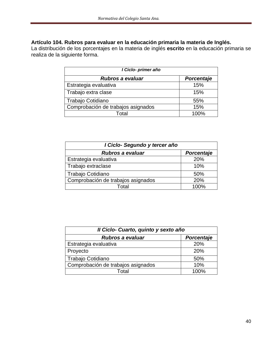## **Artículo 104. Rubros para evaluar en la educación primaria la materia de Inglés.**

La distribución de los porcentajes en la materia de inglés **escrito** en la educación primaria se realiza de la siguiente forma.

| I Ciclo- primer año                |            |
|------------------------------------|------------|
| Rubros a evaluar                   | Porcentaje |
| Estrategia evaluativa              | 15%        |
| Trabajo extra clase                | 15%        |
| Trabajo Cotidiano                  | 55%        |
| Comprobación de trabajos asignados | 15%        |
| Total                              | 100%       |

| I Ciclo- Segundo y tercer año      |            |
|------------------------------------|------------|
| Rubros a evaluar                   | Porcentaje |
| Estrategia evaluativa              | 20%        |
| Trabajo extraclase                 | 10%        |
| Trabajo Cotidiano                  | 50%        |
| Comprobación de trabajos asignados | 20%        |
| Total                              | 100%       |

| Il Ciclo- Cuarto, quinto y sexto año |            |
|--------------------------------------|------------|
| <b>Rubros a evaluar</b>              | Porcentaje |
| Estrategia evaluativa                | 20%        |
| Proyecto                             | 20%        |
| Trabajo Cotidiano                    | 50%        |
| Comprobación de trabajos asignados   | 10%        |
| Гоtal                                | 100%       |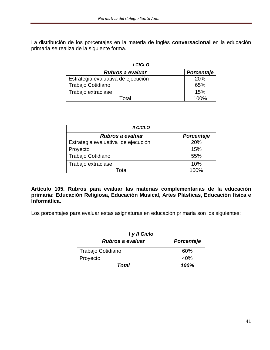La distribución de los porcentajes en la materia de inglés **conversacional** en la educación primaria se realiza de la siguiente forma.

| I CICLO                            |            |
|------------------------------------|------------|
| <b>Rubros a evaluar</b>            | Porcentaje |
| Estrategia evaluativa de ejecución | 20%        |
| Trabajo Cotidiano                  | 65%        |
| Trabajo extraclase                 | 15%        |
| T∩tal                              | 100%       |

| <b>II CICLO</b>                    |            |
|------------------------------------|------------|
| <b>Rubros a evaluar</b>            | Porcentaje |
| Estrategia evaluativa de ejecución | 20%        |
| Proyecto                           | 15%        |
| Trabajo Cotidiano                  | 55%        |
| Trabajo extraclase                 | 10%        |
| Total                              | 100%       |

**Artículo 105. Rubros para evaluar las materias complementarias de la educación primaria: Educación Religiosa, Educación Musical, Artes Plásticas, Educación física e Informática.**

Los porcentajes para evaluar estas asignaturas en educación primaria son los siguientes:

| I y II Ciclo      |            |
|-------------------|------------|
| Rubros a evaluar  | Porcentaje |
| Trabajo Cotidiano | 60%        |
| Proyecto          | 40%        |
| Total             | 100%       |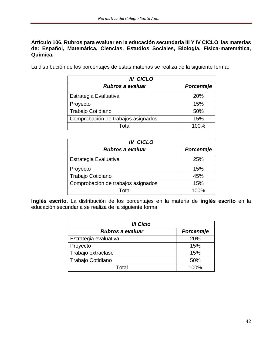#### **Artículo 106. Rubros para evaluar en la educación secundaria III Y IV CICLO las materias de: Español, Matemática, Ciencias, Estudios Sociales, Biología, Física-matemática, Química.**

La distribución de los porcentajes de estas materias se realiza de la siguiente forma:

| <b>III CICLO</b>                   |                   |
|------------------------------------|-------------------|
| Rubros a evaluar                   | <b>Porcentaje</b> |
| Estrategia Evaluativa              | 20%               |
| Proyecto                           | 15%               |
| Trabajo Cotidiano                  | 50%               |
| Comprobación de trabajos asignados | 15%               |
| Total                              | 100%              |

| <b>IV CICLO</b>                    |                   |
|------------------------------------|-------------------|
| Rubros a evaluar                   | <b>Porcentaje</b> |
| Estrategia Evaluativa              | 25%               |
| Proyecto                           | 15%               |
| Trabajo Cotidiano                  | 45%               |
| Comprobación de trabajos asignados | 15%               |
| Total                              | 100%              |

**Inglés escrito.** La distribución de los porcentajes en la materia de **inglés escrito** en la educación secundaria se realiza de la siguiente forma:

| <b>III Ciclo</b>        |            |  |
|-------------------------|------------|--|
| <b>Rubros a evaluar</b> | Porcentaje |  |
| Estrategia evaluativa   | 20%        |  |
| Proyecto                | 15%        |  |
| Trabajo extraclase      | 15%        |  |
| Trabajo Cotidiano       | 50%        |  |
| Total                   | 100%       |  |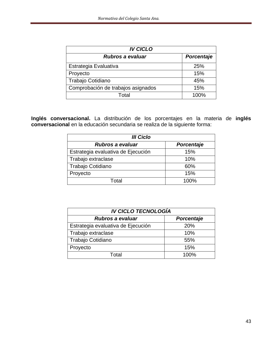| <b>IV CICLO</b>                    |            |  |
|------------------------------------|------------|--|
| <b>Rubros a evaluar</b>            | Porcentaje |  |
| Estrategia Evaluativa              | 25%        |  |
| Proyecto                           | 15%        |  |
| Trabajo Cotidiano                  | 45%        |  |
| Comprobación de trabajos asignados | 15%        |  |
| Total                              | 100%       |  |

**Inglés conversacional.** La distribución de los porcentajes en la materia de **inglés conversacional** en la educación secundaria se realiza de la siguiente forma:

| <b>III Ciclo</b>                   |            |  |
|------------------------------------|------------|--|
| Rubros a evaluar                   | Porcentaje |  |
| Estrategia evaluativa de Ejecución | 15%        |  |
| Trabajo extraclase                 | 10%        |  |
| Trabajo Cotidiano                  | 60%        |  |
| Proyecto                           | 15%        |  |
| Total                              | 100%       |  |

| <b>IV CICLO TECNOLOGÍA</b>         |            |  |
|------------------------------------|------------|--|
| <b>Rubros a evaluar</b>            | Porcentaje |  |
| Estrategia evaluativa de Ejecución | 20%        |  |
| Trabajo extraclase                 | 10%        |  |
| Trabajo Cotidiano                  | 55%        |  |
| Proyecto                           | 15%        |  |
| Total                              | 100%       |  |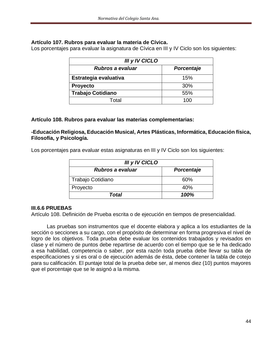#### **Artículo 107. Rubros para evaluar la materia de Cívica.**

Los porcentajes para evaluar la asignatura de Cívica en III y IV Ciclo son los siguientes:

| III y IV CICLO           |                   |  |
|--------------------------|-------------------|--|
| Rubros a evaluar         | <b>Porcentaje</b> |  |
| Estrategia evaluativa    | 15%               |  |
| <b>Proyecto</b>          | 30%               |  |
| <b>Trabajo Cotidiano</b> | 55%               |  |
| Total                    | 100               |  |

## **Artículo 108. Rubros para evaluar las materias complementarias:**

**-Educación Religiosa, Educación Musical, Artes Plásticas, Informática, Educación física, Filosofía, y Psicología.** 

Los porcentajes para evaluar estas asignaturas en III y IV Ciclo son los siguientes:

| III y IV CICLO    |            |  |
|-------------------|------------|--|
| Rubros a evaluar  | Porcentaje |  |
| Trabajo Cotidiano | 60%        |  |
| Proyecto          | 40%        |  |
| Total             | 100%       |  |

#### **III.6.6 PRUEBAS**

Artículo 108. Definición de Prueba escrita o de ejecución en tiempos de presencialidad.

Las pruebas son instrumentos que el docente elabora y aplica a los estudiantes de la sección o secciones a su cargo, con el propósito de determinar en forma progresiva el nivel de logro de los objetivos. Toda prueba debe evaluar los contenidos trabajados y revisados en clase y el número de puntos debe repartirse de acuerdo con el tiempo que se le ha dedicado a esa habilidad, competencia o saber, por esta razón toda prueba debe llevar su tabla de especificaciones y si es oral o de ejecución además de ésta, debe contener la tabla de cotejo para su calificación. El puntaje total de la prueba debe ser, al menos diez (10) puntos mayores que el porcentaje que se le asignó a la misma.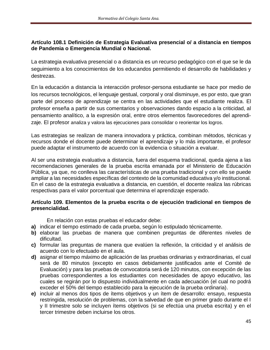# **Artículo 108.1 Definición de Estrategia Evaluativa presencial o/ a distancia en tiempos de Pandemia o Emergencia Mundial o Nacional.**

La estrategia evaluativa presencial o a distancia es un recurso pedagógico con el que se le da seguimiento a los conocimientos de los educandos permitiendo el desarrollo de habilidades y destrezas.

En la educación a distancia la interacción profesor-persona estudiante se hace por medio de los recursos tecnológicos, el lenguaje gestual, corporal y oral disminuye, es por esto, que gran parte del proceso de aprendizaje se centra en las actividades que el estudiante realiza. El profesor enseña a partir de sus comentarios y observaciones dando espacio a la criticidad, al pensamiento analítico, a la expresión oral, entre otros elementos favorecedores del aprendizaje. El profesor analiza y valora las ejecuciones para consolidar o reorientar los logros.

Las estrategias se realizan de manera innovadora y práctica, combinan métodos, técnicas y recursos donde el docente puede determinar el aprendizaje y lo más importante, el profesor puede adaptar el instrumento de acuerdo con la evidencia o situación a evaluar.

Al ser una estrategia evaluativa a distancia, fuera del esquema tradicional, queda ajena a las recomendaciones generales de la prueba escrita emanada por el Ministerio de Educación Pública, ya que, no conlleva las características de una prueba tradicional y con ello se puede ampliar a las necesidades específicas del contexto de la comunidad educativa y/o institucional. En el caso de la estrategia evaluativa a distancia, en cuestión, el docente realiza las rúbricas respectivas para el valor porcentual que determina el aprendizaje esperado.

## **Artículo 109. Elementos de la prueba escrita o de ejecución tradicional en tiempos de presencialidad.**

En relación con estas pruebas el educador debe:

- **a)** indicar el tiempo estimado de cada prueba, según lo estipulado técnicamente.
- **b)** elaborar las pruebas de manera que combinen preguntas de diferentes niveles de dificultad.
- **c)** formular las preguntas de manera que evalúen la reflexión, la criticidad y el análisis de acuerdo con lo efectuado en el aula.
- **d)** asignar el tiempo máximo de aplicación de las pruebas ordinarias y extraordinarias, el cual será de 80 minutos (excepto en casos debidamente justificados ante el Comité de Evaluación) y para las pruebas de convocatoria será de 120 minutos, con excepción de las pruebas correspondientes a los estudiantes con necesidades de apoyo educativo, las cuales se regirán por lo dispuesto individualmente en cada adecuación (el cual no podrá exceder el 50% del tiempo establecido para la ejecución de la prueba ordinaria).
- **e)** incluir al menos dos tipos de ítems objetivos y un ítem de desarrollo: ensayo, respuesta restringida, resolución de problemas, con la salvedad de que en primer grado durante el I y II trimestre solo se incluyen ítems objetivos (si se efectúa una prueba escrita) y en el tercer trimestre deben incluirse los otros.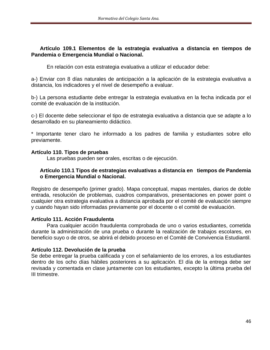# **Artículo 109.1 Elementos de la estrategia evaluativa a distancia en tiempos de Pandemia o Emergencia Mundial o Nacional.**

En relación con esta estrategia evaluativa a utilizar el educador debe:

a-) Enviar con 8 días naturales de anticipación a la aplicación de la estrategia evaluativa a distancia, los indicadores y el nivel de desempeño a evaluar.

b-) La persona estudiante debe entregar la estrategia evaluativa en la fecha indicada por el comité de evaluación de la institución.

c-) El docente debe seleccionar el tipo de estrategia evaluativa a distancia que se adapte a lo desarrollado en su planeamiento didáctico.

\* Importante tener claro he informado a los padres de familia y estudiantes sobre ello previamente.

## **Artículo 110. Tipos de pruebas**

Las pruebas pueden ser orales, escritas o de ejecución.

## **Artículo 110.1 Tipos de estrategias evaluativas a distancia en tiempos de Pandemia o Emergencia Mundial o Nacional.**

Registro de desempeño (primer grado). Mapa conceptual, mapas mentales, diarios de doble entrada, resolución de problemas, cuadros comparativos, presentaciones en power point o cualquier otra estrategia evaluativa a distancia aprobada por el comité de evaluación siempre y cuando hayan sido informadas previamente por el docente o el comité de evaluación.

#### **Artículo 111. Acción Fraudulenta**

Para cualquier acción fraudulenta comprobada de uno o varios estudiantes, cometida durante la administración de una prueba o durante la realización de trabajos escolares, en beneficio suyo o de otros, se abrirá el debido proceso en el Comité de Convivencia Estudiantil.

#### **Artículo 112. Devolución de la prueba**

Se debe entregar la prueba calificada y con el señalamiento de los errores, a los estudiantes dentro de los ocho días hábiles posteriores a su aplicación. El día de la entrega debe ser revisada y comentada en clase juntamente con los estudiantes, excepto la última prueba del III trimestre.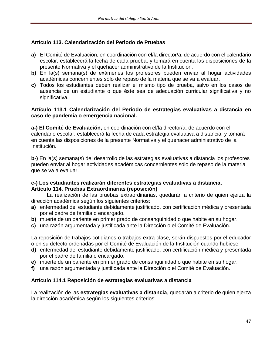# **Artículo 113. Calendarización del Periodo de Pruebas**

- **a)** El Comité de Evaluación, en coordinación con el/la director/a, de acuerdo con el calendario escolar, establecerá la fecha de cada prueba, y tomará en cuenta las disposiciones de la presente Normativa y el quehacer administrativo de la Institución.
- **b)** En la(s) semana(s) de exámenes los profesores pueden enviar al hogar actividades académicas concernientes sólo de repaso de la materia que se va a evaluar.
- **c)** Todos los estudiantes deben realizar el mismo tipo de prueba, salvo en los casos de ausencia de un estudiante o que éste sea de adecuación curricular significativa y no significativa.

#### **Artículo 113.1 Calendarización del Periodo de estrategias evaluativas a distancia en caso de pandemia o emergencia nacional.**

**a-) El Comité de Evaluación,** en coordinación con el/la director/a, de acuerdo con el calendario escolar, establecerá la fecha de cada estrategia evaluativa a distancia, y tomará en cuenta las disposiciones de la presente Normativa y el quehacer administrativo de la Institución.

**b-)** En la(s) semana(s) del desarrollo de las estrategias evaluativas a distancia los profesores pueden enviar al hogar actividades académicas concernientes sólo de repaso de la materia que se va a evaluar.

#### **c-) Los estudiantes realizarán diferentes estrategias evaluativas a distancia. Artículo 114. Pruebas Extraordinarias (reposición)**

La realización de las pruebas extraordinarias, quedarán a criterio de quien ejerza la dirección académica según los siguientes criterios:

- **a)** enfermedad del estudiante debidamente justificado, con certificación médica y presentada por el padre de familia o encargado.
- **b)** muerte de un pariente en primer grado de consanguinidad o que habite en su hogar.
- **c)** una razón argumentada y justificada ante la Dirección o el Comité de Evaluación.

La reposición de trabajos cotidianos o trabajos extra clase, serán dispuestos por el educador o en su defecto ordenadas por el Comité de Evaluación de la Institución cuando hubiese:

- **d)** enfermedad del estudiante debidamente justificado, con certificación médica y presentada por el padre de familia o encargado.
- **e)** muerte de un pariente en primer grado de consanguinidad o que habite en su hogar.
- **f)** una razón argumentada y justificada ante la Dirección o el Comité de Evaluación.

#### **Artículo 114.1 Reposición de estrategias evaluativas a distancia**

La realización de las **estrategias evaluativas a distancia**, quedarán a criterio de quien ejerza la dirección académica según los siguientes criterios: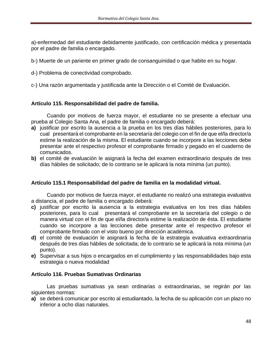a)-enfermedad del estudiante debidamente justificado, con certificación médica y presentada por el padre de familia o encargado.

- b-) Muerte de un pariente en primer grado de consanguinidad o que habite en su hogar.
- d-) Problema de conectividad comprobado.
- c-) Una razón argumentada y justificada ante la Dirección o el Comité de Evaluación.

## **Artículo 115. Responsabilidad del padre de familia.**

Cuando por motivos de fuerza mayor, el estudiante no se presente a efectuar una prueba al Colegio Santa Ana, el padre de familia o encargado deberá:

- **a)** justificar por escrito la ausencia a la prueba en los tres días hábiles posteriores, para lo cual presentará el comprobante en la secretaría del colegio con el fin de que el/la director/a estime la realización de la misma. El estudiante cuando se incorpore a las lecciones debe presentar ante el respectivo profesor el comprobante firmado y pegado en el cuaderno de comunicados.
- **b)** el comité de evaluación le asignará la fecha del examen extraordinario después de tres días hábiles de solicitado; de lo contrario se le aplicará la nota mínima (un punto).

#### **Artículo 115.1 Responsabilidad del padre de familia en la modalidad virtual.**

Cuando por motivos de fuerza mayor, el estudiante no realizó una estrategia evaluativa a distancia, el padre de familia o encargado deberá:

- **c)** justificar por escrito la ausencia a la estrategia evaluativa en los tres días hábiles posteriores, para lo cual presentará el comprobante en la secretaría del colegio o de manera virtual con el fin de que el/la director/a estime la realización de ésta. El estudiante cuando se incorpore a las lecciones debe presentar ante el respectivo profesor el comprobante firmado con el visto bueno por dirección académica.
- **d)** el comité de evaluación le asignará la fecha de la estrategia evaluativa extraordinaria después de tres días hábiles de solicitada; de lo contrario se le aplicará la nota mínima (un punto).
- **e)** Supervisar a sus hijos o encargados en el cumplimiento y las responsabilidades bajo esta estrategia o nueva modalidad

#### **Artículo 116. Pruebas Sumativas Ordinarias**

Las pruebas sumativas ya sean ordinarias o extraordinarias, se regirán por las siguientes normas:

**a)** se deberá comunicar por escrito al estudiantado, la fecha de su aplicación con un plazo no inferior a ocho días naturales.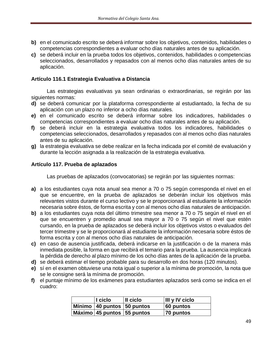- **b)** en el comunicado escrito se deberá informar sobre los objetivos, contenidos, habilidades o competencias correspondientes a evaluar ocho días naturales antes de su aplicación.
- **c)** se deberá incluir en la prueba todos los objetivos, contenidos, habilidades o competencias seleccionados, desarrollados y repasados con al menos ocho días naturales antes de su aplicación.

## **Artículo 116.1 Estrategia Evaluativa a Distancia**

Las estrategias evaluativas ya sean ordinarias o extraordinarias, se regirán por las siguientes normas:

- **d)** se deberá comunicar por la plataforma correspondiente al estudiantado, la fecha de su aplicación con un plazo no inferior a ocho días naturales.
- **e)** en el comunicado escrito se deberá informar sobre los indicadores, habilidades o competencias correspondientes a evaluar ocho días naturales antes de su aplicación.
- **f)** se deberá incluir en la estrategia evaluativa todos los indicadores, habilidades o competencias seleccionados, desarrollados y repasados con al menos ocho días naturales antes de su aplicación.
- **g)** la estrategia evaluativa se debe realizar en la fecha indicada por el comité de evaluación y durante la lección asignada a la realización de la estrategia evaluativa.

## **Artículo 117. Prueba de aplazados**

Las pruebas de aplazados (convocatorias) se regirán por las siguientes normas:

- **a)** a los estudiantes cuya nota anual sea menor a 70 o 75 según corresponda el nivel en el que se encuentre, en la prueba de aplazados se deberán incluir los objetivos más relevantes vistos durante el curso lectivo y se le proporcionará al estudiante la información necesaria sobre éstos, de forma escrita y con al menos ocho días naturales de anticipación.
- **b)** a los estudiantes cuya nota del último trimestre sea menor a 70 o 75 según el nivel en el que se encuentren y promedio anual sea mayor a 70 o 75 según el nivel que estén cursando, en la prueba de aplazados se deberá incluir los objetivos vistos o evaluados del tercer trimestre y se le proporcionará al estudiante la información necesaria sobre éstos de forma escrita y con al menos ocho días naturales de anticipación.
- **c)** en caso de ausencia justificada, deberá indicarse en la justificación o de la manera más inmediata posible, la forma en que recibirá el temario para la prueba. La ausencia implicará la pérdida de derecho al plazo mínimo de los ocho días antes de la aplicación de la prueba.
- **d)** se deberá estimar el tiempo probable para su desarrollo en dos horas (120 minutos).
- **e)** sí en el examen obtuviese una nota igual o superior a la mínima de promoción, la nota que se le consigne será la mínima de promoción.
- **f)** el puntaje mínimo de los exámenes para estudiantes aplazados será como se indica en el cuadro:

| $\blacksquare$ ciclo        | II ciclo | $\parallel$ III y IV ciclo |
|-----------------------------|----------|----------------------------|
| Mínimo 40 puntos 50 puntos  |          | 60 puntos                  |
| Máximo 45 puntos 155 puntos |          | 70 puntos                  |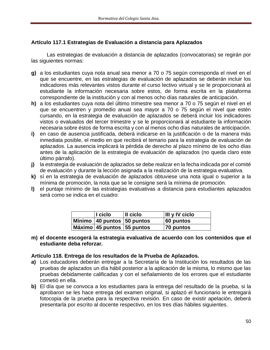# **Artículo 117.1 Estrategias de Evaluación a distancia para Aplazados**

Las estrategias de evaluación a distancia de aplazados (convocatorias) se regirán por las siguientes normas:

- **g)** a los estudiantes cuya nota anual sea menor a 70 o 75 según corresponda el nivel en el que se encuentre, en las estrategias de evaluación de aplazados se deberán incluir los indicadores más relevantes vistos durante el curso lectivo virtual y se le proporcionará al estudiante la información necesaria sobre estos, de forma escrita en la plataforma correspondiente de la institución y con al menos ocho días naturales de anticipación.
- **h)** a los estudiantes cuya nota del último trimestre sea menor a 70 o 75 según el nivel en el que se encuentren y promedio anual sea mayor a 70 o 75 según el nivel que estén cursando, en la estrategia de evaluación de aplazados se deberá incluir los indicadores vistos o evaluados del tercer trimestre y se le proporcionará al estudiante la información necesaria sobre éstos de forma escrita y con al menos ocho días naturales de anticipación.
- **i)** en caso de ausencia justificada, deberá indicarse en la justificación o de la manera más inmediata posible, el medio en que recibirá el temario para la estrategia de evaluación de aplazados. La ausencia implicará la pérdida de derecho al plazo mínimo de los ocho días antes de la aplicación de la estrategia de evaluación de aplazados (no queda claro este último párrafo).
- **j)** la estrategia de evaluación de aplazados se debe realizar en la fecha indicada por el comité de evaluación y durante la lección asignada a la realización de la estrategia evaluativa.
- **k)** sí en la estrategia de evaluación de aplazados obtuviese una nota igual o superior a la mínima de promoción, la nota que se le consigne será la mínima de promoción.
- **l)** el puntaje mínimo de las estrategias evaluativas a distancia para estudiantes aplazados será como se indica en el cuadro:

| I ciclo                        | Il ciclo | III y IV ciclo |
|--------------------------------|----------|----------------|
| Mínimo   40 puntos   50 puntos |          | 60 puntos      |
| Máximo 45 puntos 55 puntos     |          | 70 puntos      |

**m) el docente escogerá la estrategia evaluativa de acuerdo con los contenidos que el estudiante deba reforzar.**

#### **Artículo 118. Entrega de los resultados de la Prueba de Aplazados.**

- **a)** Los educadores deberán entregar a la Secretaría de la Institución los resultados de las pruebas de aplazados un día hábil posterior a la aplicación de la misma, lo mismo que las pruebas debidamente calificadas y con el señalamiento de los errores que el estudiante cometió en ella.
- **b)** El día que se convoca a los estudiantes para la entrega del resultado de la prueba, si la aprobaron se les hace entrega del examen original, si aplazó el funcionario le entregará fotocopia de la prueba para la respectiva revisión. En caso de existir apelación, deberá presentarla por escrito al docente respectivo, en los tres días hábiles siguientes.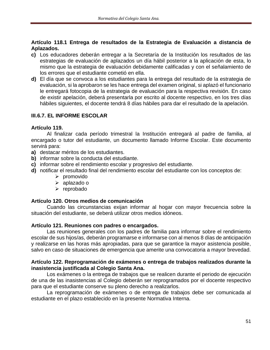# **Artículo 118.1 Entrega de resultados de la Estrategia de Evaluación a distancia de Aplazados.**

- **c)** Los educadores deberán entregar a la Secretaría de la Institución los resultados de las estrategias de evaluación de aplazados un día hábil posterior a la aplicación de esta, lo mismo que la estrategia de evaluación debidamente calificadas y con el señalamiento de los errores que el estudiante cometió en ella.
- **d)** El día que se convoca a los estudiantes para la entrega del resultado de la estrategia de evaluación, si la aprobaron se les hace entrega del examen original, si aplazó el funcionario le entregará fotocopia de la estrategia de evaluación para la respectiva revisión. En caso de existir apelación, deberá presentarla por escrito al docente respectivo, en los tres días hábiles siguientes, el docente tendrá 8 días hábiles para dar el resultado de la apelación.

# **III.6.7. EL INFORME ESCOLAR**

#### **Artículo 119.**

Al finalizar cada período trimestral la Institución entregará al padre de familia, al encargado o tutor del estudiante, un documento llamado Informe Escolar. Este documento servirá para:

- **a)** destacar méritos de los estudiantes.
- **b)** informar sobre la conducta del estudiante.
- **c)** informar sobre el rendimiento escolar y progresivo del estudiante.
- **d)** notificar el resultado final del rendimiento escolar del estudiante con los conceptos de:
	- ➢ promovido
	- ➢ aplazado o
	- ➢ reprobado

#### **Artículo 120. Otros medios de comunicación**

Cuando las circunstancias exijan informar al hogar con mayor frecuencia sobre la situación del estudiante, se deberá utilizar otros medios idóneos.

#### **Artículo 121. Reuniones con padres o encargados.**

Las reuniones generales con los padres de familia para informar sobre el rendimiento escolar de sus hijos/as, deberán programarse e informarse con al menos 8 días de anticipación y realizarse en las horas más apropiadas, para que se garantice la mayor asistencia posible, salvo en caso de situaciones de emergencia que amerite una convocatoria a mayor brevedad.

#### **Artículo 122. Reprogramación de exámenes o entrega de trabajos realizados durante la inasistencia justificada al Colegio Santa Ana.**

Los exámenes o la entrega de trabajos que se realicen durante el periodo de ejecución de una de las inasistencias al Colegio deberán ser reprogramados por el docente respectivo para que el estudiante conserve su pleno derecho a realizarlos.

La reprogramación de exámenes o de entrega de trabajos debe ser comunicada al estudiante en el plazo establecido en la presente Normativa Interna.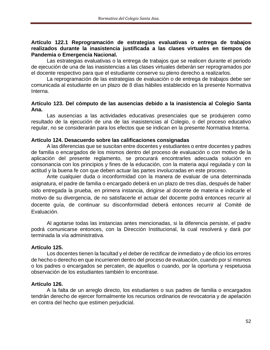#### **Artículo 122.1 Reprogramación de estrategias evaluativas o entrega de trabajos realizados durante la inasistencia justificada a las clases virtuales en tiempos de Pandemia o Emergencia Nacional.**

Las estrategias evaluativas o la entrega de trabajos que se realicen durante el periodo de ejecución de una de las inasistencias a las clases virtuales deberán ser reprogramados por el docente respectivo para que el estudiante conserve su pleno derecho a realizarlos.

La reprogramación de las estrategias de evaluación o de entrega de trabajos debe ser comunicada al estudiante en un plazo de 8 días hábiles establecido en la presente Normativa Interna.

## **Artículo 123. Del cómputo de las ausencias debido a la inasistencia al Colegio Santa Ana.**

Las ausencias a las actividades educativas presenciales que se produjeren como resultado de la ejecución de una de las inasistencias al Colegio, o del proceso educativo regular, no se considerarán para los efectos que se indican en la presente Normativa Interna.

#### **Artículo 124. Desacuerdo sobre las calificaciones consignadas**

A las diferencias que se suscitan entre docentes y estudiantes o entre docentes y padres de familia o encargados de los mismos dentro del proceso de evaluación o con motivo de la aplicación del presente reglamento, se procurará encontrarles adecuada solución en consonancia con los principios y fines de la educación, con la materia aquí regulada y con la actitud y la buena fe con que deben actuar las partes involucradas en este proceso.

Ante cualquier duda o inconformidad con la manera de evaluar de una determinada asignatura, el padre de familia o encargado deberá en un plazo de tres días, después de haber sido entregada la prueba, en primera instancia, dirigirse al docente de materia e indicarle el motivo de su divergencia, de no satisfacerle el actuar del docente podrá entonces recurrir al docente guía, de continuar su disconformidad deberá entonces recurrir al Comité de Evaluación.

Al agotarse todas las instancias antes mencionadas, si la diferencia persiste, el padre podrá comunicarse entonces, con la Dirección Institucional, la cual resolverá y dará por terminada la vía administrativa.

#### **Artículo 125.**

Los docentes tienen la facultad y el deber de rectificar de inmediato y de oficio los errores de hecho o derecho en que incurrieren dentro del proceso de evaluación, cuando por sí mismos o los padres o encargados se percaten, de aquellos o cuando, por la oportuna y respetuosa observación de los estudiantes también lo encontrase.

#### **Artículo 126.**

A la falta de un arreglo directo, los estudiantes o sus padres de familia o encargados tendrán derecho de ejercer formalmente los recursos ordinarios de revocatoria y de apelación en contra del hecho que estimen perjudicial.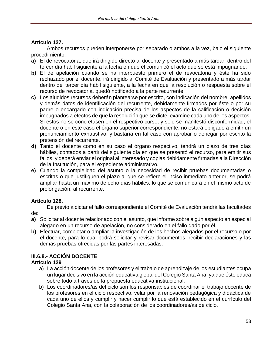# **Artículo 127.**

Ambos recursos pueden interponerse por separado o ambos a la vez, bajo el siguiente procedimiento:

- **a)** El de revocatoria, que irá dirigido directo al docente y presentado a más tardar, dentro del tercer día hábil siguiente a la fecha en que él comunicó el acto que se está impugnando.
- **b)** El de apelación cuando se ha interpuesto primero el de revocatoria y éste ha sido rechazado por el docente, irá dirigido al Comité de Evaluación y presentado a más tardar dentro del tercer día hábil siguiente, a la fecha en que la resolución o respuesta sobre el recurso de revocatoria, quedó notificado a la parte recurrente.
- **c)** Los aludidos recursos deberán plantearse por escrito, con indicación del nombre, apellidos y demás datos de identificación del recurrente, debidamente firmados por éste o por su padre o encargado con indicación precisa de los aspectos de la calificación o decisión impugnados a efectos de que la resolución que se dicte, examine cada uno de los aspectos. Si estos no se concretasen en el respectivo curso, y solo se manifestó disconformidad, el docente o en este caso el órgano superior correspondiente, no estará obligado a emitir un pronunciamiento exhaustivo, y bastaría en tal caso con aprobar o denegar por escrito la pretensión del recurrente.
- **d)** Tanto el docente como en su caso el órgano respectivo, tendrá un plazo de tres días hábiles, contados a partir del siguiente día en que se presentó el recurso, para emitir sus fallos, y deberá enviar el original al interesado y copias debidamente firmadas a la Dirección de la Institución, para el expediente administrativo.
- **e)** Cuando la complejidad del asunto o la necesidad de recibir pruebas documentadas o escritas o que justifiquen el plazo al que se refiere el inciso inmediato anterior, se podrá ampliar hasta un máximo de ocho días hábiles, lo que se comunicará en el mismo acto de prolongación, al recurrente.

# **Artículo 128.**

De previo a dictar el fallo correspondiente el Comité de Evaluación tendrá las facultades de:

- **a)** Solicitar al docente relacionado con el asunto, que informe sobre algún aspecto en especial alegado en un recurso de apelación, no considerado en el fallo dado por él.
- **b)** Efectuar, completar o ampliar la investigación de los hechos alegados por el recurso o por el docente, para lo cual podrá solicitar y revisar documentos, recibir declaraciones y las demás pruebas ofrecidas por las partes interesadas.

# **III.6.8.- ACCIÓN DOCENTE**

# **Artículo 129**

- a) La acción docente de los profesores y el trabajo de aprendizaje de los estudiantes ocupa un lugar decisivo en la acción educativa global del Colegio Santa Ana, ya que éste educa sobre todo a través de la propuesta educativa institucional.
- b) Los coordinadores/as del ciclo son los responsables de coordinar el trabajo docente de los profesores en el ciclo respectivo, velar por la renovación pedagógica y didáctica de cada uno de ellos y cumplir y hacer cumplir lo que está establecido en el currículo del Colegio Santa Ana, con la colaboración de los coordinadores/as de ciclo.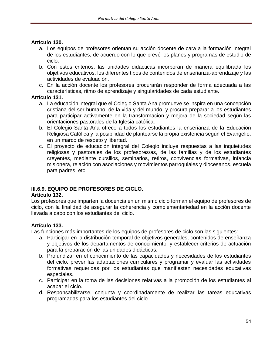# **Artículo 130.**

- a. Los equipos de profesores orientan su acción docente de cara a la formación integral de los estudiantes, de acuerdo con lo que prevé los planes y programas de estudio de ciclo.
- b. Con estos criterios, las unidades didácticas incorporan de manera equilibrada los objetivos educativos, los diferentes tipos de contenidos de enseñanza-aprendizaje y las actividades de evaluación.
- c. En la acción docente los profesores procurarán responder de forma adecuada a las características, ritmo de aprendizaje y singularidades de cada estudiante.

## **Artículo 131.**

- a. La educación integral que el Colegio Santa Ana promueve se inspira en una concepción cristiana del ser humano, de la vida y del mundo, y procura preparar a los estudiantes para participar activamente en la transformación y mejora de la sociedad según las orientaciones pastorales de la Iglesia católica.
- b. El Colegio Santa Ana ofrece a todos los estudiantes la enseñanza de la Educación Religiosa Católica y la posibilidad de plantearse la propia existencia según el Evangelio, en un marco de respeto y libertad.
- c. El proyecto de educación integral del Colegio incluye respuestas a las inquietudes religiosas y pastorales de los profesores/as, de las familias y de los estudiantes creyentes, mediante cursillos, seminarios, retiros, convivencias formativas, infancia misionera, relación con asociaciones y movimientos parroquiales y diocesanos, escuela para padres, etc.

# **III.6.9. EQUIPO DE PROFESORES DE CICLO.**

# **Artículo 132.**

Los profesores que imparten la docencia en un mismo ciclo forman el equipo de profesores de ciclo, con la finalidad de asegurar la coherencia y complementariedad en la acción docente llevada a cabo con los estudiantes del ciclo.

# **Artículo 133.**

Las funciones más importantes de los equipos de profesores de ciclo son las siguientes:

- a. Participar en la distribución temporal de objetivos generales, contenidos de enseñanza y objetivos de los departamentos de conocimiento, y establecer criterios de actuación para la preparación de las unidades didácticas.
- b. Profundizar en el conocimiento de las capacidades y necesidades de los estudiantes del ciclo, prever las adaptaciones curriculares y programar y evaluar las actividades formativas requeridas por los estudiantes que manifiesten necesidades educativas especiales.
- c. Participar en la toma de las decisiones relativas a la promoción de los estudiantes al acabar el ciclo.
- d. Responsabilizarse, conjunta y coordinadamente de realizar las tareas educativas programadas para los estudiantes del ciclo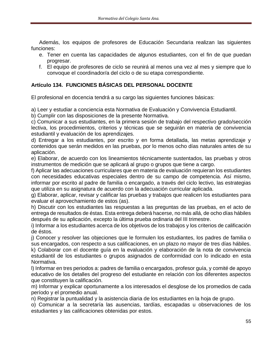Además, los equipos de profesores de Educación Secundaria realizan las siguientes funciones:

- e. Tener en cuenta las capacidades de algunos estudiantes, con el fin de que puedan progresar.
- f. El equipo de profesores de ciclo se reunirá al menos una vez al mes y siempre que lo convoque el coordinador/a del ciclo o de su etapa correspondiente.

# **Artículo 134. FUNCIONES BÁSICAS DEL PERSONAL DOCENTE**

El profesional en docencia tendrá a su cargo las siguientes funciones básicas:

a) Leer y estudiar a conciencia esta Normativa de Evaluación y Convivencia Estudiantil.

b) Cumplir con las disposiciones de la presente Normativa.

c) Comunicar a sus estudiantes, en la primera sesión de trabajo del respectivo grado/sección lectiva, los procedimientos, criterios y técnicas que se seguirán en materia de convivencia estudiantil y evaluación de los aprendizajes.

d) Entregar a los estudiantes, por escrito y en forma detallada, las metas aprendizaje y contenidos que serán medidos en las pruebas, por lo menos ocho días naturales antes de su aplicación.

e) Elaborar, de acuerdo con los lineamientos técnicamente sustentados, las pruebas y otros instrumentos de medición que se aplicará al grupo o grupos que tiene a cargo.

f) Aplicar las adecuaciones curriculares que en materia de evaluación requieran los estudiantes con necesidades educativas especiales dentro de su campo de competencia. Así mismo, informar por escrito al padre de familia o encargado, a través del ciclo lectivo, las estrategias que utiliza en su asignatura de acuerdo con la adecuación curricular aplicada.

g) Elaborar, aplicar, revisar y calificar las pruebas y trabajos que realicen los estudiantes para evaluar el aprovechamiento de estos (as).

h) Discutir con los estudiantes las respuestas a las preguntas de las pruebas, en el acto de entrega de resultados de éstas. Esta entrega deberá hacerse, no más allá, de ocho días hábiles después de su aplicación, excepto la última prueba ordinaria del III trimestre.

i) Informar a los estudiantes acerca de los objetivos de los trabajos y los criterios de calificación de éstos.

j) Conocer y resolver las objeciones que le formulen los estudiantes, los padres de familia o sus encargados, con respecto a sus calificaciones, en un plazo no mayor de tres días hábiles.

k) Colaborar con el docente guía en la evaluación y elaboración de la nota de convivencia estudiantil de los estudiantes o grupos asignados de conformidad con lo indicado en esta Normativa.

l) Informar en tres periodos a: padres de familia o encargados, profesor guía, y comité de apoyo educativo de los detalles del progreso del estudiante en relación con los diferentes aspectos que constituyen la calificación.

m) Informar y explicar oportunamente a los interesados el desglose de los promedios de cada período y el promedio anual.

n) Registrar la puntualidad y la asistencia diaria de los estudiantes en la hoja de grupo.

o) Comunicar a la secretaría las ausencias, tardías, escapadas u observaciones de los estudiantes y las calificaciones obtenidas por estos.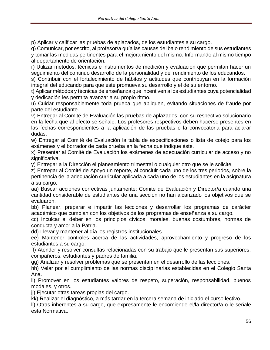p) Aplicar y calificar las pruebas de aplazados, de los estudiantes a su cargo.

q) Comunicar, por escrito, al profesor/a guía las causas del bajo rendimiento de sus estudiantes y tomar las medidas pertinentes para el mejoramiento del mismo. Informando al mismo tiempo al departamento de orientación.

r) Utilizar métodos, técnicas e instrumentos de medición y evaluación que permitan hacer un seguimiento del continuo desarrollo de la personalidad y del rendimiento de los educandos.

s) Contribuir con el fortalecimiento de hábitos y actitudes que contribuyan en la formación integral del educando para que éste promueva su desarrollo y el de su entorno.

t) Aplicar métodos y técnicas de enseñanza que incentiven a los estudiantes cuya potencialidad y dedicación les permita avanzar a su propio ritmo.

u) Cuidar responsablemente toda prueba que apliquen, evitando situaciones de fraude por parte del estudiante.

v) Entregar al Comité de Evaluación las pruebas de aplazados, con su respectivo solucionario en la fecha que al efecto se señale. Los profesores respectivos deben hacerse presentes en las fechas correspondientes a la aplicación de las pruebas o la convocatoria para aclarar dudas.

w) Entregar al Comité de Evaluación la tabla de especificaciones o lista de cotejo para los exámenes y el borrador de cada prueba en la fecha que indique éste.

x) Presentar al Comité de Evaluación los exámenes de adecuación curricular de acceso y no significativa.

y) Entregar a la Dirección el planeamiento trimestral o cualquier otro que se le solicite.

z) Entregar al Comité de Apoyo un reporte, al concluir cada uno de los tres periodos, sobre la pertinencia de la adecuación curricular aplicada a cada uno de los estudiantes en la asignatura a su cargo.

aa) Buscar acciones correctivas juntamente: Comité de Evaluación y Director/a cuando una cantidad considerable de estudiantes de una sección no han alcanzado los objetivos que se evaluaron.

bb) Planear, preparar e impartir las lecciones y desarrollar los programas de carácter académico que cumplan con los objetivos de los programas de enseñanza a su cargo.

cc) Inculcar el deber en los principios cívicos, morales, buenas costumbres, normas de conducta y amor a la Patria.

dd) Llevar y mantener al día los registros institucionales.

ee) Mantener controles acerca de las actividades, aprovechamiento y progreso de los estudiantes a su cargo.

ff) Atender y resolver consultas relacionadas con su trabajo que le presentan sus superiores, compañeros, estudiantes y padres de familia.

gg) Analizar y resolver problemas que se presentan en el desarrollo de las lecciones.

hh) Velar por el cumplimiento de las normas disciplinarias establecidas en el Colegio Santa Ana.

ii) Promover en los estudiantes valores de respeto, superación, responsabilidad, buenos modales, y otros.

jj) Ejecutar otras tareas propias del cargo.

kk) Realizar el diagnóstico, a más tardar en la tercera semana de iniciado el curso lectivo.

ll) Otras inherentes a su cargo, que expresamente le encomiende el/la director/a o le señale esta Normativa.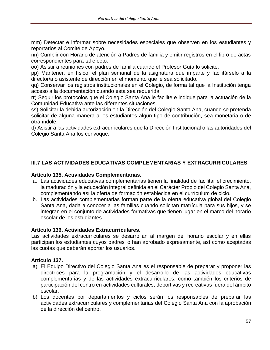mm) Detectar e informar sobre necesidades especiales que observen en los estudiantes y reportarlos al Comité de Apoyo.

nn) Cumplir con Horario de atención a Padres de familia y emitir registros en el libro de actas correspondientes para tal efecto.

oo) Asistir a reuniones con padres de familia cuando el Profesor Guía lo solicite.

pp) Mantener, en físico, el plan semanal de la asignatura que imparte y facilitárselo a la director/a o asistente de dirección en el momento que le sea solicitado.

qq) Conservar los registros institucionales en el Colegio, de forma tal que la Institución tenga acceso a la documentación cuando ésta sea requerida.

rr) Seguir los protocolos que el Colegio Santa Ana le facilite e indique para la actuación de la Comunidad Educativa ante las diferentes situaciones.

ss) Solicitar la debida autorización en la Dirección del Colegio Santa Ana, cuando se pretenda solicitar de alguna manera a los estudiantes algún tipo de contribución, sea monetaria o de otra índole.

tt) Asistir a las actividades extracurriculares que la Dirección Institucional o las autoridades del Colegio Santa Ana los convoque.

# **III.7 LAS ACTIVIDADES EDUCATIVAS COMPLEMENTARIAS Y EXTRACURRICULARES**

#### **Artículo 135. Actividades Complementarias.**

- a. Las actividades educativas complementarias tienen la finalidad de facilitar el crecimiento, la maduración y la educación integral definida en el Carácter Propio del Colegio Santa Ana, complementando así la oferta de formación establecida en el currículum de ciclo.
- b. Las actividades complementarias forman parte de la oferta educativa global del Colegio Santa Ana, dada a conocer a las familias cuando solicitan matrícula para sus hijos, y se integran en el conjunto de actividades formativas que tienen lugar en el marco del horario escolar de los estudiantes.

#### **Artículo 136. Actividades Extracurriculares.**

Las actividades extracurriculares se desarrollan al margen del horario escolar y en ellas participan los estudiantes cuyos padres lo han aprobado expresamente, así como aceptadas las cuotas que deberán aportar los usuarios.

# **Artículo 137.**

- a) El Equipo Directivo del Colegio Santa Ana es el responsable de preparar y proponer las directrices para la programación y el desarrollo de las actividades educativas complementarias y de las actividades extracurriculares, como también los criterios de participación del centro en actividades culturales, deportivas y recreativas fuera del ámbito escolar.
- b) Los docentes por departamentos y ciclos serán los responsables de preparar las actividades extracurriculares y complementarias del Colegio Santa Ana con la aprobación de la dirección del centro.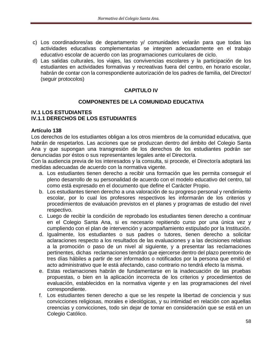- c) Los coordinadores/as de departamento y/ comunidades velarán para que todas las actividades educativas complementarias se integren adecuadamente en el trabajo educativo escolar de acuerdo con las programaciones curriculares de ciclo.
- d) Las salidas culturales, los viajes, las convivencias escolares y la participación de los estudiantes en actividades formativas y recreativas fuera del centro, en horario escolar, habrán de contar con la correspondiente autorización de los padres de familia, del Director/ (seguir protocolos)

# **CAPITULO IV**

# **COMPONENTES DE LA COMUNIDAD EDUCATIVA**

#### **IV.1 LOS ESTUDIANTES IV.1.1 DERECHOS DE LOS ESTUDIANTES**

## **Artículo 138**

Los derechos de los estudiantes obligan a los otros miembros de la comunidad educativa, que habrán de respetarlos. Las acciones que se produzcan dentro del ámbito del Colegio Santa Ana y que supongan una transgresión de los derechos de los estudiantes podrán ser denunciadas por éstos o sus representantes legales ante el Director/a.

Con la audiencia previa de los interesados y la consulta, si procede, el Director/a adoptará las medidas adecuadas de acuerdo con la normativa vigente.

- a. Los estudiantes tienen derecho a recibir una formación que les permita conseguir el pleno desarrollo de su personalidad de acuerdo con el modelo educativo del centro, tal como está expresado en el documento que define el Carácter Propio.
- b. Los estudiantes tienen derecho a una valoración de su progreso personal y rendimiento escolar, por lo cual los profesores respectivos les informarán de los criterios y procedimientos de evaluación previstos en el planes y programas de estudio del nivel respectivo.
- c. Luego de recibir la condición de reprobado los estudiantes tienen derecho a continuar en el Colegio Santa Ana, si es necesario repitiendo curso por una única vez y cumpliendo con el plan de intervención y acompañamiento estipulado por la Institución.
- d. Igualmente, los estudiantes o sus padres o tutores, tienen derecho a solicitar aclaraciones respecto a los resultados de las evaluaciones y a las decisiones relativas a la promoción o paso de un nivel al siguiente, y a presentar las reclamaciones pertinentes, dichas reclamaciones tendrán que ejercerse dentro del plazo perentorio de tres días hábiles a partir de ser informados o notificados por la persona que emitió el acto administrativo que le está afectando, caso contrario no tendrá efecto la misma.
- e. Estas reclamaciones habrán de fundamentarse en la inadecuación de las pruebas propuestas, o bien en la aplicación incorrecta de los criterios y procedimientos de evaluación, establecidos en la normativa vigente y en las programaciones del nivel correspondiente.
- f. Los estudiantes tienen derecho a que se les respete la libertad de conciencia y sus convicciones religiosas, morales e ideológicas, y su intimidad en relación con aquellas creencias y convicciones, todo sin dejar de tomar en consideración que se está en un Colegio Católico.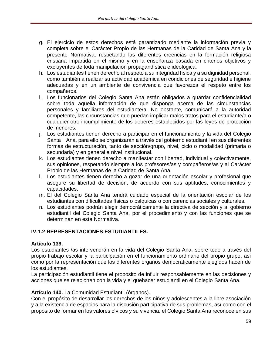- g. El ejercicio de estos derechos está garantizado mediante la información previa y completa sobre el Carácter Propio de las Hermanas de la Caridad de Santa Ana y la presente Normativa, respetando las diferentes creencias en la formación religiosa cristiana impartida en el mismo y en la enseñanza basada en criterios objetivos y excluyentes de toda manipulación propagandística e ideológica.
- h. Los estudiantes tienen derecho al respeto a su integridad física y a su dignidad personal, como también a realizar su actividad académica en condiciones de seguridad e higiene adecuadas y en un ambiente de convivencia que favorezca el respeto entre los compañeros.
- i. Los funcionarios del Colegio Santa Ana están obligados a guardar confidencialidad sobre toda aquella información de que disponga acerca de las circunstancias personales y familiares del estudiante/a. No obstante, comunicará a la autoridad competente, las circunstancias que puedan implicar malos tratos para el estudiante/a o cualquier otro incumplimiento de los deberes establecidos por las leyes de protección de menores.
- j. Los estudiantes tienen derecho a participar en el funcionamiento y la vida del Colegio Santa Ana, para ello se organizarán a través del gobierno estudiantil en sus diferentes formas de estructuración, tanto de sección/grupo, nivel, ciclo o modalidad (primaria o secundaria) y en general a nivel institucional.
- k. Los estudiantes tienen derecho a manifestar con libertad, individual y colectivamente, sus opiniones, respetando siempre a los profesores/as y compañeros/as y al Carácter Propio de las Hermanas de la Caridad de Santa Ana.
- l. Los estudiantes tienen derecho a gozar de una orientación escolar y profesional que asegure su libertad de decisión, de acuerdo con sus aptitudes, conocimientos y capacidades.
- m. El del Colegio Santa Ana tendrá cuidado especial de la orientación escolar de los estudiantes con dificultades físicas o psíquicas o con carencias sociales y culturales.
- n. Los estudiantes podrán elegir democráticamente la directiva de sección y al gobierno estudiantil del Colegio Santa Ana, por el procedimiento y con las funciones que se determinan en esta Normativa.

# **IV.1.2 REPRESENTACIONES ESTUDIANTILES.**

#### **Artículo 139.**

Los estudiantes /as intervendrán en la vida del Colegio Santa Ana, sobre todo a través del propio trabajo escolar y la participación en el funcionamiento ordinario del propio grupo, así como por la representación que los diferentes órganos democráticamente elegidos hacen de los estudiantes.

La participación estudiantil tiene el propósito de influir responsablemente en las decisiones y acciones que se relacionen con la vida y el quehacer estudiantil en el Colegio Santa Ana.

#### **Artículo 140.** La Comunidad Estudiantil (órganos).

Con el propósito de desarrollar los derechos de los niños y adolescentes a la libre asociación y a la existencia de espacios para la discusión participativa de sus problemas, así como con el propósito de formar en los valores cívicos y su vivencia, el Colegio Santa Ana reconoce en sus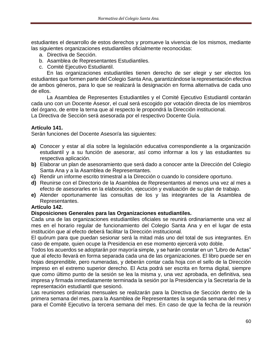estudiantes el desarrollo de estos derechos y promueve la vivencia de los mismos, mediante las siguientes organizaciones estudiantiles oficialmente reconocidas:

- a. Directiva de Sección.
- b. Asamblea de Representantes Estudiantiles.
- c. Comité Ejecutivo Estudiantil.

En las organizaciones estudiantiles tienen derecho de ser elegir y ser electos los estudiantes que formen parte del Colegio Santa Ana, garantizándose la representación efectiva de ambos géneros, para lo que se realizará la designación en forma alternativa de cada uno de ellos.

La Asamblea de Representes Estudiantiles y el Comité Ejecutivo Estudiantil contarán cada uno con un Docente Asesor, el cual será escogido por votación directa de los miembros del órgano, de entre la terna que al respecto le propondrá la Dirección institucional. La Directiva de Sección será asesorada por el respectivo Docente Guía.

# **Artículo 141.**

Serán funciones del Docente Asesor/a las siguientes:

- **a)** Conocer y estar al día sobre la legislación educativa correspondiente a la organización estudiantil y a su función de asesorar, así como informar a los y las estudiantes su respectiva aplicación.
- **b)** Elaborar un plan de asesoramiento que será dado a conocer ante la Dirección del Colegio Santa Ana y a la Asamblea de Representantes.
- **c)** Rendir un informe escrito trimestral a la Dirección o cuando lo considere oportuno.
- **d)** Reunirse con el Directorio de la Asamblea de Representantes al menos una vez al mes a efecto de asesorarles en la elaboración, ejecución y evaluación de su plan de trabajo.
- **e)** Atender oportunamente las consultas de los y las integrantes de la Asamblea de Representantes.

#### **Artículo 142.**

#### **Disposiciones Generales para las Organizaciones estudiantiles.**

Cada una de las organizaciones estudiantiles oficiales se reunirá ordinariamente una vez al mes en el horario regular de funcionamiento del Colegio Santa Ana y en el lugar de esta institución que al efecto deberá facilitar la Dirección institucional.

El quórum para que puedan sesionar será la mitad más uno del total de sus integrantes. En caso de empate, quien ocupe la Presidencia en ese momento ejercerá voto doble.

Todos los acuerdos se adoptarán por mayoría simple, y se harán constar en un "Libro de Actas" que al efecto llevará en forma separada cada una de las organizaciones. El libro puede ser en hojas desprendible, pero numeradas, y deberán contar cada hoja con el sello de la Dirección impreso en el extremo superior derecho. El Acta podrá ser escrita en forma digital, siempre que como último punto de la sesión se lea la misma y, una vez aprobada, en definitiva, sea impresa y firmada inmediatamente terminada la sesión por la Presidencia y la Secretaría de la representación estudiantil que sesionó.

Las reuniones ordinarias mensuales se realizarán para la Directiva de Sección dentro de la primera semana del mes, para la Asamblea de Representantes la segunda semana del mes y para el Comité Ejecutivo la tercera semana del mes. En caso de que la fecha de la reunión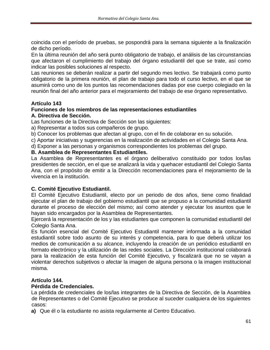coincida con el período de pruebas, se pospondrá para la semana siguiente a la finalización de dicho período.

En la última reunión del año será punto obligatorio de trabajo, el análisis de las circunstancias que afectaron el cumplimiento del trabajo del órgano estudiantil del que se trate, así como indicar las posibles soluciones al respecto.

Las reuniones se deberán realizar a partir del segundo mes lectivo. Se trabajará como punto obligatorio de la primera reunión, el plan de trabajo para todo el curso lectivo, en el que se asumirá como uno de los puntos las recomendaciones dadas por ese cuerpo colegiado en la reunión final del año anterior para el mejoramiento del trabajo de ese órgano representativo.

## **Artículo 143**

#### **Funciones de los miembros de las representaciones estudiantiles A. Directiva de Sección.**

Las funciones de la Directiva de Sección son las siguientes:

a) Representar a todos sus compañeros de grupo.

b) Conocer los problemas que afectan al grupo, con el fin de colaborar en su solución.

c) Aportar iniciativas y sugerencias en la realización de actividades en el Colegio Santa Ana.

d) Exponer a las personas y organismos correspondientes los problemas del grupo.

#### **B. Asamblea de Representantes Estudiantiles.**

La Asamblea de Representantes es el órgano deliberativo constituido por todos los/las presidentes de sección, en el que se analizará la vida y quehacer estudiantil del Colegio Santa Ana, con el propósito de emitir a la Dirección recomendaciones para el mejoramiento de la vivencia en la institución.

#### **C. Comité Ejecutivo Estudiantil.**

El Comité Ejecutivo Estudiantil, electo por un periodo de dos años, tiene como finalidad ejecutar el plan de trabajo del gobierno estudiantil que se propuso a la comunidad estudiantil durante el proceso de elección del mismo; así como atender y ejecutar los asuntos que le hayan sido encargados por la Asamblea de Representantes.

Ejercerá la representación de los y las estudiantes que componen la comunidad estudiantil del Colegio Santa Ana.

Es función esencial del Comité Ejecutivo Estudiantil mantener informada a la comunidad estudiantil sobre todo asunto de su interés y competencia, para lo que deberá utilizar los medios de comunicación a su alcance, incluyendo la creación de un periódico estudiantil en formato electrónico y la utilización de las redes sociales. La Dirección institucional colaborará para la realización de esta función del Comité Ejecutivo, y fiscalizará que no se vayan a violentar derechos subjetivos o afectar la imagen de alguna persona o la imagen institucional misma.

#### **Artículo 144.**

#### **Pérdida de Credenciales.**

La pérdida de credenciales de los/las integrantes de la Directiva de Sección, de la Asamblea de Representantes o del Comité Ejecutivo se produce al suceder cualquiera de los siguientes casos:

**a)** Que él o la estudiante no asista regularmente al Centro Educativo.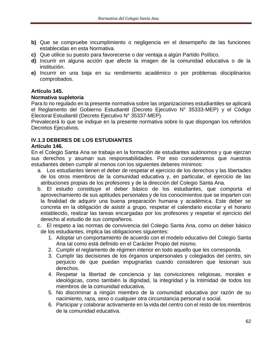- **b)** Que se compruebe incumplimiento o negligencia en el desempeño de las funciones establecidas en esta Normativa.
- **c)** Que utilice su puesto para favorecerse o dar ventaja a algún Partido Político.
- **d)** Incurrir en alguna acción que afecte la imagen de la comunidad educativa o de la institución.
- **e)** Incurrir en una baja en su rendimiento académico o por problemas disciplinarios comprobados.

## **Artículo 145.**

## **Normativa supletoria**

Para lo no regulado en la presente normativa sobre las organizaciones estudiantiles se aplicará el Reglamento del Gobierno Estudiantil (Decreto Ejecutivo N° 35333-MEP) y el Código Electoral Estudiantil (Decreto Ejecutivo N° 35337-MEP).

Prevalecerá lo que se indique en la presente normativa sobre lo que dispongan los referidos Decretos Ejecutivos.

# **IV.1.3 DEBERES DE LOS ESTUDIANTES**

#### **Artículo 146.**

En el Colegio Santa Ana se trabaja en la formación de estudiantes autónomos y que ejerzan sus derechos y asuman sus responsabilidades. Por eso consideramos que nuestros estudiantes deben cumplir al menos con los siguientes deberes mínimos:

- a. Los estudiantes tienen el deber de respetar el ejercicio de los derechos y las libertades de los otros miembros de la comunidad educativa y, en particular, el ejercicio de las atribuciones propias de los profesores y de la dirección del Colegio Santa Ana.
- b. El estudio constituye el deber básico de los estudiantes, que comporta el aprovechamiento de sus aptitudes personales y de los conocimientos que se imparten con la finalidad de adquirir una buena preparación humana y académica. Este deber se concreta en la obligación de asistir a grupo, respetar el calendario escolar y el horario establecido, realizar las tareas encargadas por los profesores y respetar el ejercicio del derecho al estudio de sus compañeros.
- c. El respeto a las normas de convivencia del Colegio Santa Ana, como un deber básico de los estudiantes, implica las obligaciones siguientes:
	- 1. Adoptar un comportamiento de acuerdo con el modelo educativo del Colegio Santa Ana tal como está definido en el Carácter Propio del mismo.
	- 2. Cumplir el reglamento de régimen interior en todo aquello que les corresponda.
	- 3. Cumplir las decisiones de los órganos unipersonales y colegiados del centro, sin perjuicio de que puedan impugnarlas cuando consideren que lesionan sus derechos.
	- 4. Respetar la libertad de conciencia y las convicciones religiosas, morales e ideológicas, como también la dignidad, la integridad y la Intimidad de todos los miembros de la comunidad educativa.
	- 5. No discriminar a ningún miembro de la comunidad educativa por razón de su nacimiento, raza, sexo o cualquier otra circunstancia personal o social.
	- 6. Participar y colaborar activamente en la vida del centro con el resto de los miembros de la comunidad educativa.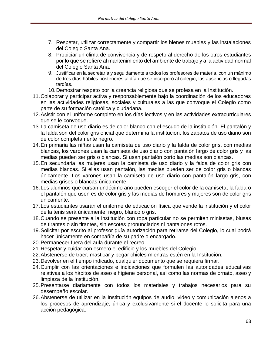- 7. Respetar, utilizar correctamente y compartir los bienes muebles y las instalaciones del Colegio Santa Ana.
- 8. Propiciar un clima de convivencia y de respeto al derecho de los otros estudiantes por lo que se refiere al mantenimiento del ambiente de trabajo y a la actividad normal del Colegio Santa Ana.
- 9. Justificar en la secretaría y seguidamente a todos los profesores de materia, con un máximo de tres días hábiles posteriores al día que se incorporó al colegio, las ausencias o llegadas tardías.
- 10.Demostrar respeto por la creencia religiosa que se profesa en la Institución.
- 11.Colaborar y participar activa y responsablemente bajo la coordinación de los educadores en las actividades religiosas, sociales y culturales a las que convoque el Colegio como parte de su formación católica y ciudadana.
- 12.Asistir con el uniforme completo en los días lectivos y en las actividades extracurriculares que se le convoque.
- 13.La camiseta de uso diario es de color blanco con el escudo de la institución. El pantalón y la falda son del color gris oficial que determina la institución, los zapatos de uso diario son de color completamente negro.
- 14.En primaria las niñas usan la camiseta de uso diario y la falda de color gris, con medias blancas, los varones usan la camiseta de uso diario con pantalón largo de color gris y las medias pueden ser gris o blancas. Si usan pantalón corto las medias son blancas.
- 15.En secundaria las mujeres usan la camiseta de uso diario y la falda de color gris con medias blancas. Si ellas usan pantalón, las medias pueden ser de color gris o blancas únicamente. Los varones usan la camiseta de uso diario con pantalón largo gris, con medias grises o blancas únicamente.
- 16.Los alumnos que cursan undécimo año pueden escoger el color de la camiseta, la falda o el pantalón que usen es de color gris y las medias de hombres y mujeres son de color gris únicamente.
- 17.Los estudiantes usarán el uniforme de educación física que vende la institución y el color de la tenis será únicamente, negro, blanco o gris.
- 18.Cuando se presente a la institución con ropa particular no se permiten minisetas, blusas de tirantes o sin tirantes, sin escotes pronunciados ni pantalones rotos.
- 19.Solicitar por escrito al profesor guía autorización para retirarse del Colegio, lo cual podrá hacer únicamente en compañía de su padre o encargado.
- 20.Permanecer fuera del aula durante el recreo.
- 21.Respetar y cuidar con esmero el edificio y los muebles del Colegio.
- 22.Abstenerse de traer, masticar y pegar chicles mientras estén en la Institución.
- 23.Devolver en el tiempo indicado, cualquier documento que se requiera firmar.
- 24.Cumplir con las orientaciones e indicaciones que formulen las autoridades educativas relativas a los hábitos de aseo e higiene personal, así como las normas de ornato, aseo y limpieza de la Institución.
- 25.Presentarse diariamente con todos los materiales y trabajos necesarios para su desempeño escolar.
- 26.Abstenerse de utilizar en la Institución equipos de audio, video y comunicación ajenos a los procesos de aprendizaje, única y exclusivamente si el docente lo solicita para una acción pedagógica.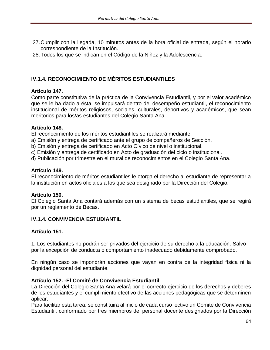- 27.Cumplir con la llegada, 10 minutos antes de la hora oficial de entrada, según el horario correspondiente de la Institución.
- 28.Todos los que se indican en el Código de la Niñez y la Adolescencia.

# **IV.1.4. RECONOCIMIENTO DE MÉRITOS ESTUDIANTILES**

## **Artículo 147.**

Como parte constitutiva de la práctica de la Convivencia Estudiantil, y por el valor académico que se le ha dado a ésta, se impulsará dentro del desempeño estudiantil, el reconocimiento institucional de méritos religiosos, sociales, culturales, deportivos y académicos, que sean meritorios para los/as estudiantes del Colegio Santa Ana.

## **Artículo 148.**

El reconocimiento de los méritos estudiantiles se realizará mediante:

- a) Emisión y entrega de certificado ante el grupo de compañeros de Sección.
- b) Emisión y entrega de certificado en Acto Cívico de nivel o institucional.
- c) Emisión y entrega de certificado en Acto de graduación del ciclo o institucional.
- d) Publicación por trimestre en el mural de reconocimientos en el Colegio Santa Ana.

## **Artículo 149.**

El reconocimiento de méritos estudiantiles le otorga el derecho al estudiante de representar a la institución en actos oficiales a los que sea designado por la Dirección del Colegio.

# **Artículo 150.**

El Colegio Santa Ana contará además con un sistema de becas estudiantiles, que se regirá por un reglamento de Becas.

# **IV.1.4. CONVIVENCIA ESTUDIANTIL**

# **Artículo 151.**

1. Los estudiantes no podrán ser privados del ejercicio de su derecho a la educación. Salvo por la excepción de conducta o comportamiento inadecuado debidamente comprobado.

En ningún caso se impondrán acciones que vayan en contra de la integridad física ni la dignidad personal del estudiante.

## **Artículo 152. -El Comité de Convivencia Estudiantil**

La Dirección del Colegio Santa Ana velará por el correcto ejercicio de los derechos y deberes de los estudiantes y el cumplimiento efectivo de las acciones pedagógicas que se determinen aplicar.

Para facilitar esta tarea, se constituirá al inicio de cada curso lectivo un Comité de Convivencia Estudiantil, conformado por tres miembros del personal docente designados por la Dirección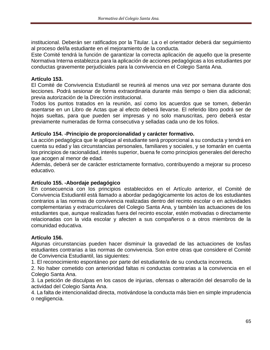institucional. Deberán ser ratificados por la Titular. La o el orientador deberá dar seguimiento al proceso del/la estudiante en el mejoramiento de la conducta.

Este Comité tendrá la función de garantizar la correcta aplicación de aquello que la presente Normativa Interna establezca para la aplicación de acciones pedagógicas a los estudiantes por conductas gravemente perjudiciales para la convivencia en el Colegio Santa Ana.

# **Artículo 153.**

El Comité de Convivencia Estudiantil se reunirá al menos una vez por semana durante dos lecciones. Podrá sesionar de forma extraordinaria durante más tiempo o bien día adicional; previa autorización de la Dirección institucional.

Todos los puntos tratados en la reunión, así como los acuerdos que se tomen, deberán asentarse en un Libro de Actas que al efecto deberá llevarse. El referido libro podrá ser de hojas sueltas, para que pueden ser impresas y no solo manuscritas, pero deberá estar previamente numeradas de forma consecutiva y selladas cada uno de los folios.

## **Artículo 154. -Principio de proporcionalidad y carácter formativo.**

La acción pedagógica que le aplique al estudiante será proporcional a su conducta y tendrá en cuenta su edad y las circunstancias personales, familiares y sociales, y se tomarán en cuenta los principios de racionalidad, interés superior, buena fe como principios generales del derecho que acogen al menor de edad.

Además, deberá ser de carácter estrictamente formativo, contribuyendo a mejorar su proceso educativo.

#### **Artículo 155. -Abordaje pedagógico**

En consecuencia con los principios establecidos en el Artículo anterior, el Comité de Convivencia Estudiantil está llamado a abordar pedagógicamente los actos de los estudiantes contrarios a las normas de convivencia realizadas dentro del recinto escolar o en actividades complementarias y extracurriculares del Colegio Santa Ana, y también las actuaciones de los estudiantes que, aunque realizadas fuera del recinto escolar, estén motivadas o directamente relacionadas con la vida escolar y afecten a sus compañeros o a otros miembros de la comunidad educativa.

#### **Artículo 156.**

Algunas circunstancias pueden hacer disminuir la gravedad de las actuaciones de los/las estudiantes contrarias a las normas de convivencia. Son entre otras que considere el Comité de Convivencia Estudiantil, las siguientes:

1. El reconocimiento espontáneo por parte del estudiante/a de su conducta incorrecta.

2. No haber cometido con anterioridad faltas ni conductas contrarias a la convivencia en el Colegio Santa Ana.

3. La petición de disculpas en los casos de injurias, ofensas o alteración del desarrollo de la actividad del Colegio Santa Ana.

4. La falta de intencionalidad directa, motivándose la conducta más bien en simple imprudencia o negligencia.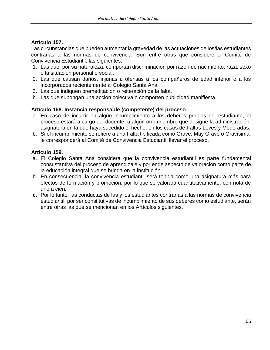# **Artículo 157.**

Las circunstancias que pueden aumentar la gravedad de las actuaciones de los/las estudiantes contrarias a las normas de convivencia. Son entre otras que considere el Comité de Convivencia Estudiantil, las siguientes:

- 1. Las que, por su naturaleza, comportan discriminación por razón de nacimiento, raza, sexo o la situación personal o social.
- 2. Las que causan daños, injurias u ofensas a los compañeros de edad inferior o a los incorporados recientemente al Colegio Santa Ana.
- 3. Las que indiquen premeditación o reiteración de la falta.
- b. Las que supongan una acción colectiva o comporten publicidad manifiesta.

# **Artículo 158. Instancia responsable (competente) del proceso**

- a. En caso de incurrir en algún incumplimiento a los deberes propios del estudiante, el proceso estará a cargo del docente, u algún otro miembro que designe la administración, asignatura en la que haya sucedido el hecho, en los casos de Faltas Leves y Moderadas.
- b. Si el incumplimiento se refiere a una Falta tipificada como Grave, Muy Grave o Gravísima, le corresponderá al Comité de Convivencia Estudiantil llevar el proceso.

# **Artículo 159.**

- a. El Colegio Santa Ana considera que la convivencia estudiantil es parte fundamental consustantiva del proceso de aprendizaje y por ende aspecto de valoración como parte de la educación integral que se brinda en la institución.
- b. En consecuencia, la convivencia estudiantil será tenida como una asignatura más para efectos de formación y promoción, por lo que se valorará cuantitativamente, con nota de uno a cien.
- **c.** Por lo tanto, las conductas de las y los estudiantes contrarias a las normas de convivencia estudiantil, por ser constitutivas de incumplimiento de sus deberes como estudiante, serán entre otras las que se mencionan en los Artículos siguientes.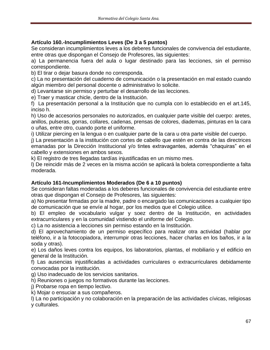# **Artículo 160.-Incumplimientos Leves (De 3 a 5 puntos)**

Se consideran incumplimientos leves a los deberes funcionales de convivencia del estudiante, entre otras que dispongan el Consejo de Profesores, las siguientes:

a) La permanencia fuera del aula o lugar destinado para las lecciones, sin el permiso correspondiente.

b) El tirar o dejar basura donde no corresponda.

c) La no presentación del cuaderno de comunicación o la presentación en mal estado cuando algún miembro del personal docente o administrativo lo solicite.

d) Levantarse sin permiso y perturbar el desarrollo de las lecciones.

e) Traer y masticar chicle, dentro de la Institución.

f) La presentación personal a la Institución que no cumpla con lo establecido en el art.145, inciso h.

h) Uso de accesorios personales no autorizados, en cualquier parte visible del cuerpo: aretes, anillos, pulseras, gorras, collares, cadenas, prensas de colores, diademas, pinturas en la cara o uñas, entre otro, cuando porte el uniforme.

i) Utilizar piercing en la lengua o en cualquier parte de la cara u otra parte visible del cuerpo.

j) La presentación a la institución con cortes de cabello que estén en contra de las directrices emanadas por la Dirección Institucional y/o tintes extravagantes, además "chaquiras" en el cabello y extensiones en ambos sexos.

k) El registro de tres llegadas tardías injustificadas en un mismo mes.

l) De reincidir más de 2 veces en la misma acción se aplicará la boleta correspondiente a falta moderada.

# **Artículo 161-Incumplimientos Moderados (De 6 a 10 puntos)**

Se consideran faltas moderadas a los deberes funcionales de convivencia del estudiante entre otras que dispongan el Consejo de Profesores, las siguientes:

a) No presentar firmadas por la madre, padre o encargado las comunicaciones a cualquier tipo de comunicación que se envíe al hogar, por los medios que el Colegio utilice.

b) El empleo de vocabulario vulgar y soez dentro de la Institución, en actividades extracurriculares y en la comunidad vistiendo el uniforme del Colegio.

c) La no asistencia a lecciones sin permiso estando en la Institución.

d) El aprovechamiento de un permiso específico para realizar otra actividad (hablar por teléfono, ir a la fotocopiadora, interrumpir otras lecciones, hacer charlas en los baños, ir a la soda y otras).

e) Los daños leves contra los equipos, los laboratorios, plantas, el mobiliario y el edificio en general de la Institución.

f) Las ausencias injustificadas a actividades curriculares o extracurriculares debidamente convocadas por la institución.

g) Uso inadecuado de los servicios sanitarios.

h) Reuniones o juegos no formativos durante las lecciones.

j) Probarse ropa en tiempo lectivo.

k) Mojar o ensuciar a sus compañeros.

l) La no participación y no colaboración en la preparación de las actividades cívicas, religiosas y culturales.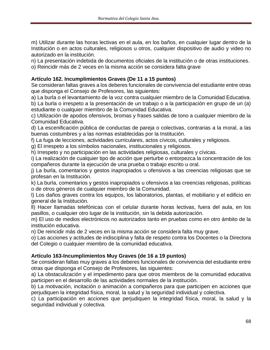m) Utilizar durante las horas lectivas en el aula, en los baños, en cualquier lugar dentro de la Institución o en actos culturales, religiosos u otros, cualquier dispositivo de audio y video no autorizado en la institución.

n) La presentación indebida de documentos oficiales de la institución o de otras instituciones.

o) Reincidir más de 2 veces en la misma acción se considera falta grave

# **Artículo 162. Incumplimientos Graves (De 11 a 15 puntos)**

Se consideran faltas graves a los deberes funcionales de convivencia del estudiante entre otras que disponga el Consejo de Profesores, las siguientes:

a) La burla o el levantamiento de la voz contra cualquier miembro de la Comunidad Educativa.

b) La burla o irrespeto a la presentación de un trabajo o a la participación en grupo de un (a) estudiante o cualquier miembro de la Comunidad Educativa.

c) Utilización de apodos ofensivos, bromas y frases salidas de tono a cualquier miembro de la Comunidad Educativa.

d) La escenificación pública de conductas de pareja o colectivas, contrarias a la moral, a las buenas costumbres y a las normas establecidas por la Institución.

f) La fuga de lecciones, actividades curriculares, actos cívicos, culturales y religiosos.

g) El irrespeto a los símbolos nacionales, institucionales y religiosos.

h) Irrespeto y no participación en las actividades religiosas, culturales y cívicas.

i) La realización de cualquier tipo de acción que perturbe o entorpezca la concentración de los compañeros durante la ejecución de una prueba o trabajo escrito u oral.

j) La burla, comentarios y gestos inapropiados u ofensivos a las creencias religiosas que se profesan en la Institución.

k) La burla, comentarios y gestos inapropiados u ofensivos a las creencias religiosas, políticas o de otros géneros de cualquier miembro de la Comunidad.

l) Los daños graves contra los equipos, los laboratorios, plantas, el mobiliario y el edificio en general de la Institución.

ll) Hacer llamadas telefónicas con el celular durante horas lectivas, fuera del aula, en los pasillos, o cualquier otro lugar de la institución, sin la debida autorización.

m) El uso de medios electrónicos no autorizados tanto en pruebas como en otro ámbito de la institución educativa.

n) De reincidir más de 2 veces en la misma acción se considera falta muy grave.

o) Las acciones y actitudes de indisciplina y falta de respeto contra los Docentes o la Directora del Colegio o cualquier miembro de la comunidad educativa.

# **Artículo 163-Incumplimientos Muy Graves (de 16 a 19 puntos)**

Se consideran faltas muy graves a los deberes funcionales de convivencia del estudiante entre otras que disponga el Consejo de Profesores, las siguientes:

a) La obstaculización y el impedimento para que otros miembros de la comunidad educativa participen en el desarrollo de las actividades normales de la institución.

b) La motivación, incitación o animación a compañeros para que participen en acciones que perjudiquen la integridad física, moral, la salud y la seguridad individual y colectiva.

c) La participación en acciones que perjudiquen la integridad física, moral, la salud y la seguridad individual y colectiva.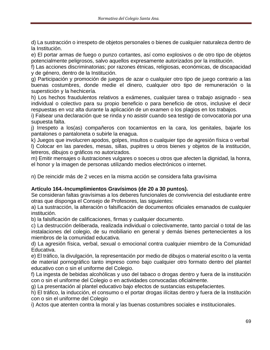d) La sustracción o irrespeto de objetos personales o bienes de cualquier naturaleza dentro de la Institución.

e) El portar armas de fuego o punzo cortantes, así como explosivos o de otro tipo de objetos potencialmente peligrosos, salvo aquellos expresamente autorizados por la institución.

f) Las acciones discriminatorias; por razones étnicas, religiosas, económicas, de discapacidad y de género, dentro de la Institución.

g) Participación y promoción de juegos de azar o cualquier otro tipo de juego contrario a las buenas costumbres, donde medie el dinero, cualquier otro tipo de remuneración o la superstición y la hechicería.

h) Los hechos fraudulentos relativos a exámenes, cualquier tarea o trabajo asignado - sea individual o colectivo para su propio beneficio o para beneficio de otros, inclusive el decir respuestas en voz alta durante la aplicación de un examen o los plagios en los trabajos.

i) Falsear una declaración que se rinda y no asistir cuando sea testigo de convocatoria por una supuesta falta.

j) Irrespeto a los(as) compañeros con tocamientos en la cara, los genitales, bajarle los pantalones o pantaloneta o subirle la enagua.

k) Juegos que involucren apodos, golpes, insultos o cualquier tipo de agresión física o verbal l) Colocar en las paredes, mesas, sillas, pupitres u otros bienes y objetos de la institución, letreros, dibujos o gráficos no autorizados.

m) Emitir mensajes o ilustraciones vulgares o soeces u otros que afecten la dignidad, la honra, el honor y la imagen de personas utilizando medios electrónicos o internet.

n) De reincidir más de 2 veces en la misma acción se considera falta gravísima

# **Artículo 164.-Incumplimientos Gravísimos (de 20 a 30 puntos).**

Se consideran faltas gravísimas a los deberes funcionales de convivencia del estudiante entre otras que disponga el Consejo de Profesores, las siguientes:

a) La sustracción, la alteración o falsificación de documentos oficiales emanados de cualquier institución.

b) la falsificación de calificaciones, firmas y cualquier documento.

c) La destrucción deliberada, realizada individual o colectivamente, tanto parcial o total de las instalaciones del colegio, de su mobiliario en general y demás bienes pertenecientes a los miembros de la comunidad educativa.

d) La agresión física, verbal, sexual o emocional contra cualquier miembro de la Comunidad Educativa.

e) El tráfico, la divulgación, la representación por medio de dibujos o material escrito o la venta de material pornográfico tanto impreso como bajo cualquier otro formato dentro del plantel educativo con o sin el uniforme del Colegio.

f) La ingesta de bebidas alcohólicas y uso del tabaco o drogas dentro y fuera de la institución con o sin el uniforme del Colegio o en actividades convocadas oficialmente.

g) La presentación al plantel educativo bajo efectos de sustancias estupefacientes.

h) El tráfico, la inducción, el consumo o el portar drogas ilícitas dentro y fuera de la Institución con o sin el uniforme del Colegio

i) Actos que atenten contra la moral y las buenas costumbres sociales e institucionales.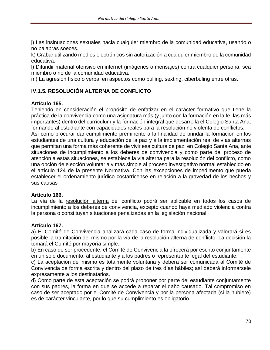j) Las insinuaciones sexuales hacia cualquier miembro de la comunidad educativa, usando o no palabras soeces.

k) Grabar utilizando medios electrónicos sin autorización a cualquier miembro de la comunidad educativa.

l) Difundir material ofensivo en internet (imágenes o mensajes) contra cualquier persona, sea miembro o no de la comunidad educativa.

m) La agresión físico o verbal en aspectos como bulling, sexting, ciberbuling entre otras.

# **IV.1.5. RESOLUCIÓN ALTERNA DE CONFLICTO**

## **Artículo 165.**

Teniendo en consideración el propósito de enfatizar en el carácter formativo que tiene la práctica de la convivencia como una asignatura más (y junto con la formación en la fe, las más importantes) dentro del currículum y la formación integral que desarrolla el Colegio Santa Ana, formando al estudiante con capacidades reales para la resolución no violenta de conflictos.

Así como procurar dar cumplimiento preminente a la finalidad de brindar la formación en los estudiantes de una cultura y educación de la paz y a la implementación real de vías alternas que permitan una forma más coherente de vivir esa cultura de paz; en Colegio Santa Ana, ante situaciones de incumplimiento a los deberes de convivencia y como parte del proceso de atención a estas situaciones, se establece la vía alterna para la resolución del conflicto, como una opción de elección voluntaria y más simple al proceso investigativo normal establecido en el artículo 124 de la presente Normativa. Con las excepciones de impedimento que pueda establecer el ordenamiento jurídico costarricense en relación a la gravedad de los hechos y sus causas

#### **Artículo 166.**

La vía de la resolución alterna del conflicto podrá ser aplicable en todos los casos de incumplimiento a los deberes de convivencia, excepto cuando haya mediado violencia contra la persona o constituyan situaciones penalizadas en la legislación nacional.

#### **Artículo 167.**

a) El Comité de Convivencia analizará cada caso de forma individualizada y valorará si es posible la tramitación del mismo por la vía de la resolución alterna de conflicto. La decisión la tomará el Comité por mayoría simple.

b) En caso de ser procedente, el Comité de Convivencia la ofrecerá por escrito conjuntamente en un solo documento, al estudiante y a los padres o representante legal del estudiante.

c) La aceptación del mismo es totalmente voluntaria y deberá ser comunicada al Comité de Convivencia de forma escrita y dentro del plazo de tres días hábiles; así deberá informársele expresamente a los destinatarios.

d) Como parte de esta aceptación se podrá proponer por parte del estudiante conjuntamente con sus padres, la forma en que se accede a reparar el daño causado. Tal compromiso en caso de ser aceptado por el Comité de Convivencia y por la persona afectada (si la hubiere) es de carácter vinculante, por lo que su cumplimiento es obligatorio.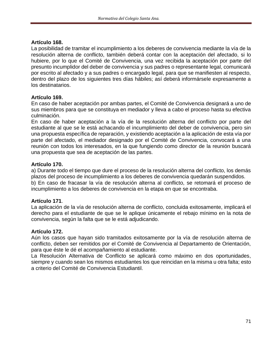#### **Artículo 168.**

La posibilidad de tramitar el incumplimiento a los deberes de convivencia mediante la vía de la resolución alterna de conflicto, también deberá contar con la aceptación del afectado, si lo hubiere, por lo que el Comité de Convivencia, una vez recibida la aceptación por parte del presunto incumplidor del deber de convivencia y sus padres o representante legal, comunicará por escrito al afectado y a sus padres o encargado legal, para que se manifiesten al respecto, dentro del plazo de los siguientes tres días hábiles; así deberá informársele expresamente a los destinatarios.

## **Artículo 169.**

En caso de haber aceptación por ambas partes, el Comité de Convivencia designará a uno de sus miembros para que se constituya en mediador y lleva a cabo el proceso hasta su efectiva culminación.

En caso de haber aceptación a la vía de la resolución alterna del conflicto por parte del estudiante al que se le está achacando el incumplimiento del deber de convivencia, pero sin una propuesta específica de reparación, y existiendo aceptación a la aplicación de esta vía por parte del afectado, el mediador designado por el Comité de Convivencia, convocará a una reunión con todos los interesados, en la que fungiendo como director de la reunión buscará una propuesta que sea de aceptación de las partes.

## **Artículo 170.**

a) Durante todo el tiempo que dure el proceso de la resolución alterna del conflicto, los demás plazos del proceso de incumplimiento a los deberes de convivencia quedarán suspendidos. b) En caso de fracasar la vía de resolución alterna al conflicto, se retomará el proceso de incumplimiento a los deberes de convivencia en la etapa en que se encontraba.

#### **Artículo 171**.

La aplicación de la vía de resolución alterna de conflicto, concluida exitosamente, implicará el derecho para el estudiante de que se le aplique únicamente el rebajo mínimo en la nota de convivencia, según la falta que se le está adjudicando.

#### **Artículo 172.**

Aún los casos que hayan sido tramitados exitosamente por la vía de resolución alterna de conflicto, deben ser remitidos por el Comité de Convivencia al Departamento de Orientación, para que éste le dé el acompañamiento al estudiante.

La Resolución Alternativa de Conflicto se aplicará como máximo en dos oportunidades, siempre y cuando sean los mismos estudiantes los que reincidan en la misma u otra falta; esto a criterio del Comité de Convivencia Estudiantil.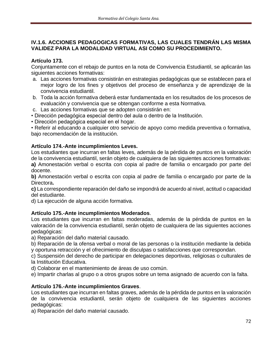# **IV.1.6. ACCIONES PEDAGOGICAS FORMATIVAS, LAS CUALES TENDRÁN LAS MISMA VALIDEZ PARA LA MODALIDAD VIRTUAL ASI COMO SU PROCEDIMIENTO.**

# **Artículo 173.**

Conjuntamente con el rebajo de puntos en la nota de Convivencia Estudiantil, se aplicarán las siguientes acciones formativas:

- a. Las acciones formativas consistirán en estrategias pedagógicas que se establecen para el mejor logro de los fines y objetivos del proceso de enseñanza y de aprendizaje de la convivencia estudiantil.
- b. Toda la acción formativa deberá estar fundamentada en los resultados de los procesos de evaluación y convivencia que se obtengan conforme a esta Normativa.
- c. Las acciones formativas que se adopten consistirán en:
- Dirección pedagógica especial dentro del aula o dentro de la Institución.
- Dirección pedagógica especial en el hogar.

• Referir al educando a cualquier otro servicio de apoyo como medida preventiva o formativa, bajo recomendación de la institución.

# **Artículo 174.-Ante incumplimientos Leves.**

Los estudiantes que incurran en faltas leves, además de la pérdida de puntos en la valoración de la convivencia estudiantil, serán objeto de cualquiera de las siguientes acciones formativas: **a)** Amonestación verbal o escrita con copia al padre de familia o encargado por parte del docente.

**b)** Amonestación verbal o escrita con copia al padre de familia o encargado por parte de la Directora**.**

**c)** La correspondiente reparación del daño se impondrá de acuerdo al nivel, actitud o capacidad del estudiante.

d) La ejecución de alguna acción formativa.

# **Artículo 175.-Ante incumplimientos Moderados**.

Los estudiantes que incurran en faltas moderadas, además de la pérdida de puntos en la valoración de la convivencia estudiantil, serán objeto de cualquiera de las siguientes acciones pedagógicas:

a) Reparación del daño material causado.

b) Reparación de la ofensa verbal o moral de las personas o la institución mediante la debida y oportuna retracción y el ofrecimiento de disculpas o satisfacciones que correspondan.

c) Suspensión del derecho de participar en delegaciones deportivas, religiosas o culturales de la Institución Educativa.

d) Colaborar en el mantenimiento de áreas de uso común.

e) Impartir charlas al grupo o a otros grupos sobre un tema asignado de acuerdo con la falta.

# **Artículo 176.-Ante incumplimientos Graves**.

Los estudiantes que incurran en faltas graves, además de la pérdida de puntos en la valoración de la convivencia estudiantil, serán objeto de cualquiera de las siguientes acciones pedagógicas:

a) Reparación del daño material causado.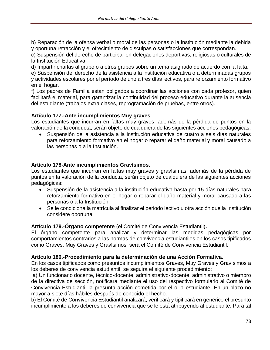b) Reparación de la ofensa verbal o moral de las personas o la institución mediante la debida y oportuna retracción y el ofrecimiento de disculpas o satisfacciones que correspondan.

c) Suspensión del derecho de participar en delegaciones deportivas, religiosas o culturales de la Institución Educativa.

d) Impartir charlas al grupo o a otros grupos sobre un tema asignado de acuerdo con la falta.

e) Suspensión del derecho de la asistencia a la institución educativa o a determinadas grupos y actividades escolares por el período de uno a tres días lectivos, para reforzamiento formativo en el hogar.

f) Los padres de Familia están obligados a coordinar las acciones con cada profesor, quien facilitará el material, para garantizar la continuidad del proceso educativo durante la ausencia del estudiante (trabajos extra clases, reprogramación de pruebas, entre otros).

#### **Artículo 177.-Ante incumplimientos Muy graves**.

Los estudiantes que incurran en faltas muy graves, además de la pérdida de puntos en la valoración de la conducta, serán objeto de cualquiera de las siguientes acciones pedagógicas:

• Suspensión de la asistencia a la institución educativa de cuatro a seis días naturales para reforzamiento formativo en el hogar o reparar el daño material y moral causado a las personas o a la Institución.

#### **Artículo 178-Ante incumplimientos Gravísimos**.

Los estudiantes que incurran en faltas muy graves y gravísimas, además de la pérdida de puntos en la valoración de la conducta, serán objeto de cualquiera de las siguientes acciones pedagógicas:

- Suspensión de la asistencia a la institución educativa hasta por 15 días naturales para reforzamiento formativo en el hogar o reparar el daño material y moral causado a las personas o a la Institución.
- Se le condiciona la matrícula al finalizar el periodo lectivo u otra acción que la Institución considere oportuna.

## **Artículo 179.-Órgano competente** (el Comité de Convivencia Estudiantil)**.**

El órgano competente para analizar y determinar las medidas pedagógicas por comportamientos contrarios a las normas de convivencia estudiantiles en los casos tipificados como Graves, Muy Graves y Gravísimos, será el Comité de Convivencia Estudiantil.

#### **Artículo 180.-Procedimiento para la determinación de una Acción Formativa.**

En los casos tipificados como presuntos incumplimientos Graves, Muy Graves y Gravísimos a los deberes de convivencia estudiantil, se seguirá el siguiente procedimiento:

a) Un funcionario docente, técnico-docente, administrativo-docente, administrativo o miembro de la directiva de sección, notificará mediante el uso del respectivo formulario al Comité de Convivencia Estudiantil la presunta acción cometida por el o la estudiante. En un plazo no mayor a siete días hábiles después de conocido el hecho.

b) El Comité de Convivencia Estudiantil analizará, verificará y tipificará en genérico el presunto incumplimiento a los deberes de convivencia que se le está atribuyendo al estudiante. Para tal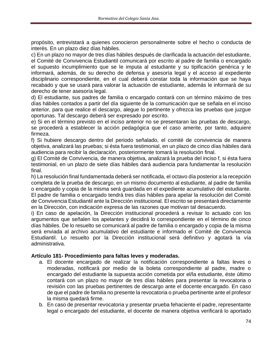propósito, entrevistará a quienes conocieron personalmente sobre el hecho o conducta de interés. En un plazo diez días hábiles.

c) En un plazo no mayor de tres días hábiles después de clarificada la actuación del estudiante,

el Comité de Convivencia Estudiantil comunicará por escrito al padre de familia o encargado el supuesto incumplimiento que se le imputa al estudiante y su tipificación genérica y le informará, además, de su derecho de defensa y asesoría legal y el acceso al expediente disciplinario correspondiente, en el cual deberá constar toda la información que se haya recabado y que se usará para valorar la actuación de estudiante, además le informará de su derecho de tener asesoría legal.

d) El estudiante, sus padres de familia o encargado contará con un término máximo de tres días hábiles contados a partir del día siguiente de la comunicación que se señala en el inciso anterior, para que realice el descargo, alegue lo pertinente y ofrezca las pruebas que juzgue oportunas. Tal descargo deberá ser expresado por escrito.

e) Si en el término previsto en el inciso anterior no se presentaran las pruebas de descargo, se procederá a establecer la acción pedagógica que el caso amerite, por tanto, adquiere firmeza.

f) Si hubiere descargo dentro del periodo señalado, el comité de convivencia de manera objetiva, analizará las pruebas; si ésta fuera testimonial, en un plazo de cinco días hábiles dará audiencia para recibir la declaración, posteriormente tomará la resolución final.

g) El Comité de Convivencia, de manera objetiva, analizará la prueba del inciso f, si ésta fuera testimonial, en un plazo de siete días hábiles dará audiencia para fundamentar la resolución final.

h) La resolución final fundamentada deberá ser notificada, el octavo día posterior a la recepción completa de la prueba de descargo, en un mismo documento al estudiante, al padre de familia o encargado y copia de la misma será guardada en el expediente acumulativo del estudiante. El padre de familia o encargado tendrá tres días hábiles para apelar la resolución del Comité de Convivencia Estudiantil ante la Dirección institucional. El escrito se presentará directamente en la Dirección, con indicación expresa de las razones que motivan tal desacuerdo.

i) En caso de apelación, la Dirección institucional procederá a revisar lo actuado con los argumentos que señalen los apelantes y decidirá lo correspondiente en el término de cinco días hábiles. De lo resuelto se comunicará al padre de familia o encargado y copia de la misma será enviada al archivo acumulativo del estudiante e informado el Comité de Convivencia Estudiantil. Lo resuelto por la Dirección institucional será definitivo y agotará la vía administrativa.

## **Artículo 181- Procedimiento para faltas leves y moderadas.**

- a. El docente encargado de realizar la notificación correspondiente a faltas leves o moderadas, notificará por medio de la boleta correspondiente al padre, madre o encargado del estudiante la supuesta acción cometida por el/la estudiante, éste último contará con un plazo no mayor de tres días hábiles para presentar la revocatoria o revisión con las pruebas pertinentes de descargo ante el docente encargado. En caso de que el padre de familia no presente la revocatoria o prueba pertinente ante el profesor la misma quedará firme.
- b. En caso de presentar revocatoria y presentar prueba fehaciente el padre, representante legal o encargado del estudiante, el docente de manera objetiva verificará lo aportado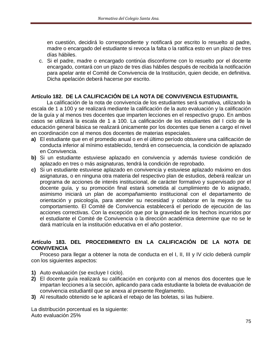en cuestión, decidirá lo correspondiente y notificará por escrito lo resuelto al padre, madre o encargado del estudiante si revoca la falta o la ratifica esto en un plazo de tres días hábiles.

c. Si el padre, madre o encargado continúa disconforme con lo resuelto por el docente encargado, contará con un plazo de tres días hábiles después de recibida la notificación para apelar ante el Comité de Convivencia de la Institución, quien decide, en definitiva. Dicha apelación deberá hacerse por escrito.

## **Artículo 182. DE LA CALIFICACIÓN DE LA NOTA DE CONVIVENCIA ESTUDIANTIL**

La calificación de la nota de convivencia de los estudiantes será sumativa, utilizando la escala de 1 a 100 y se realizará mediante la calificación de la auto evaluación y la calificación de la guía y al menos tres docentes que imparten lecciones en el respectivo grupo. En ambos casos se utilizará la escala de 1 a 100. La calificación de los estudiantes del I ciclo de la educación general básica se realizará únicamente por los docentes que tienen a cargo el nivel en coordinación con al menos dos docentes de materias especiales.

- **a)** El estudiante que en el promedio anual o en el último período obtuviere una calificación de conducta inferior al mínimo establecido, tendrá en consecuencia, la condición de aplazado en Convivencia.
- **b)** Si un estudiante estuviese aplazado en convivencia y además tuviese condición de aplazado en tres o más asignaturas, tendrá la condición de reprobado.
- **c)** Si un estudiante estuviese aplazado en convivencia y estuviese aplazado máximo en dos asignaturas, o en ninguna otra materia del respectivo plan de estudios, deberá realizar un programa de acciones de interés institucional, de carácter formativo y supervisado por el docente guía, y su promoción final estará sometida al cumplimiento de lo asignado, asimismo iniciará un plan de acompañamiento institucional con el departamento de orientación y psicología, para atender su necesidad y colaborar en la mejora de su comportamiento. El Comité de Convivencia establecerá el período de ejecución de las acciones correctivas. Con la excepción que por la gravedad de los hechos incurridos por el estudiante el Comité de Convivencia o la dirección académica determine que no se le dará matrícula en la institución educativa en el año posterior.

#### **Artículo 183. DEL PROCEDIMIENTO EN LA CALIFICACIÓN DE LA NOTA DE CONVIVENCIA**

Proceso para llegar a obtener la nota de conducta en el I, II, III y IV ciclo deberá cumplir con los siguientes aspectos:

- **1)** Auto evaluación (se excluye I ciclo).
- **2)** El docente guía realizará su calificación en conjunto con al menos dos docentes que le impartan lecciones a la sección, aplicando para cada estudiante la boleta de evaluación de convivencia estudiantil que se anexa al presente Reglamento.
- **3)** Al resultado obtenido se le aplicará el rebajo de las boletas, si las hubiere.

La distribución porcentual es la siguiente: Auto evaluación 25%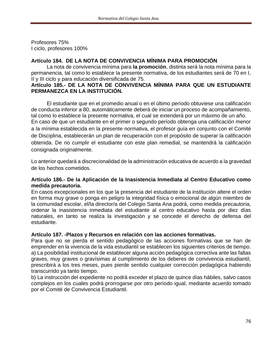Profesores 75% I ciclo, profesores 100%

## **Artículo 184. DE LA NOTA DE CONVIVENCIA MÍNIMA PARA PROMOCIÓN**

La nota de convivencia mínima para **la promoción**, distinta será la nota mínima para la permanencia, tal como lo establece la presente normativa, de los estudiantes será de 70 en I, II y III ciclo y para educación diversificada de 75.

#### **Artículo 185.- DE LA NOTA DE CONVIVENCIA MÍNIMA PARA QUE UN ESTUDIANTE PERMANEZCA EN LA INSTITUCIÓN.**

El estudiante que en el promedio anual o en el último período obtuviese una calificación de conducta inferior a 80, automáticamente deberá de iniciar un proceso de acompañamiento, tal como lo establece la presente normativa, el cual se extenderá por un máximo de un año. En caso de que un estudiante en el primer o segundo período obtenga una calificación menor a la mínima establecida en la presente normativa, el profesor guía en conjunto con el Comité de Disciplina, establecerán un plan de recuperación con el propósito de superar la calificación obtenida. De no cumplir el estudiante con este plan remedial, se mantendrá la calificación consignada originalmente.

Lo anterior quedará a discrecionalidad de la administración educativa de acuerdo a la gravedad de los hechos cometidos.

#### **Artículo 186.- De la Aplicación de la Inasistencia Inmediata al Centro Educativo como medida precautoria.**

En casos excepcionales en los que la presencia del estudiante de la institución altere el orden en forma muy grave o ponga en peligro la integridad física o emocional de algún miembro de la comunidad escolar, el/la director/a del Colegio Santa Ana podrá, como medida precautoria, ordenar la inasistencia inmediata del estudiante al centro educativo hasta por diez días naturales, en tanto se realiza la investigación y se concede el derecho de defensa del estudiante.

## **Artículo 187. -Plazos y Recursos en relación con las acciones formativas.**

Para que no se pierda el sentido pedagógico de las acciones formativas que se han de emprender en la vivencia de la vida estudiantil se establecen los siguientes criterios de tiempo. a) La posibilidad institucional de establecer alguna acción pedagógica correctiva ante las faltas graves, muy graves o gravísimas al cumplimiento de los deberes de convivencia estudiantil, prescribirá a los tres meses, pues pierde sentido cualquier corrección pedagógica habiendo transcurrido ya tanto tiempo.

b) La instrucción del expediente no podrá exceder el plazo de quince días hábiles, salvo casos complejos en los cuales podrá prorrogarse por otro período igual, mediante acuerdo tomado por el Comité de Convivencia Estudiantil.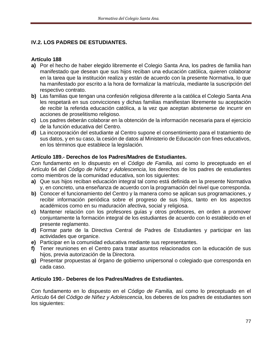# **IV.2. LOS PADRES DE ESTUDIANTES.**

## **Artículo 188**

- **a)** Por el hecho de haber elegido libremente el Colegio Santa Ana, los padres de familia han manifestado que desean que sus hijos reciban una educación católica, quieren colaborar en la tarea que la institución realiza y están de acuerdo con la presente Normativa, lo que ha manifestado por escrito a la hora de formalizar la matrícula, mediante la suscripción del respectivo contrato.
- **b)** Las familias que tengan una confesión religiosa diferente a la católica el Colegio Santa Ana les respetará en sus convicciones y dichas familias manifiestan libremente su aceptación de recibir la referida educación católica, a la vez que aceptan abstenerse de incurrir en acciones de proselitismo religioso.
- **c)** Los padres deberán colaborar en la obtención de la información necesaria para el ejercicio de la función educativa del Centro.
- **d)** La incorporación del estudiante al Centro supone el consentimiento para el tratamiento de sus datos, y en su caso, la cesión de datos al Ministerio de Educación con fines educativos, en los términos que establece la legislación.

## **Artículo 189.- Derechos de los Padres/Madres de Estudiantes.**

Con fundamento en lo dispuesto en el *Código de Familia,* así como lo preceptuado en el Artículo 64 del *Código de Niñez y Adolescencia*, los derechos de los padres de estudiantes como miembros de la comunidad educativa, son los siguientes:

- **a)** Que sus hijos reciban educación integral tal como está definida en la presente Normativa y, en concreto, una enseñanza de acuerdo con la programación del nivel que corresponda.
- **b)** Conocer el funcionamiento del Centro y la manera como se aplican sus programaciones, y recibir información periódica sobre el progreso de sus hijos, tanto en los aspectos académicos como en su maduración afectiva, social y religiosa.
- **c)** Mantener relación con los profesores guías y otros profesores, en orden a promover conjuntamente la formación integral de los estudiantes de acuerdo con lo establecido en el presente reglamento.
- **d)** Formar parte de la Directiva Central de Padres de Estudiantes y participar en las actividades que organice.
- **e)** Participar en la comunidad educativa mediante sus representantes.
- **f)** Tener reuniones en el Centro para tratar asuntos relacionados con la educación de sus hijos, previa autorización de la Directora.
- **g)** Presentar propuestas al órgano de gobierno unipersonal o colegiado que corresponda en cada caso.

# **Artículo 190.- Deberes de los Padres/Madres de Estudiantes.**

Con fundamento en lo dispuesto en el *Código de Familia,* así como lo preceptuado en el Artículo 64 del *Código de Niñez y Adolescencia*, los deberes de los padres de estudiantes son los siguientes: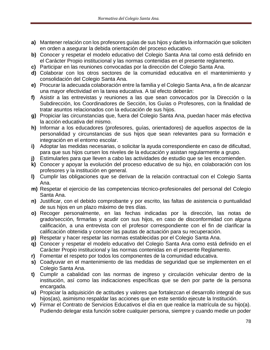- **a)** Mantener relación con los profesores guías de sus hijos y darles la información que soliciten en orden a asegurar la debida orientación del proceso educativo.
- **b)** Conocer y respetar el modelo educativo del Colegio Santa Ana tal como está definido en el Carácter Propio institucional y las normas contenidas en el presente reglamento.
- **c)** Participar en las reuniones convocadas por la dirección del Colegio Santa Ana.
- **d)** Colaborar con los otros sectores de la comunidad educativa en el mantenimiento y consolidación del Colegio Santa Ana.
- **e)** Procurar la adecuada colaboración entre la familia y el Colegio Santa Ana, a fin de alcanzar una mayor efectividad en la tarea educativa. A tal efecto deberán:
- **f)** Asistir a las entrevistas y reuniones a las que sean convocados por la Dirección o la Subdirección, los Coordinadores de Sección, los Guías o Profesores, con la finalidad de tratar asuntos relacionados con la educación de sus hijos.
- **g)** Propiciar las circunstancias que, fuera del Colegio Santa Ana, puedan hacer más efectiva la acción educativa del mismo.
- **h)** Informar a los educadores (profesores, guías, orientadores) de aquellos aspectos de la personalidad y circunstancias de sus hijos que sean relevantes para su formación e integración en el entorno escolar.
- **i)** Adoptar las medidas necesarias, o solicitar la ayuda correspondiente en caso de dificultad, para que sus hijos cursen los niveles de la educación y asistan regularmente a grupo.
- **j)** Estimularles para que lleven a cabo las actividades de estudio que se les encomienden.
- **k)** Conocer y apoyar la evolución del proceso educativo de su hijo, en colaboración con los profesores y la institución en general.
- **l)** Cumplir las obligaciones que se derivan de la relación contractual con el Colegio Santa Ana.
- **m)** Respetar el ejercicio de las competencias técnico-profesionales del personal del Colegio Santa Ana.
- **n)** Justificar, con el debido comprobante y por escrito, las faltas de asistencia o puntualidad de sus hijos en un plazo máximo de tres días.
- **o)** Recoger personalmente, en las fechas indicadas por la dirección, las notas de grado/sección, firmarlas y acudir con sus hijos, en caso de disconformidad con alguna calificación, a una entrevista con el profesor correspondiente con el fin de clarificar la calificación obtenida y conocer las pautas de actuación para su recuperación.
- **p)** Respetar y hacer respetar las normas establecidas por el Colegio Santa Ana.
- **q)** Conocer y respetar el modelo educativo del Colegio Santa Ana como está definido en el Carácter Propio institucional y las normas contenidas en el presente Reglamento.
- **r)** Fomentar el respeto por todos los componentes de la comunidad educativa.
- **s)** Coadyuvar en el mantenimiento de las medidas de seguridad que se implementen en el Colegio Santa Ana.
- **t)** Cumplir a cabalidad con las normas de ingreso y circulación vehicular dentro de la institución, así como las indicaciones específicas que se den por parte de la persona encargada.
- **u)** Propiciar la adquisición de actitudes y valores que fortalezcan el desarrollo integral de sus hijos(as), asimismo respaldar las acciones que en este sentido ejecute la Institución.
- **v)** Firmar el Contrato de Servicios Educativos el día en que realice la matrícula de su hijo(a). Pudiendo delegar esta función sobre cualquier persona, siempre y cuando medie un poder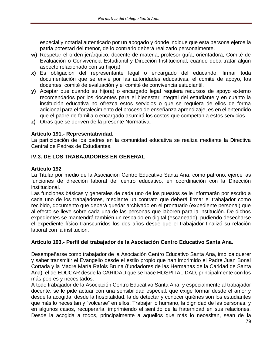especial y notarial autenticado por un abogado y donde indique que esta persona ejerce la patria potestad del menor, de lo contrario deberá realizarlo personalmente.

- **w)** Respetar el orden jerárquico: docente de materia, profesor guía, orientadora, Comité de Evaluación o Convivencia Estudiantil y Dirección Institucional, cuando deba tratar algún aspecto relacionado con su hijo(a)
- **x)** Es obligación del representante legal o encargado del educando, firmar toda documentación que se envié por las autoridades educativas, el comité de apoyo, los docentes, comité de evaluación y el comité de convivencia estudiantil.
- **y)** Aceptar que cuando su hijo(a) o encargado legal requiera recursos de apoyo externo recomendados por los docentes para el bienestar integral del estudiante y en cuanto la institución educativa no ofrezca estos servicios o que se requiera de ellos de forma adicional para el fortalecimiento del proceso de enseñanza aprendizaje, es en el entendido que el padre de familia o encargado asumirá los costos que competan a estos servicios.
- **z)** Otras que se deriven de la presente Normativa.

## **Artículo 191.- Representatividad.**

La participación de los padres en la comunidad educativa se realiza mediante la Directiva Central de Padres de Estudiantes.

## **IV.3. DE LOS TRABAJADORES EN GENERAL**

#### **Artículo 192**

La Titular por medio de la Asociación Centro Educativo Santa Ana, como patrono, ejerce las funciones de dirección laboral del centro educativo, en coordinación con la Dirección institucional.

Las funciones básicas y generales de cada uno de los puestos se le informarán por escrito a cada uno de los trabajadores, mediante un contrato que deberá firmar el trabajador como recibido, documento que deberá quedar archivado en el prontuario (expediente personal) que al efecto se lleve sobre cada una de las personas que laboren para la institución. De dichos expedientes se mantendrá también un respaldo en digital (escaneado), pudiendo desecharse el expediente físico transcurridos los dos años desde que el trabajador finalizó su relación laboral con la institución.

## **Artículo 193.- Perfil del trabajador de la Asociación Centro Educativo Santa Ana.**

Desempeñarse como trabajador de la Asociación Centro Educativo Santa Ana, implica querer y saber transmitir el Evangelio desde el estilo propio que han imprimido el Padre Juan Bonal Cortada y la Madre María Rafols Bruna (fundadores de las Hermanas de la Caridad de Santa Ana), el de EDUCAR desde la CARIDAD que se hace HOSPITALIDAD, principalmente con los más pobres y necesitados.

A todo trabajador de la Asociación Centro Educativo Santa Ana, y especialmente al trabajador docente, se le pide actuar con una sensibilidad especial, que exige formar desde el amor y desde la acogida, desde la hospitalidad, la de detectar y conocer quiénes son los estudiantes que más lo necesitan y "volcarse" en ellos. Trabajar lo humano, la dignidad de las personas, y en algunos casos, recuperarla, imprimiendo el sentido de la fraternidad en sus relaciones. Desde la acogida a todos, principalmente a aquellos que más lo necesitan, sean de la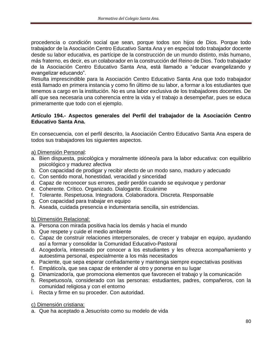procedencia o condición social que sean, porque todos son hijos de Dios. Porque todo trabajador de la Asociación Centro Educativo Santa Ana y en especial todo trabajador docente desde su labor educativa, es partícipe de la construcción de un mundo distinto, más humano, más fraterno, es decir, es un colaborador en la construcción del Reino de Dios. Todo trabajador de la Asociación Centro Educativo Santa Ana, está llamado a "educar evangelizando y evangelizar educando".

Resulta imprescindible para la Asociación Centro Educativo Santa Ana que todo trabajador está llamado en primera instancia y como fin último de su labor, a formar a los estudiantes que tenemos a cargo en la institución. No es una labor exclusiva de los trabajadores docentes. De allí que sea necesaria una coherencia entre la vida y el trabajo a desempeñar, pues se educa primeramente que todo con el ejemplo.

#### **Artículo 194.- Aspectos generales del Perfil del trabajador de la Asociación Centro Educativo Santa Ana.**

En consecuencia, con el perfil descrito, la Asociación Centro Educativo Santa Ana espera de todos sus trabajadores los siguientes aspectos.

a) Dimensión Personal:

- a. Bien dispuesta, psicológica y moralmente idóneo/a para la labor educativa: con equilibrio psicológico y madurez afectiva
- b. Con capacidad de prodigar y recibir afecto de un modo sano, maduro y adecuado
- c. Con sentido moral, honestidad, veracidad y sinceridad
- d. Capaz de reconocer sus errores, pedir perdón cuando se equivoque y perdonar
- e. Coherente. Crítico. Organizado. Dialogante. Ecuánime
- f. Tolerante. Respetuosa. Integradora. Colaboradora. Discreta. Responsable
- g. Con capacidad para trabajar en equipo
- h. Aseada, cuidada presencia e indumentaria sencilla, sin estridencias.

b) Dimensión Relacional:

- a. Persona con mirada positiva hacia los demás y hacia el mundo
- b. Que respete y cuide el medio ambiente
- c. Capaz de construir relaciones interpersonales, de crecer y trabajar en equipo, ayudando así a formar y consolidar la Comunidad Educativo-Pastoral
- d. Acogedor/a, interesado por conocer a los estudiantes y les ofrezca acompañamiento y autoestima personal, especialmente a los más necesitados
- e. Paciente, que sepa esperar confiadamente y mantenga siempre expectativas positivas
- f. Empático/a, que sea capaz de entender al otro y ponerse en su lugar
- g. Dinamizador/a, que promociona elementos que favorecen el trabajo y la comunicación
- h. Respetuoso/a, considerado con las personas: estudiantes, padres, compañeros, con la comunidad religiosa y con el entorno
- i. Recta y firme en su proceder. Con autoridad.

c) Dimensión cristiana:

a. Que ha aceptado a Jesucristo como su modelo de vida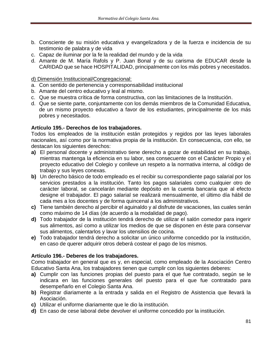- b. Consciente de su misión educativa y evangelizadora y de la fuerza e incidencia de su testimonio de palabra y de vida
- c. Capaz de iluminar por la fe la realidad del mundo y de la vida
- d. Amante de M. María Rafols y P. Juan Bonal y de su carisma de EDUCAR desde la CARIDAD que se hace HOSPITALIDAD, principalmente con los más pobres y necesitados.

#### d) Dimensión Institucional/Congregacional:

- a. Con sentido de pertenencia y corresponsabilidad institucional
- b. Amante del centro educativo y leal al mismo.
- c. Que se muestra crítica de forma constructiva, con las limitaciones de la Institución.
- d. Que se siente parte, conjuntamente con los demás miembros de la Comunidad Educativa, de un mismo proyecto educativo a favor de los estudiantes, principalmente de los más pobres y necesitados.

#### **Artículo 195.- Derechos de los trabajadores.**

Todos los empleados de la institución están protegidos y regidos por las leyes laborales nacionales, así como por la normativa propia de la institución. En consecuencia, con ello, se destacan los siguientes derechos:

- **a)** El personal docente y administrativo tiene derecho a gozar de estabilidad en su trabajo, mientras mantenga la eficiencia en su labor, sea consecuente con el Carácter Propio y el proyecto educativo del Colegio y conlleve un respeto a la normativa interna, al código de trabajo y sus leyes conexas.
- **b)** Un derecho básico de todo empleado es el recibir su correspondiente pago salarial por los servicios prestados a la institución. Tanto los pagos salariales como cualquier otro de carácter laboral, se cancelarán mediante depósito en la cuenta bancaria que al efecto designe el trabajador. El pago salarial se realizará mensualmente, el último día hábil de cada mes a los docentes y de forma quincenal a los administrativos.
- **c)** Tiene también derecho al percibir el aguinaldo y al disfrute de vacaciones, las cuales serán como máximo de 14 días (de acuerdo a la modalidad de pago).
- **d)** Todo trabajador de la institución tendrá derecho de utilizar el salón comedor para ingerir sus alimentos, así como a utilizar los medios de que se disponen en éste para conservar sus alimentos, calentarlos y lavar los utensilios de cocina.
- **e)** Todo trabajador tendrá derecho a solicitar un único uniforme concedido por la institución, en caso de querer adquirir otros deberá costear el pago de los mismos.

## **Artículo 196.- Deberes de los trabajadores.**

Como trabajador en general que es y, en especial, como empleado de la Asociación Centro Educativo Santa Ana, los trabajadores tienen que cumplir con los siguientes deberes:

- **a)** Cumplir con las funciones propias del puesto para el que fue contratado, según se le indicara en las funciones generales del puesto para el que fue contratado para desempeñarlo en el Colegio Santa Ana.
- **b)** Registrar diariamente a la entrada y salida en el Registro de Asistencia que llevará la Asociación.
- **c)** Utilizar el uniforme diariamente que le dio la institución.
- **d)** En caso de cese laboral debe devolver el uniforme concedido por la institución.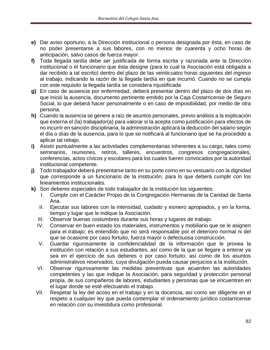- **e)** Dar aviso oportuno, a la Dirección institucional o persona designada por ésta, en caso de no poder presentarse a sus labores, con no menos de cuarenta y ocho horas de anticipación, salvo casos de fuerza mayor.
- **f)** Toda llegada tardía debe ser justificada de forma escrita y razonada ante la Dirección institucional o el funcionario que ésta designe (para lo cual la Asociación está obligada a dar recibido a tal escrito) dentro del plazo de las veinticuatro horas siguientes del ingreso al trabajo, indicando la razón de la llegada tardía en que incurrió. Cuando no se cumpla con este requisito la llegada tardía se considera injustificada
- **g)** En caso de ausencia por enfermedad, deberá presentar dentro del plazo de dos días en que inició la ausencia, documento pertinente emitido por la Caja Costarricense de Seguro Social, lo que deberá hacer personalmente o en caso de imposibilidad, por medio de otra persona.
- **h)** Cuando la ausencia se genere a raíz de asuntos personales, previo análisis a la explicación que externa el (la) trabajador(a) para valorar si la acepta como justificación para efectos de no incurrir en sanción disciplinaria, la administración aplicará la deducción del salario según el día o días de la ausencia, para lo que se notificará al funcionario que se ha procedido a aplicar tal rebajo.
- **i)** Asistir puntualmente a las actividades complementarias inherentes a su cargo, tales como seminarios, reuniones, retiros, talleres, encuentros, congresos congregacionales, conferencias, actos cívicos y escolares para los cuales fueren convocados por la autoridad institucional competente.
- **j)** Todo trabajador deberá presentarse tanto en su porte como en su vestuario con la dignidad que corresponde a un funcionario de la institución, para lo que deberá cumplir con los lineamientos institucionales.
- **k)** Son deberes especiales de todo trabajador de la institución los siguientes:
	- I. Cumplir con el Carácter Propio de la Congregación Hermanas de la Caridad de Santa Ana.
	- II. Ejecutar sus labores con la intensidad, cuidado y esmero apropiados, y en la forma, tiempo y lugar que le indique la Asociación.
	- III. Observar buenas costumbres durante sus horas y lugares de trabajo.
	- IV. Conservar en buen estado los materiales, instrumentos y mobiliario que se le asignen para el trabajo; es entendido que no será responsable por el deterioro normal ni del que se ocasione por caso fortuito, fuerza mayor o defectuosa construcción.
	- V. Guardar rigurosamente la confidencialidad de la información que le provea la institución con relación a sus estudiantes, así como de la que se llegare a enterar ya sea en el ejercicio de sus deberes o por caso fortuito; así como de los asuntos administrativos reservados, cuya divulgación pueda causar perjuicios a la institución.
	- VI. Observar rigurosamente las medidas preventivas que acuerden las autoridades competentes y las que indique la Asociación, para seguridad y protección personal propia, de sus compañeros de labores, estudiantes y personas que se encuentren en el lugar donde se esté efectuando el trabajo.
	- VII. Respetar la ley del acoso en el trabajo y en la docencia, así como ser diligente en el respeto a cualquier ley que pueda contemplar el ordenamiento jurídico costarricense en relación con su investidura como profesional.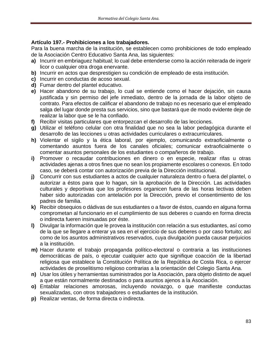## **Artículo 197.- Prohibiciones a los trabajadores.**

Para la buena marcha de la institución, se establecen como prohibiciones de todo empleado de la Asociación Centro Educativo Santa Ana, las siguientes:

- **a)** Incurrir en embriaguez habitual; lo cual debe entenderse como la acción reiterada de ingerir licor o cualquier otra droga enervante.
- **b)** Incurrir en actos que desprestigien su condición de empleado de esta institución.
- **c)** Incurrir en conductas de acoso sexual.
- **d)** Fumar dentro del plantel educativo.
- **e)** Hacer abandono de su trabajo, lo cual se entiende como el hacer dejación, sin causa justificada y sin permiso del jefe inmediato, dentro de la jornada de la labor objeto de contrato. Para efectos de calificar el abandono de trabajo no es necesario que el empleado salga del lugar donde presta sus servicios, sino que bastará que de modo evidente deje de realizar la labor que se le ha confiado.
- **f)** Recibir visitas particulares que entorpezcan el desarrollo de las lecciones.
- **g)** Utilizar el teléfono celular con otra finalidad que no sea la labor pedagógica durante el desarrollo de las lecciones u otras actividades curriculares o extracurriculares.
- **h)** Violentar el sigilo y la ética laboral, por ejemplo, comunicando extraoficialmente o comentando asuntos fuera de los canales oficiales; comunicar extraoficialmente o comentar asuntos personales de los estudiantes o compañeros de trabajo.
- **i)** Promover o recaudar contribuciones en dinero o en especie, realizar rifas u otras actividades ajenas a otros fines que no sean los propiamente escolares o conexos. En todo caso, se deberá contar con autorización previa de la Dirección institucional.
- **j)** Concurrir con sus estudiantes a actos de cualquier naturaleza dentro o fuera del plantel, o autorizar a éstos para que lo hagan, sin la aprobación de la Dirección. Las actividades culturales y deportivas que los profesores organicen fuera de las horas lectivas deben haber sido autorizadas con antelación por la Dirección, previo el consentimiento de los padres de familia.
- **k)** Recibir obsequios o dádivas de sus estudiantes o a favor de éstos, cuando en alguna forma comprometan al funcionario en el cumplimiento de sus deberes o cuando en forma directa o indirecta fueren insinuadas por éste.
- **l)** Divulgar la información que le provea la institución con relación a sus estudiantes, así como de la que se llegare a enterar ya sea en el ejercicio de sus deberes o por caso fortuito; así como de los asuntos administrativos reservados, cuya divulgación pueda causar perjuicios a la institución.
- **m)** Hacer durante el trabajo propaganda político-electoral o contraria a las instituciones democráticas de país, o ejecutar cualquier acto que signifique coacción de la libertad religiosa que establece la Constitución Política de la República de Costa Rica, o ejercer actividades de proselitismo religioso contrarias a la orientación del Colegio Santa Ana.
- **n)** Usar los útiles y herramientas suministrados por la Asociación, para objeto distinto de aquel a que están normalmente destinados o para asuntos ajenos a la Asociación.
- **o)** Entablar relaciones amorosas, incluyendo noviazgo, o que manifieste conductas sexualizadas, con otros trabajadores o estudiantes de la institución.
- **p)** Realizar ventas, de forma directa o indirecta.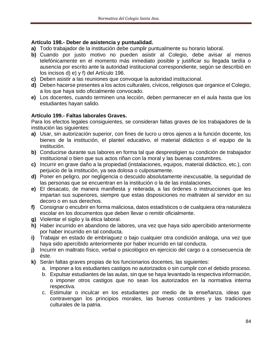## **Artículo 198.- Deber de asistencia y puntualidad.**

- **a)** Todo trabajador de la institución debe cumplir puntualmente su horario laboral.
- **b)** Cuando por justo motivo no pueden asistir al Colegio, debe avisar al menos telefónicamente en el momento más inmediato posible y justificar su llegada tardía o ausencia por escrito ante la autoridad institucional correspondiente, según se describió en los incisos d) e) y f) del Artículo 196.
- **c)** Deben asistir a las reuniones que convoque la autoridad institucional.
- **d)** Deben hacerse presentes a los actos culturales, cívicos, religiosos que organice el Colegio, a los que haya sido oficialmente convocado.
- **e)** Los docentes, cuando terminen una lección, deben permanecer en el aula hasta que los estudiantes hayan salido.

## **Artículo 199.- Faltas laborales Graves.**

Para los efectos legales consiguientes, se consideran faltas graves de los trabajadores de la institución las siguientes:

- **a)** Usar, sin autorización superior, con fines de lucro u otros ajenos a la función docente, los bienes de la institución, el plantel educativo, el material didáctico o el equipo de la institución.
- **b)** Conducirse durante sus labores en forma tal que desprestigien su condición de trabajador institucional o bien que sus actos riñan con la moral y las buenas costumbres.
- **c)** Incurrir en grave daño a la propiedad (instalaciones, equipos, material didáctico, etc.), con perjuicio de la institución, ya sea dolosa o culposamente.
- **d)** Poner en peligro, por negligencia o descuido absolutamente inexcusable, la seguridad de las personas que se encuentran en la institución o la de las instalaciones.
- **e)** El desacato, de manera manifiesta y reiterada, a las órdenes o instrucciones que les impartan sus superiores, siempre que estas disposiciones no maltraten al servidor en su decoro o en sus derechos.
- **f)** Consignar o encubrir en forma maliciosa, datos estadísticos o de cualquiera otra naturaleza escolar en los documentos que deben llevar o remitir oficialmente.
- **g)** Violentar el sigilo y la ética laboral.
- **h)** Haber incurrido en abandono de labores, una vez que haya sido apercibido anteriormente por haber incurrido en tal conducta.
- **i)** Trabajar en estado de embriaguez o bajo cualquier otra condición análoga, una vez que haya sido apercibido anteriormente por haber incurrido en tal conducta.
- **j)** Incurrir en maltrato físico, verbal o psicológico en ejercicio del cargo o a consecuencia de éste.
- **k)** Serán faltas graves propias de los funcionarios docentes, las siguientes:
	- a. Imponer a los estudiantes castigos no autorizados o sin cumplir con el debido proceso.
	- b. Expulsar estudiantes de las aulas, sin que se haya levantado la respectiva información, o imponer otros castigos que no sean los autorizados en la normativa interna respectiva.
	- c. Estimular o inculcar en los estudiantes por medio de la enseñanza, ideas que contravengan los principios morales, las buenas costumbres y las tradiciones culturales de la patria.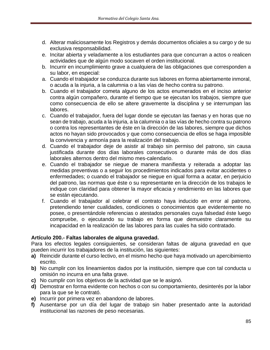- d. Alterar maliciosamente los Registros y demás documentos oficiales a su cargo y de su exclusiva responsabilidad.
- e. Incitar abierta y veladamente a los estudiantes para que concurran a actos o realicen actividades que de algún modo socaven el orden institucional.
- b. Incurrir en incumplimiento grave a cualquiera de las obligaciones que corresponden a su labor, en especial:
- a. Cuando el trabajador se conduzca durante sus labores en forma abiertamente inmoral, o acuda a la injuria, a la calumnia o a las vías de hecho contra su patrono.
- b. Cuando el trabajador cometa alguno de los actos enumerados en el inciso anterior contra algún compañero, durante el tiempo que se ejecutan los trabajos, siempre que como consecuencia de ello se altere gravemente la disciplina y se interrumpan las labores.
- c. Cuando el trabajador, fuera del lugar donde se ejecutan las faenas y en horas que no sean de trabajo, acuda a la injuria, a la calumnia o a las vías de hecho contra su patrono o contra los representantes de éste en la dirección de las labores, siempre que dichos actos no hayan sido provocados y que como consecuencia de ellos se haga imposible la convivencia y armonía para la realización del trabajo.
- d. Cuando el trabajador deje de asistir al trabajo sin permiso del patrono, sin causa justificada durante dos días laborales consecutivos o durante más de dos días laborales alternos dentro del mismo mes-calendario.
- e. Cuando el trabajador se niegue de manera manifiesta y reiterada a adoptar las medidas preventivas o a seguir los procedimientos indicados para evitar accidentes o enfermedades; o cuando el trabajador se niegue en igual forma a acatar, en perjuicio del patrono, las normas que éste o su representante en la dirección de los trabajos le indique con claridad para obtener la mayor eficacia y rendimiento en las labores que se están ejecutando.
- f. Cuando el trabajador al celebrar el contrato haya inducido en error al patrono, pretendiendo tener cualidades, condiciones o conocimientos que evidentemente no posee, o presentándole referencias o atestados personales cuya falsedad éste luego compruebe, o ejecutando su trabajo en forma que demuestre claramente su incapacidad en la realización de las labores para las cuales ha sido contratado.

## **Artículo 200.- Faltas laborales de alguna gravedad.**

Para los efectos legales consiguientes, se consideran faltas de alguna gravedad en que pueden incurrir los trabajadores de la institución, las siguientes:

- **a)** Reincidir durante el curso lectivo, en el mismo hecho que haya motivado un apercibimiento escrito.
- **b)** No cumplir con los lineamientos dados por la institución, siempre que con tal conducta u omisión no incurra en una falta grave.
- **c)** No cumplir con los objetivos de la actividad que se le asignó.
- **d)** Demostrar en forma evidente con hechos o con su comportamiento, desinterés por la labor para la que se le contrató.
- **e)** Incurrir por primera vez en abandono de labores.
- **f)** Ausentarse por un día del lugar de trabajo sin haber presentado ante la autoridad institucional las razones de peso necesarias.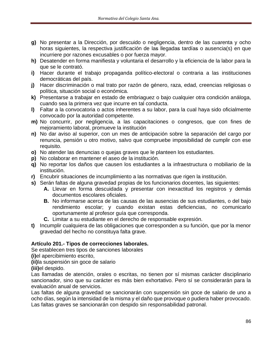- **g)** No presentar a la Dirección, por descuido o negligencia, dentro de las cuarenta y ocho horas siguientes, la respectiva justificación de las llegadas tardías o ausencia(s) en que incurriere por razones excusables o por fuerza mayor.
- **h)** Desatender en forma manifiesta y voluntaria el desarrollo y la eficiencia de la labor para la que se le contrató.
- **i)** Hacer durante el trabajo propaganda político-electoral o contraria a las instituciones democráticas del país.
- **j)** Hacer discriminación o mal trato por razón de género, raza, edad, creencias religiosas o política, situación social o económica.
- **k)** Presentarse a trabajar en estado de embriaguez o bajo cualquier otra condición análoga, cuando sea la primera vez que incurre en tal conducta.
- **l)** Faltar a la convocatoria o actos inherentes a su labor, para la cual haya sido oficialmente convocado por la autoridad competente.
- **m)** No concurrir, por negligencia, a las capacitaciones o congresos, que con fines de mejoramiento laboral, promueve la institución
- **n)** No dar aviso al superior, con un mes de anticipación sobre la separación del cargo por renuncia, pensión u otro motivo, salvo que compruebe imposibilidad de cumplir con ese requisito.
- **o)** No atender las denuncias o quejas graves que le planteen los estudiantes.
- **p)** No colaborar en mantener el aseo de la institución.
- **q)** No reportar los daños que causen los estudiantes a la infraestructura o mobiliario de la institución.
- **r)** Encubrir situaciones de incumplimiento a las normativas que rigen la institución.
- **s)** Serán faltas de alguna gravedad propias de los funcionarios docentes, las siguientes:
	- **A.** Llevar en forma descuidada y presentar con inexactitud los registros y demás documentos escolares oficiales.
	- **B.** No informarse acerca de las causas de las ausencias de sus estudiantes, o del bajo rendimiento escolar; y cuando existan estas deficiencias, no comunicarlo oportunamente al profesor guía que corresponda.
	- **C.** Limitar a su estudiante en el derecho de responsable expresión.
- **t)** Incumplir cualquiera de las obligaciones que corresponden a su función, que por la menor gravedad del hecho no constituya falta grave.

## **Artículo 201.- Tipos de correcciones laborales.**

Se establecen tres tipos de sanciones laborales

**(i)**el apercibimiento escrito,

**(ii)**la suspensión sin goce de salario

**(iii)**el despido.

Las llamadas de atención, orales o escritas, no tienen por sí mismas carácter disciplinario sancionador, sino que su carácter es más bien exhortativo. Pero sí se considerarán para la evaluación anual de servicios.

Las faltas de alguna gravedad se sancionarán con suspensión sin goce de salario de uno a ocho días, según la intensidad de la misma y el daño que provoque o pudiera haber provocado. Las faltas graves se sancionarán con despido sin responsabilidad patronal.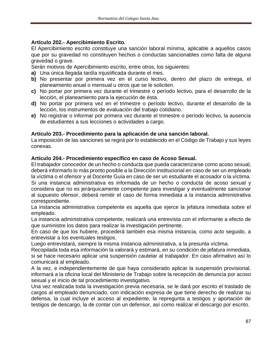## **Artículo 202.- Apercibimiento Escrito.**

El Apercibimiento escrito constituye una sanción laboral mínima, aplicable a aquellos casos que por su gravedad no constituyen hechos o conductas sancionables como falta de alguna gravedad o grave.

Serán motivos de Apercibimiento escrito, entre otros, los siguientes:

- **a)** Una única llegada tardía injustificada durante el mes.
- **b)** No presentar por primera vez en el curso lectivo, dentro del plazo de entrega, el planeamiento anual o mensual u otros que se le soliciten.
- **c)** No portar por primera vez durante el trimestre o período lectivo, para el desarrollo de la lección, el planeamiento para la ejecución de ésta.
- **d)** No portar por primera vez en el trimestre o período lectivo, durante el desarrollo de la lección, los instrumentos de evaluación del trabajo cotidiano.
- **e)** No registrar o informar por primera vez durante el trimestre o período lectivo, la ausencia de estudiantes a sus lecciones o actividades a cargo.

## **Artículo 203.- Procedimiento para la aplicación de una sanción laboral.**

La imposición de las sanciones se regirá por lo establecido en el Código de Trabajo y sus leyes conexas.

## **Artículo 204.- Procedimiento específico en caso de Acoso Sexual.**

El trabajador conocedor de un hecho o conducta que pueda caracterizarse como acoso sexual, deberá informarlo lo más pronto posible a la Dirección institucional en caso de ser un empleado la víctima o el ofensor y al Docente Guía en caso de ser un estudiante el acosador o la víctima. Si una instancia administrativa es informada de un hecho o conducta de acoso sexual y considera que no es jerárquicamente competente para investigar y eventualmente sancionar al supuesto ofensor, deberá remitir el caso de forma inmediata a la instancia administrativa correspondiente.

La instancia administrativa competente es aquella que ejerce la jefatura inmediata sobre el empleado.

La instancia administrativa competente, realizará una entrevista con el informante a efecto de que suministre los datos para realizar la investigación pertinente.

En caso de que los hubiere, procederá también esa misma instancia, como acto seguido, a entrevistar a los eventuales testigos.

Luego entrevistará, siempre la misma instancia administrativa, a la presunta víctima.

Recopilada toda esa información la valorará y estimará, en su condición de jefatura inmediata, si se hace necesario aplicar una suspensión cautelar al trabajador. En caso afirmativo así lo comunicará al empleado.

A la vez, e independientemente de que haya considerado aplicar la suspensión provisional, informará a la oficina local del Ministerio de Trabajo sobre la recepción de denuncia por acoso sexual y el inicio de tal procedimiento investigativo.

Una vez realizada toda la investigación previa necesaria, se le dará por escrito el traslado de cargos al empleado denunciado, con indicación expresa de que tiene derecho de realizar su defensa, la cual incluye el acceso al expediente, la repregunta a testigos y aportación de testigos de descargo, la de contar con un defensor, así como realizar el descargo por escrito.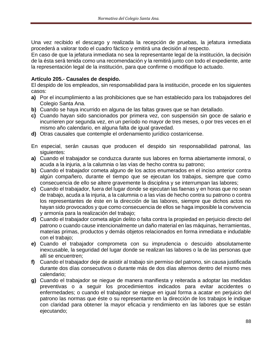Una vez recibido el descargo y realizada la recepción de pruebas, la jefatura inmediata procederá a valorar todo el cuadro fáctico y emitirá una decisión al respecto.

En caso de que la jefatura inmediata no sea la representante legal de la institución, la decisión de la ésta será tenida como una recomendación y la remitirá junto con todo el expediente, ante la representación legal de la institución, para que confirme o modifique lo actuado.

#### **Artículo 205.- Causales de despido.**

El despido de los empleados, sin responsabilidad para la institución, procede en los siguientes casos:

- **a)** Por el incumplimiento a las prohibiciones que se han establecido para los trabajadores del Colegio Santa Ana.
- **b)** Cuando se haya incurrido en alguna de las faltas graves que se han detallado.
- **c)** Cuando hayan sido sancionados por primera vez, con suspensión sin goce de salario e incurrieren por segunda vez, en un período no mayor de tres meses, o por tres veces en el mismo año calendario, en alguna falta de igual gravedad.
- **d)** Otras causales que contemple el ordenamiento jurídico costarricense.
- En especial, serán causas que producen el despido sin responsabilidad patronal, las siguientes:
- **a)** Cuando el trabajador se conduzca durante sus labores en forma abiertamente inmoral, o acuda a la injuria, a la calumnia o las vías de hecho contra su patrono;
- **b)** Cuando el trabajador cometa alguno de los actos enumerados en el inciso anterior contra algún compañero, durante el tiempo que se ejecutan los trabajos, siempre que como consecuencia de ello se altere gravemente la disciplina y se interrumpan las labores;
- **c)** Cuando el trabajador, fuera del lugar donde se ejecutan las faenas y en horas que no sean de trabajo, acuda a la injuria, a la calumnia o a las vías de hecho contra su patrono o contra los representantes de éste en la dirección de las labores, siempre que dichos actos no hayan sido provocados y que como consecuencia de ellos se haga imposible la convivencia y armonía para la realización del trabajo;
- **d)** Cuando el trabajador cometa algún delito o falta contra la propiedad en perjuicio directo del patrono o cuando cause intencionalmente un daño material en las máquinas, herramientas, materias primas, productos y demás objetos relacionados en forma inmediata e indudable con el trabajo;
- **e)** Cuando el trabajador comprometa con su imprudencia o descuido absolutamente inexcusable, la seguridad del lugar donde se realizan las labores o la de las personas que allí se encuentren;
- **f)** Cuando el trabajador deje de asistir al trabajo sin permiso del patrono, sin causa justificada durante dos días consecutivos o durante más de dos días alternos dentro del mismo mes calendario;
- **g)** Cuando el trabajador se niegue de manera manifiesta y reiterada a adoptar las medidas preventivas o a seguir los procedimientos indicados para evitar accidentes o enfermedades; o cuando el trabajador se niegue en igual forma a acatar en perjuicio del patrono las normas que éste o su representante en la dirección de los trabajos le indique con claridad para obtener la mayor eficacia y rendimiento en las labores que se están ejecutando;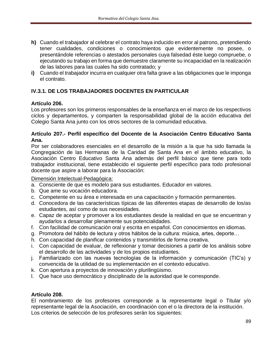- **h)** Cuando el trabajador al celebrar el contrato haya inducido en error al patrono, pretendiendo tener cualidades, condiciones o conocimientos que evidentemente no posee, o presentándole referencias o atestados personales cuya falsedad éste luego compruebe, o ejecutando su trabajo en forma que demuestre claramente su incapacidad en la realización de las labores para las cuales ha sido contratado; y
- **i)** Cuando el trabajador incurra en cualquier otra falta grave a las obligaciones que le imponga el contrato.

# **IV.3.1. DE LOS TRABAJADORES DOCENTES EN PARTICULAR**

#### **Artículo 206.**

Los profesores son los primeros responsables de la enseñanza en el marco de los respectivos ciclos y departamentos, y comparten la responsabilidad global de la acción educativa del Colegio Santa Ana junto con los otros sectores de la comunidad educativa.

#### **Artículo 207.- Perfil específico del Docente de la Asociación Centro Educativo Santa Ana.**

Por ser colaboradores esenciales en el desarrollo de la misión a la que ha sido llamada la Congregación de las Hermanas de la Caridad de Santa Ana en el ámbito educativo, la Asociación Centro Educativo Santa Ana además del perfil básico que tiene para todo trabajador institucional, tiene establecido el siguiente perfil específico para todo profesional docente que aspire a laborar para la Asociación:

#### Dimensión Intelectual-Pedagógica:

- a. Consciente de que es modelo para sus estudiantes. Educador en valores.
- b. Que ame su vocación educadora.
- c. Competente en su área e interesada en una capacitación y formación permanentes.
- d. Conocedora de las características típicas de las diferentes etapas de desarrollo de los/as estudiantes, así como de sus necesidades.
- e. Capaz de aceptar y promover a los estudiantes desde la realidad en que se encuentran y ayudarlos a desarrollar plenamente sus potencialidades.
- f. Con facilidad de comunicación oral y escrita en español. Con conocimientos en idiomas.
- g. Promotora del hábito de lectura y otros hábitos de la cultura: música, artes, deporte…
- h. Con capacidad de planificar contenidos y transmitirlos de forma creativa.
- i. Con capacidad de evaluar, de reflexionar y tomar decisiones a partir de los análisis sobre el desarrollo de las actividades y de los propios estudiantes.
- j. Familiarizado con las nuevas tecnologías de la información y comunicación (TIC's) y convencida de la utilidad de su implementación en el contexto educativo.
- k. Con apertura a proyectos de innovación y plurilingüismo.
- l. Que hace uso democrático y disciplinado de la autoridad que le corresponde.

#### **Artículo 208.**

El nombramiento de los profesores corresponde a la representante legal o Titular y/o representante legal de la Asociación, en coordinación con el o la directora de la institución. Los criterios de selección de los profesores serán los siguientes: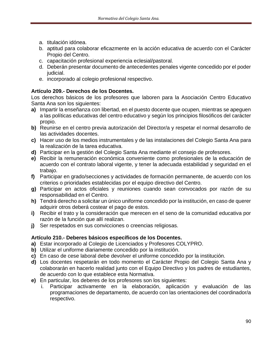- a. titulación idónea.
- b. aptitud para colaborar eficazmente en la acción educativa de acuerdo con el Carácter Propio del Centro.
- c. capacitación profesional experiencia eclesial/pastoral.
- d. Deberán presentar documento de antecedentes penales vigente concedido por el poder judicial.
- e. incorporado al colegio profesional respectivo.

# **Artículo 209.- Derechos de los Docentes.**

Los derechos básicos de los profesores que laboren para la Asociación Centro Educativo Santa Ana son los siguientes:

- **a)** Impartir la enseñanza con libertad, en el puesto docente que ocupen, mientras se apeguen a las políticas educativas del centro educativo y según los principios filosóficos del carácter propio.
- **b)** Reunirse en el centro previa autorización del Director/a y respetar el normal desarrollo de las actividades docentes.
- **c)** Hacer uso de los medios instrumentales y de las instalaciones del Colegio Santa Ana para la realización de la tarea educativa.
- **d)** Participar en la gestión del Colegio Santa Ana mediante el consejo de profesores.
- **e)** Recibir la remuneración económica conveniente como profesionales de la educación de acuerdo con el contrato laboral vigente, y tener la adecuada estabilidad y seguridad en el trabajo.
- **f)** Participar en grado/secciones y actividades de formación permanente, de acuerdo con los criterios o prioridades establecidas por el equipo directivo del Centro.
- **g)** Participar en actos oficiales y reuniones cuando sean convocados por razón de su responsabilidad en el Centro.
- **h)** Tendrá derecho a solicitar un único uniforme concedido por la institución, en caso de querer adquirir otros deberá costear el pago de estos.
- **i)** Recibir el trato y la consideración que merecen en el seno de la comunidad educativa por razón de la función que allí realizan.
- **j)** Ser respetados en sus convicciones o creencias religiosas.

# **Artículo 210.- Deberes básicos específicos de los Docentes.**

- **a)** Estar incorporado al Colegio de Licenciados y Profesores COLYPRO.
- **b)** Utilizar el uniforme diariamente concedido por la institución.
- **c)** En caso de cese laboral debe devolver el uniforme concedido por la institución.
- **d)** Los docentes respetarán en todo momento el Carácter Propio del Colegio Santa Ana y colaborarán en hacerlo realidad junto con el Equipo Directivo y los padres de estudiantes, de acuerdo con lo que establece esta Normativa.
- **e)** En particular, los deberes de los profesores son los siguientes:
	- i. Participar activamente en la elaboración, aplicación y evaluación de las programaciones de departamento, de acuerdo con las orientaciones del coordinador/a respectivo.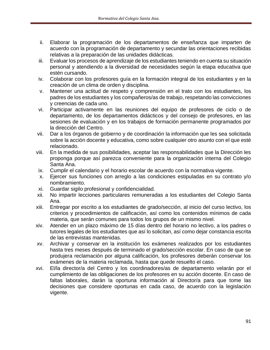- ii. Elaborar la programación de los departamentos de enseñanza que imparten de acuerdo con la programación de departamento y secundar las orientaciones recibidas relativas a la preparación de las unidades didácticas.
- iii. Evaluar los procesos de aprendizaje de los estudiantes teniendo en cuenta su situación personal y atendiendo a la diversidad de necesidades según la etapa educativa que estén cursando.
- iv. Colaborar con los profesores guía en la formación integral de los estudiantes y en la creación de un clima de orden y disciplina.
- v. Mantener una actitud de respeto y comprensión en el trato con los estudiantes, los padres de los estudiantes y los compañeros/as de trabajo, respetando las convicciones y creencias de cada uno.
- vi. Participar activamente en las reuniones del equipo de profesores de ciclo o de departamento, de los departamentos didácticos y del consejo de profesores, en las sesiones de evaluación y en los trabajos de formación permanente programados por la dirección del Centro.
- vii. Dar a los órganos de gobierno y de coordinación la información que les sea solicitada sobre la acción docente y educativa, como sobre cualquier otro asunto con el que esté relacionado.
- viii. En la medida de sus posibilidades, aceptar las responsabilidades que la Dirección les proponga porque así parezca conveniente para la organización interna del Colegio Santa Ana.
- ix. Cumplir el calendario y el horario escolar de acuerdo con la normativa vigente.
- x. Ejercer sus funciones con arreglo a las condiciones estipuladas en su contrato y/o nombramiento.
- xi. Guardar sigilo profesional y confidencialidad.
- xii. No impartir lecciones particulares remuneradas a los estudiantes del Colegio Santa Ana.
- xiii. Entregar por escrito a los estudiantes de grado/sección, al inicio del curso lectivo, los criterios y procedimientos de calificación, así como los contenidos mínimos de cada materia, que serán comunes para todos los grupos de un mismo nivel.
- xiv. Atender en un plazo máximo de 15 días dentro del horario no lectivo, a los padres o tutores legales de los estudiantes que así lo solicitan, así como dejar constancia escrita de las entrevistas mantenidas.
- xv. Archivar y conservar en la institución los exámenes realizados por los estudiantes hasta tres meses después de terminado el grado/sección escolar. En caso de que se produjera reclamación por alguna calificación, los profesores deberán conservar los exámenes de la materia reclamada, hasta que quede resuelto el caso.
- xvi. El/la director/a del Centro y los coordinadores/as de departamento velarán por el cumplimiento de las obligaciones de los profesores en su acción docente. En caso de faltas laborales, darán la oportuna información al Director/a para que tome las decisiones que considere oportunas en cada caso, de acuerdo con la legislación vigente.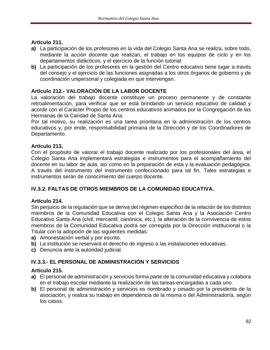## **Artículo 211.**

- **a)** La participación de los profesores en la vida del Colegio Santa Ana se realiza, sobre todo, mediante la acción docente que realizan, el trabajo en los equipos de ciclo y en los departamentos didácticos, y el ejercicio de la función tutorial.
- **b)** La participación de los profesores en la gestión del Centro educativo tiene lugar a través del consejo y el ejercicio de las funciones asignadas a los otros órganos de gobierno y de coordinación unipersonal y colegiada en que intervengan.

## **Artículo 212.- VALORACIÓN DE LA LABOR DOCENTE**

La valoración del trabajo docente constituye un proceso permanente y de constante retroalimentación, para verificar que se está brindando un servicio educativo de calidad y acorde con el Carácter Propio de los centros educativos animados por la Congregación de las Hermanas de la Caridad de Santa Ana.

Por tal motivo, su realización es una tarea prioritaria en la administración de los centros educativos y, por ende, responsabilidad primaria de la Dirección y de los Coordinadores de Departamento.

#### **Artículo 213.**

Con el propósito de valorar el trabajo docente realizado por los profesionales del área, el Colegio Santa Ana implementará estrategias e instrumentos para el acompañamiento del docente en su labor de aula, así como en la preparación de esta y la evaluación pedagógica. A través del instrumento del instrumento confeccionado para tal fin. Tales estrategias e instrumentos serán de conocimiento del cuerpo docente.

## **IV.3.2. FALTAS DE OTROS MIEMBROS DE LA COMUNIDAD EDUCATIVA.**

#### **Artículo 214.**

Sin perjuicio de la regulación que se deriva del régimen específico de la relación de los distintos miembros de la Comunidad Educativa con el Colegio Santa Ana y la Asociación Centro Educativo Santa Ana (civil, mercantil, canónica, etc.), la alteración de la convivencia de estos miembros de la Comunidad Educativa podrá ser corregida por la Dirección institucional o la Titular con la adopción de las siguientes medidas:

- **a)** Amonestación verbal y por escrito.
- **b)** La institución se reservará el derecho de ingreso a las instalaciones educativas.
- **c)** Denuncia ante la autoridad judicial.

## **IV.3.3.- EL PERSONAL DE ADMINISTRACIÓN Y SERVICIOS**

## **Artículo 215.**

- **a)** El personal de administración y servicios forma parte de la comunidad educativa y colabora en el trabajo escolar mediante la realización de las tareas encargadas a cada uno.
- **b)** El personal de administración y servicios es nombrado y cesado por la presidenta de la asociación, y realiza su trabajo en dependencia de la misma o del Administrador/a, según los casos.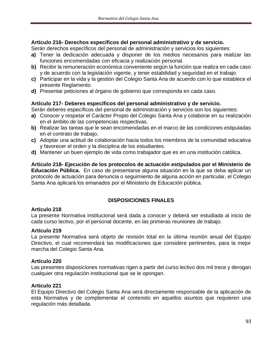## **Artículo 216- Derechos específicos del personal administrativo y de servicio.**

Serán derechos específicos del personal de administración y servicios los siguientes:

- **a)** Tener la dedicación adecuada y disponer de los medios necesarios para realizar las funciones encomendadas con eficacia y realización personal.
- **b)** Recibir la remuneración económica conveniente según la función que realiza en cada caso y de acuerdo con la legislación vigente, y tener estabilidad y seguridad en el trabajo.
- **c)** Participar en la vida y la gestión del Colegio Santa Ana de acuerdo con lo que establece el presente Reglamento.
- **d)** Presentar peticiones al órgano de gobierno que corresponda en cada caso.

#### **Artículo 217- Deberes específicos del personal administrativo y de servicio.**

Serán deberes específicos del personal de administración y servicios son los siguientes:

- **a)** Conocer y respetar el Carácter Propio del Colegio Santa Ana y colaborar en su realización en el ámbito de las competencias respectivas.
- **b)** Realizar las tareas que le sean encomendadas en el marco de las condiciones estipuladas en el contrato de trabajo.
- **c)** Adoptar una actitud de colaboración hacia todos los miembros de la comunidad educativa y favorecer el orden y la disciplina de los estudiantes.
- **d)** Mantener un buen ejemplo de vida como trabajador que es en una institución católica.

**Artículo 218- Ejecución de los protocolos de actuación estipulados por el Ministerio de Educación Pública.** En caso de presentarse alguna situación en la que se deba aplicar un protocolo de actuación para denuncia o seguimiento de alguna acción en particular, el Colegio Santa Ana aplicará los emanados por el Ministerio de Educación pública.

# **DISPOSICIONES FINALES**

#### **Artículo 218**

La presente Normativa institucional será dada a conocer y deberá ser estudiada al inicio de cada curso lectivo, por el personal docente, en las primeras reuniones de trabajo.

## **Artículo 219**

La presente Normativa será objeto de revisión total en la última reunión anual del Equipo Directivo, el cual recomendará las modificaciones que considere pertinentes, para la mejor marcha del Colegio Santa Ana.

## **Artículo 220**

Las presentes disposiciones normativas rigen a partir del curso lectivo dos mil trece y derogan cualquier otra regulación institucional que se le opongan.

## **Artículo 221**

El Equipo Directivo del Colegio Santa Ana será directamente responsable de la aplicación de esta Normativa y de complementar el contenido en aquellos asuntos que requieren una regulación más detallada.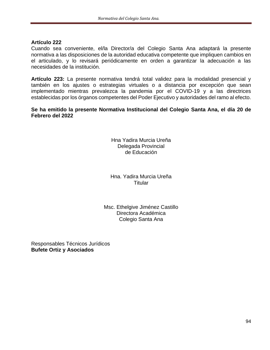#### **Artículo 222**

Cuando sea conveniente, el/la Director/a del Colegio Santa Ana adaptará la presente normativa a las disposiciones de la autoridad educativa competente que impliquen cambios en el articulado, y lo revisará periódicamente en orden a garantizar la adecuación a las necesidades de la institución.

**Artículo 223:** La presente normativa tendrá total validez para la modalidad presencial y también en los ajustes o estrategias virtuales o a distancia por excepción que sean implementado mientras prevalezca la pandemia por el COVID-19 y a las directrices establecidas por los órganos competentes del Poder Ejecutivo y autoridades del ramo al efecto.

**Se ha emitido la presente Normativa Institucional del Colegio Santa Ana, el día 20 de Febrero del 2022**

> Hna Yadira Murcia Ureña Delegada Provincial de Educación

Hna. Yadira Murcia Ureña **Titular** 

Msc. Ethelgive Jiménez Castillo Directora Académica Colegio Santa Ana

Responsables Técnicos Jurídicos **Bufete Ortiz y Asociados**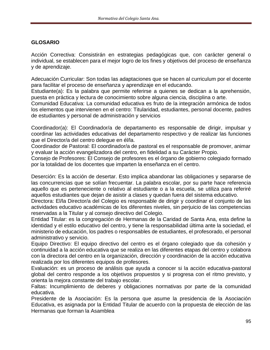## **GLOSARIO**

Acción Correctiva: Consistirán en estrategias pedagógicas que, con carácter general o individual, se establecen para el mejor logro de los fines y objetivos del proceso de enseñanza y de aprendizaje.

Adecuación Curricular: Son todas las adaptaciones que se hacen al curriculum por el docente para facilitar el proceso de enseñanza y aprendizaje en el educando.

Estudiante(a): Es la palabra que permite referirse a quienes se dedican a la aprehensión, puesta en práctica y lectura de conocimiento sobre alguna ciencia, disciplina o arte.

Comunidad Educativa: La comunidad educativa es fruto de la integración armónica de todos los elementos que intervienen en el centro: Titularidad, estudiantes, personal docente, padres de estudiantes y personal de administración y servicios

Coordinador(a): El Coordinador/a de departamento es responsable de dirigir, impulsar y coordinar las actividades educativas del departamento respectivo y de realizar las funciones que el Director/a del centro delegue en él/la.

Coordinador de Pastoral: El coordinador/a de pastoral es el responsable de promover, animar y evaluar la acción evangelizadora del centro, en fidelidad a su Carácter Propio.

Consejo de Profesores: El Consejo de profesores es el órgano de gobierno colegiado formado por la totalidad de los docentes que imparten la enseñanza en el centro.

Deserción: Es la acción de desertar. Esto implica abandonar las obligaciones y separarse de las concurrencias que se solían frecuentar. La palabra escolar, por su parte hace referencia aquello que es perteneciente o relativo al estudiante o a la escuela, se utiliza para referiré aquellos estudiantes que dejan de asistir a clases y quedan fuera del sistema educativo.

Directora: El/la Director/a del Colegio es responsable de dirigir y coordinar el conjunto de las actividades educativo académicas de los diferentes niveles, sin perjuicio de las competencias reservadas a la Titular y al consejo directivo del Colegio.

Entidad Titular: es la congregación de Hermanas de la Caridad de Santa Ana, esta define la identidad y el estilo educativo del centro, y tiene la responsabilidad última ante la sociedad, el ministerio de educación, los padres o responsables de estudiantes, el profesorado, el personal administrativo y servicio.

Equipo Directivo: El equipo directivo del centro es el órgano colegiado que da cohesión y continuidad a la acción educativa que se realiza en las diferentes etapas del centro y colabora con la directora del centro en la organización, dirección y coordinación de la acción educativa realizada por los diferentes equipos de profesores.

Evaluación: es un proceso de análisis que ayuda a conocer si la acción educativa-pastoral global del centro responde a los objetivos propuestos y si progresa con el ritmo previsto, y orienta la mejora constante del trabajo escolar.

Faltas: Incumplimiento de deberes y obligaciones normativas por parte de la comunidad educativa.

Presidente de la Asociación: Es la persona que asume la presidencia de la Asociación Educativa, es asignada por la Entidad Titular de acuerdo con la propuesta de elección de las Hermanas que forman la Asamblea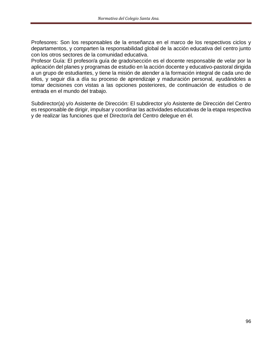Profesores: Son los responsables de la enseñanza en el marco de los respectivos ciclos y departamentos, y comparten la responsabilidad global de la acción educativa del centro junto con los otros sectores de la comunidad educativa.

Profesor Guía: El profesor/a guía de grado/sección es el docente responsable de velar por la aplicación del planes y programas de estudio en la acción docente y educativo-pastoral dirigida a un grupo de estudiantes, y tiene la misión de atender a la formación integral de cada uno de ellos, y seguir día a día su proceso de aprendizaje y maduración personal, ayudándoles a tomar decisiones con vistas a las opciones posteriores, de continuación de estudios o de entrada en el mundo del trabajo.

Subdirector(a) y/o Asistente de Dirección: El subdirector y/o Asistente de Dirección del Centro es responsable de dirigir, impulsar y coordinar las actividades educativas de la etapa respectiva y de realizar las funciones que el Director/a del Centro delegue en él.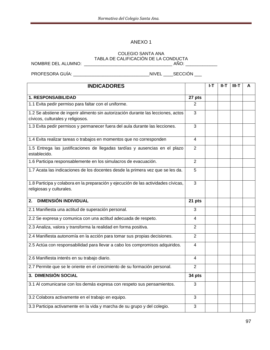#### ANEXO 1

#### COLEGIO SANTA ANA TABLA DE CALIFICACIÓN DE LA CONDUCTA

NOMBRE DEL ALUMNO: \_\_\_\_\_\_\_\_\_\_\_\_\_\_\_\_\_\_\_\_\_\_\_\_\_\_\_\_\_\_\_\_\_\_\_\_ AÑO: \_\_\_\_\_\_\_\_\_\_\_\_\_

PROFESORA GUÍA: \_\_\_\_\_\_\_\_\_\_\_\_\_\_\_\_\_\_\_\_\_\_\_\_\_\_\_\_\_\_\_NIVEL \_\_\_\_SECCIÓN \_\_\_

| <b>INDICADORES</b>                                                                                                     |                         | I-T | $II-T$ | $III-T$ | A |
|------------------------------------------------------------------------------------------------------------------------|-------------------------|-----|--------|---------|---|
| <b>1. RESPONSABILIDAD</b>                                                                                              | 27 pts                  |     |        |         |   |
| 1.1 Evita pedir permiso para faltar con el uniforme.                                                                   | $\overline{2}$          |     |        |         |   |
| 1.2 Se abstiene de ingerir alimento sin autorización durante las lecciones, actos<br>cívicos, culturales y religiosos. | 3                       |     |        |         |   |
| 1.3 Evita pedir permisos y permanecer fuera del aula durante las lecciones.                                            | 3                       |     |        |         |   |
| 1.4 Evita realizar tareas o trabajos en momentos que no corresponden                                                   | $\overline{\mathbf{4}}$ |     |        |         |   |
| 1.5 Entrega las justificaciones de llegadas tardías y ausencias en el plazo<br>establecido.                            | $\overline{2}$          |     |        |         |   |
| 1.6 Participa responsablemente en los simulacros de evacuación.                                                        | $\overline{2}$          |     |        |         |   |
| 1.7 Acata las indicaciones de los docentes desde la primera vez que se les da.                                         | 5                       |     |        |         |   |
| 1.8 Participa y colabora en la preparación y ejecución de las actividades cívicas,<br>religiosas y culturales.         | $\overline{3}$          |     |        |         |   |
| <b>DIMENSIÓN INDIVIDUAL</b><br>2.                                                                                      | 21 pts                  |     |        |         |   |
| 2.1 Manifiesta una actitud de superación personal.                                                                     | 3                       |     |        |         |   |
| 2.2 Se expresa y comunica con una actitud adecuada de respeto.                                                         | 4                       |     |        |         |   |
| 2.3 Analiza, valora y transforma la realidad en forma positiva.                                                        | $\overline{2}$          |     |        |         |   |
| 2.4 Manifiesta autonomía en la acción para tomar sus propias decisiones.                                               | $\overline{2}$          |     |        |         |   |
| 2.5 Actúa con responsabilidad para llevar a cabo los compromisos adquiridos.                                           | 4                       |     |        |         |   |
| 2.6 Manifiesta interés en su trabajo diario.                                                                           | 4                       |     |        |         |   |
| 2.7 Permite que se le oriente en el crecimiento de su formación personal.                                              | $\overline{2}$          |     |        |         |   |
| 3. DIMENSIÓN SOCIAL                                                                                                    | 34 pts                  |     |        |         |   |
| 3.1 Al comunicarse con los demás expresa con respeto sus pensamientos.                                                 | 3                       |     |        |         |   |
| 3.2 Colabora activamente en el trabajo en equipo.                                                                      | 3                       |     |        |         |   |
| 3.3 Participa activamente en la vida y marcha de su grupo y del colegio.                                               | 3                       |     |        |         |   |